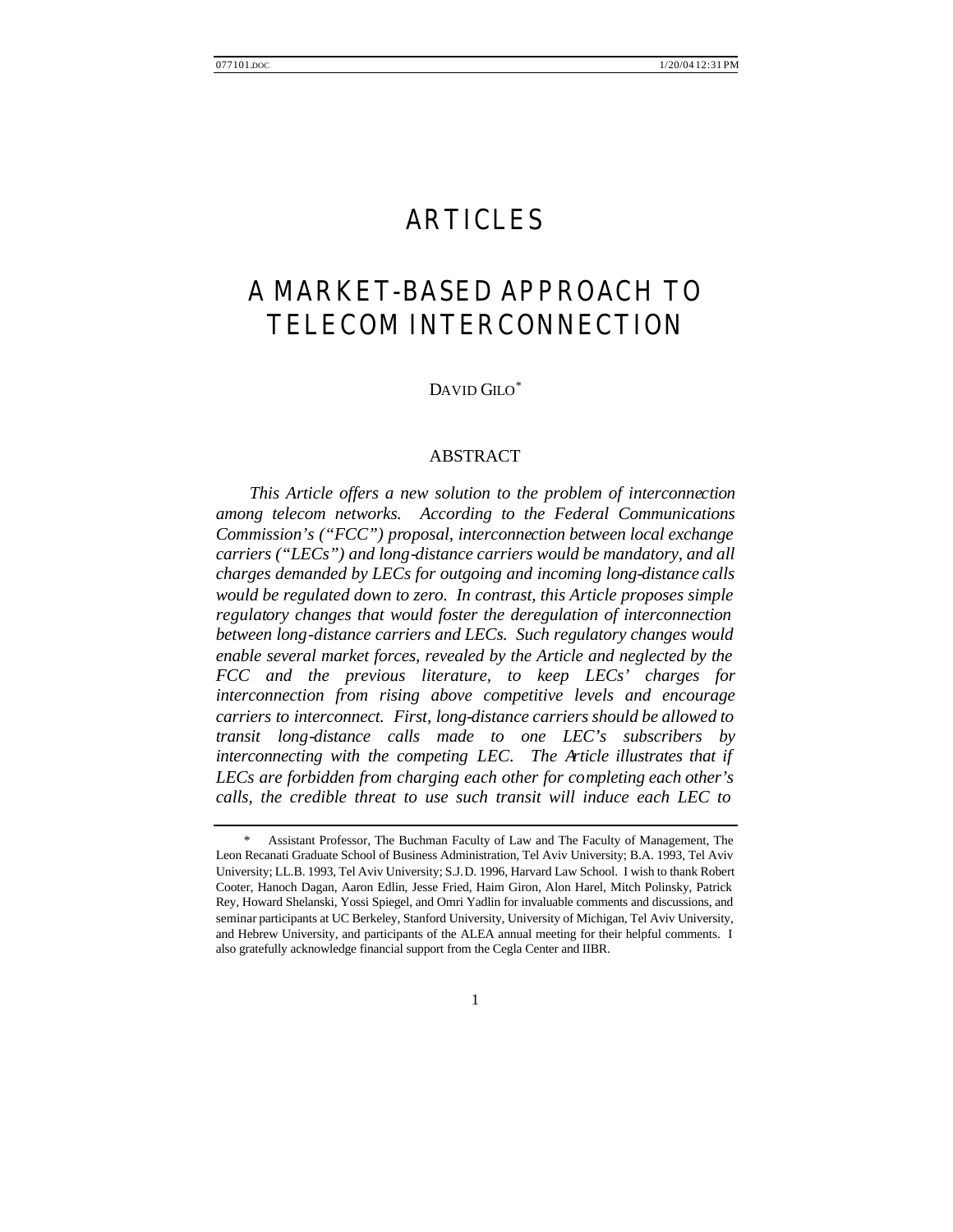# ARTICLES

# A MARKET-BASED APPROACH TO TELECOM INTERCONNECTION

DAVID GILO<sup>\*</sup>

# ABSTRACT

*This Article offers a new solution to the problem of interconnection among telecom networks. According to the Federal Communications Commission's ("FCC") proposal, interconnection between local exchange carriers ("LECs") and long-distance carriers would be mandatory, and all charges demanded by LECs for outgoing and incoming long-distance calls would be regulated down to zero. In contrast, this Article proposes simple regulatory changes that would foster the deregulation of interconnection between long-distance carriers and LECs. Such regulatory changes would enable several market forces, revealed by the Article and neglected by the FCC and the previous literature, to keep LECs' charges for interconnection from rising above competitive levels and encourage carriers to interconnect. First, long-distance carriers should be allowed to transit long-distance calls made to one LEC's subscribers by interconnecting with the competing LEC. The Article illustrates that if LECs are forbidden from charging each other for completing each other's calls, the credible threat to use such transit will induce each LEC to* 

 <sup>\*</sup> Assistant Professor, The Buchman Faculty of Law and The Faculty of Management, The Leon Recanati Graduate School of Business Administration, Tel Aviv University; B.A. 1993, Tel Aviv University; LL.B. 1993, Tel Aviv University; S.J.D. 1996, Harvard Law School. I wish to thank Robert Cooter, Hanoch Dagan, Aaron Edlin, Jesse Fried, Haim Giron, Alon Harel, Mitch Polinsky, Patrick Rey, Howard Shelanski, Yossi Spiegel, and Omri Yadlin for invaluable comments and discussions, and seminar participants at UC Berkeley, Stanford University, University of Michigan, Tel Aviv University, and Hebrew University, and participants of the ALEA annual meeting for their helpful comments. I also gratefully acknowledge financial support from the Cegla Center and IIBR.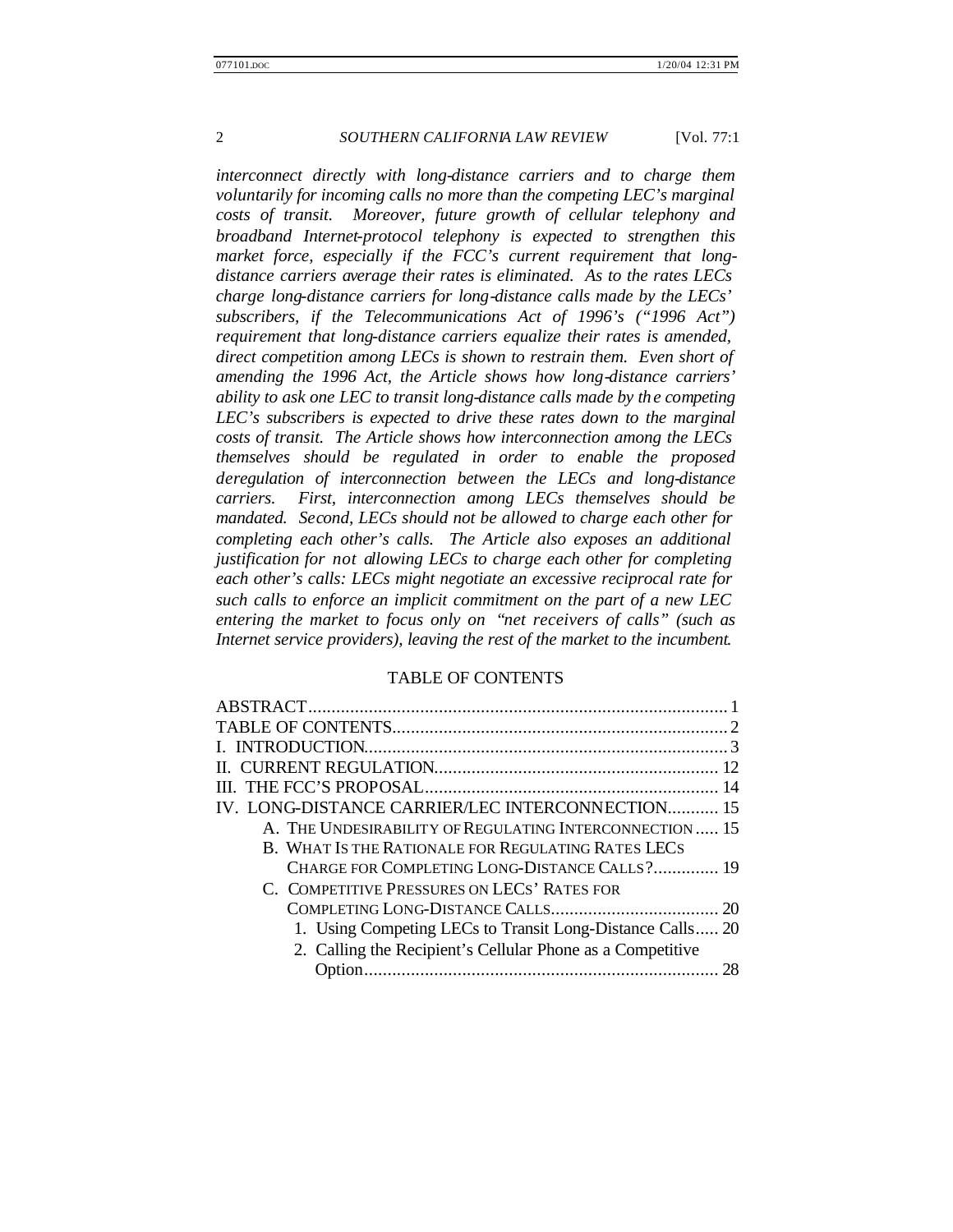*interconnect directly with long-distance carriers and to charge them voluntarily for incoming calls no more than the competing LEC's marginal costs of transit. Moreover, future growth of cellular telephony and broadband Internet-protocol telephony is expected to strengthen this market force, especially if the FCC's current requirement that longdistance carriers average their rates is eliminated. As to the rates LECs charge long-distance carriers for long-distance calls made by the LECs' subscribers, if the Telecommunications Act of 1996's ("1996 Act") requirement that long-distance carriers equalize their rates is amended, direct competition among LECs is shown to restrain them. Even short of amending the 1996 Act, the Article shows how long-distance carriers' ability to ask one LEC to transit long-distance calls made by the competing LEC's subscribers is expected to drive these rates down to the marginal costs of transit. The Article shows how interconnection among the LECs themselves should be regulated in order to enable the proposed deregulation of interconnection between the LECs and long-distance carriers. First, interconnection among LECs themselves should be mandated. Second, LECs should not be allowed to charge each other for completing each other's calls. The Article also exposes an additional justification for not allowing LECs to charge each other for completing each other's calls: LECs might negotiate an excessive reciprocal rate for such calls to enforce an implicit commitment on the part of a new LEC entering the market to focus only on "net receivers of calls" (such as Internet service providers), leaving the rest of the market to the incumbent*.

#### TABLE OF CONTENTS

| IV. LONG-DISTANCE CARRIER/LEC INTERCONNECTION 15           |  |
|------------------------------------------------------------|--|
| A. THE UNDESIRABILITY OF REGULATING INTERCONNECTION 15     |  |
| B. WHAT IS THE RATIONALE FOR REGULATING RATES LECS         |  |
| CHARGE FOR COMPLETING LONG-DISTANCE CALLS? 19              |  |
| C. COMPETITIVE PRESSURES ON LECS' RATES FOR                |  |
|                                                            |  |
| 1. Using Competing LECs to Transit Long-Distance Calls 20  |  |
| 2. Calling the Recipient's Cellular Phone as a Competitive |  |
|                                                            |  |
|                                                            |  |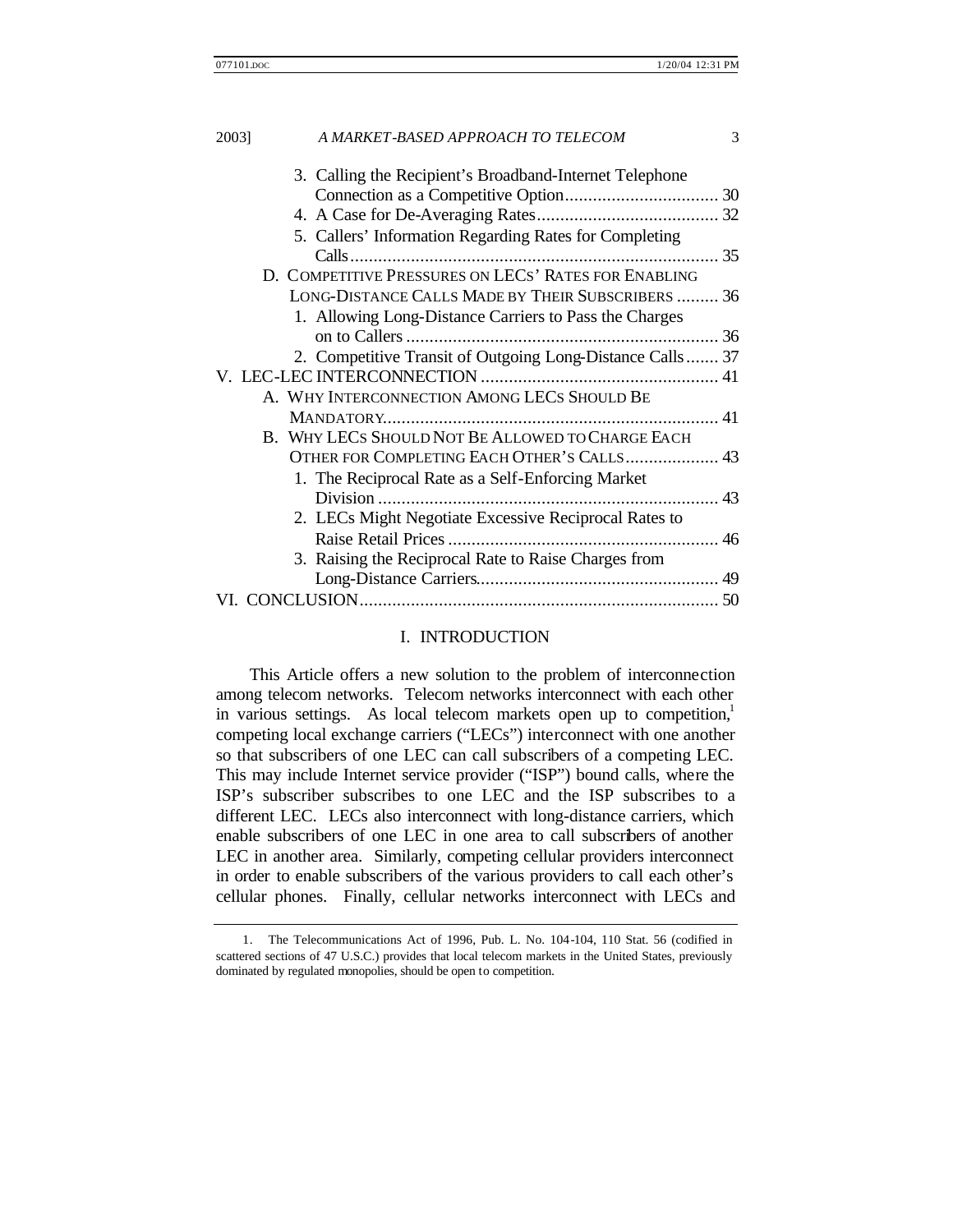| 2003] | A MARKET-BASED APPROACH TO TELECOM                         | 3 |
|-------|------------------------------------------------------------|---|
|       | 3. Calling the Recipient's Broadband-Internet Telephone    |   |
|       |                                                            |   |
|       | 5. Callers' Information Regarding Rates for Completing     |   |
|       | D. COMPETITIVE PRESSURES ON LECS' RATES FOR ENABLING       |   |
|       | LONG-DISTANCE CALLS MADE BY THEIR SUBSCRIBERS  36          |   |
|       | 1. Allowing Long-Distance Carriers to Pass the Charges     |   |
|       | 2. Competitive Transit of Outgoing Long-Distance Calls  37 |   |
|       |                                                            |   |
|       | A. WHY INTERCONNECTION AMONG LECS SHOULD BE                |   |
|       | B. WHY LECS SHOULD NOT BE ALLOWED TO CHARGE EACH           |   |
|       | OTHER FOR COMPLETING EACH OTHER'S CALLS 43                 |   |
|       | 1. The Reciprocal Rate as a Self-Enforcing Market          |   |
|       |                                                            |   |
|       | 2. LECs Might Negotiate Excessive Reciprocal Rates to      |   |
|       |                                                            |   |
|       | 3. Raising the Reciprocal Rate to Raise Charges from       |   |
|       |                                                            |   |
|       |                                                            |   |
|       |                                                            |   |

## I. INTRODUCTION

This Article offers a new solution to the problem of interconnection among telecom networks. Telecom networks interconnect with each other in various settings. As local telecom markets open up to competition,<sup>1</sup> competing local exchange carriers ("LECs") interconnect with one another so that subscribers of one LEC can call subscribers of a competing LEC. This may include Internet service provider ("ISP") bound calls, where the ISP's subscriber subscribes to one LEC and the ISP subscribes to a different LEC. LECs also interconnect with long-distance carriers, which enable subscribers of one LEC in one area to call subscribers of another LEC in another area. Similarly, competing cellular providers interconnect in order to enable subscribers of the various providers to call each other's cellular phones. Finally, cellular networks interconnect with LECs and

<sup>1.</sup> The Telecommunications Act of 1996, Pub. L. No. 104-104, 110 Stat. 56 (codified in scattered sections of 47 U.S.C.) provides that local telecom markets in the United States, previously dominated by regulated monopolies, should be open to competition.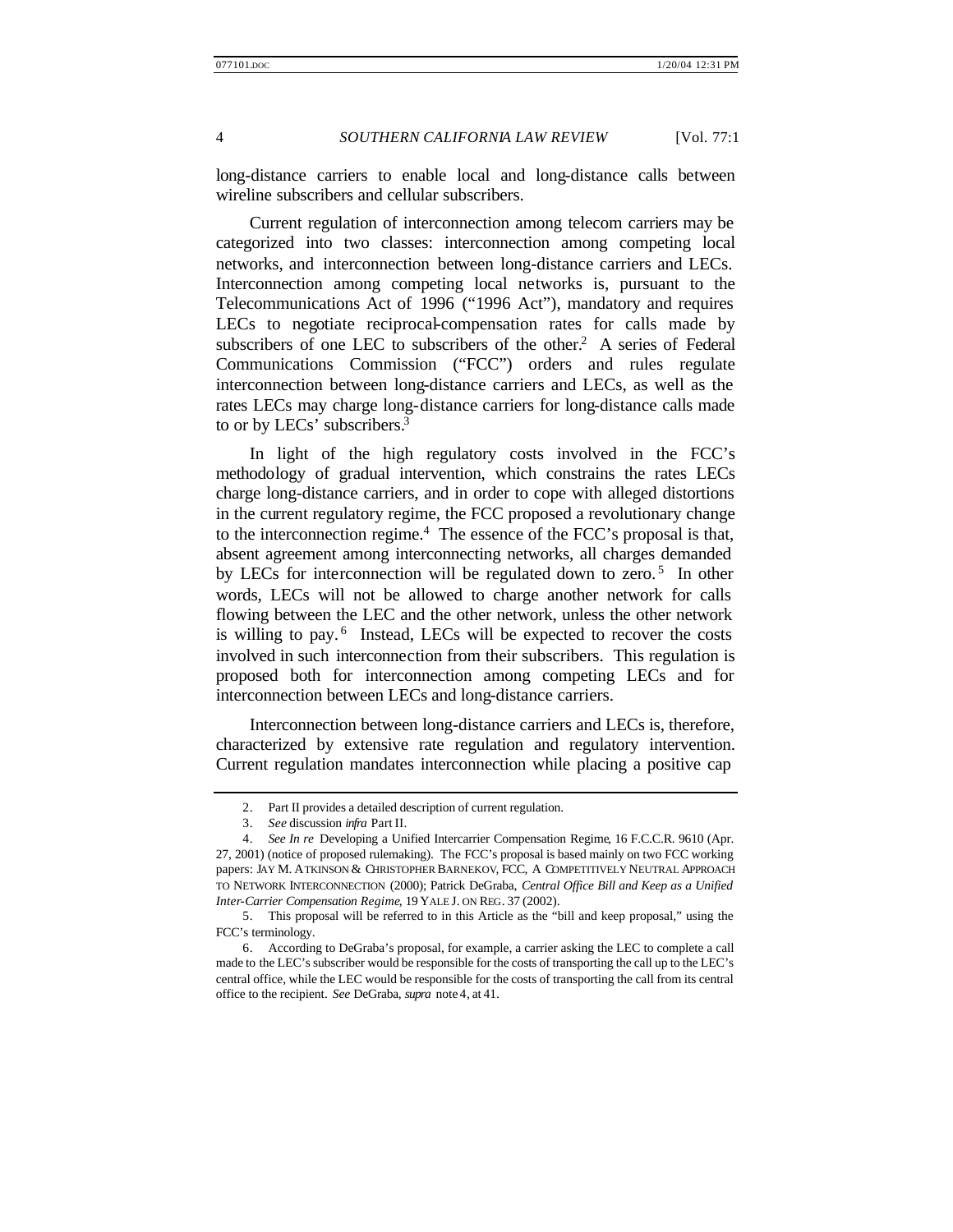long-distance carriers to enable local and long-distance calls between wireline subscribers and cellular subscribers.

Current regulation of interconnection among telecom carriers may be categorized into two classes: interconnection among competing local networks, and interconnection between long-distance carriers and LECs. Interconnection among competing local networks is, pursuant to the Telecommunications Act of 1996 ("1996 Act"), mandatory and requires LECs to negotiate reciprocal-compensation rates for calls made by subscribers of one LEC to subscribers of the other.<sup>2</sup> A series of Federal Communications Commission ("FCC") orders and rules regulate interconnection between long-distance carriers and LECs, as well as the rates LECs may charge long-distance carriers for long-distance calls made to or by LECs' subscribers.<sup>3</sup>

In light of the high regulatory costs involved in the FCC's methodology of gradual intervention, which constrains the rates LECs charge long-distance carriers, and in order to cope with alleged distortions in the current regulatory regime, the FCC proposed a revolutionary change to the interconnection regime. $4$  The essence of the FCC's proposal is that, absent agreement among interconnecting networks, all charges demanded by LECs for interconnection will be regulated down to zero.<sup>5</sup> In other words, LECs will not be allowed to charge another network for calls flowing between the LEC and the other network, unless the other network is willing to pay.<sup>6</sup> Instead, LECs will be expected to recover the costs involved in such interconnection from their subscribers. This regulation is proposed both for interconnection among competing LECs and for interconnection between LECs and long-distance carriers.

Interconnection between long-distance carriers and LECs is, therefore, characterized by extensive rate regulation and regulatory intervention. Current regulation mandates interconnection while placing a positive cap

<sup>2.</sup> Part II provides a detailed description of current regulation.

<sup>3.</sup> *See* discussion *infra* Part II.

<sup>4.</sup> *See In re* Developing a Unified Intercarrier Compensation Regime, 16 F.C.C.R. 9610 (Apr. 27, 2001) (notice of proposed rulemaking). The FCC's proposal is based mainly on two FCC working papers: JAY M. ATKINSON & CHRISTOPHER BARNEKOV, FCC, A COMPETITIVELY NEUTRAL APPROACH TO NETWORK INTERCONNECTION (2000); Patrick DeGraba, *Central Office Bill and Keep as a Unified Inter-Carrier Compensation Regime*, 19 YALE J. ON REG. 37 (2002).

<sup>5.</sup> This proposal will be referred to in this Article as the "bill and keep proposal," using the FCC's terminology.

<sup>6.</sup> According to DeGraba's proposal, for example, a carrier asking the LEC to complete a call made to the LEC's subscriber would be responsible for the costs of transporting the call up to the LEC's central office, while the LEC would be responsible for the costs of transporting the call from its central office to the recipient. *See* DeGraba, *supra* note 4, at 41.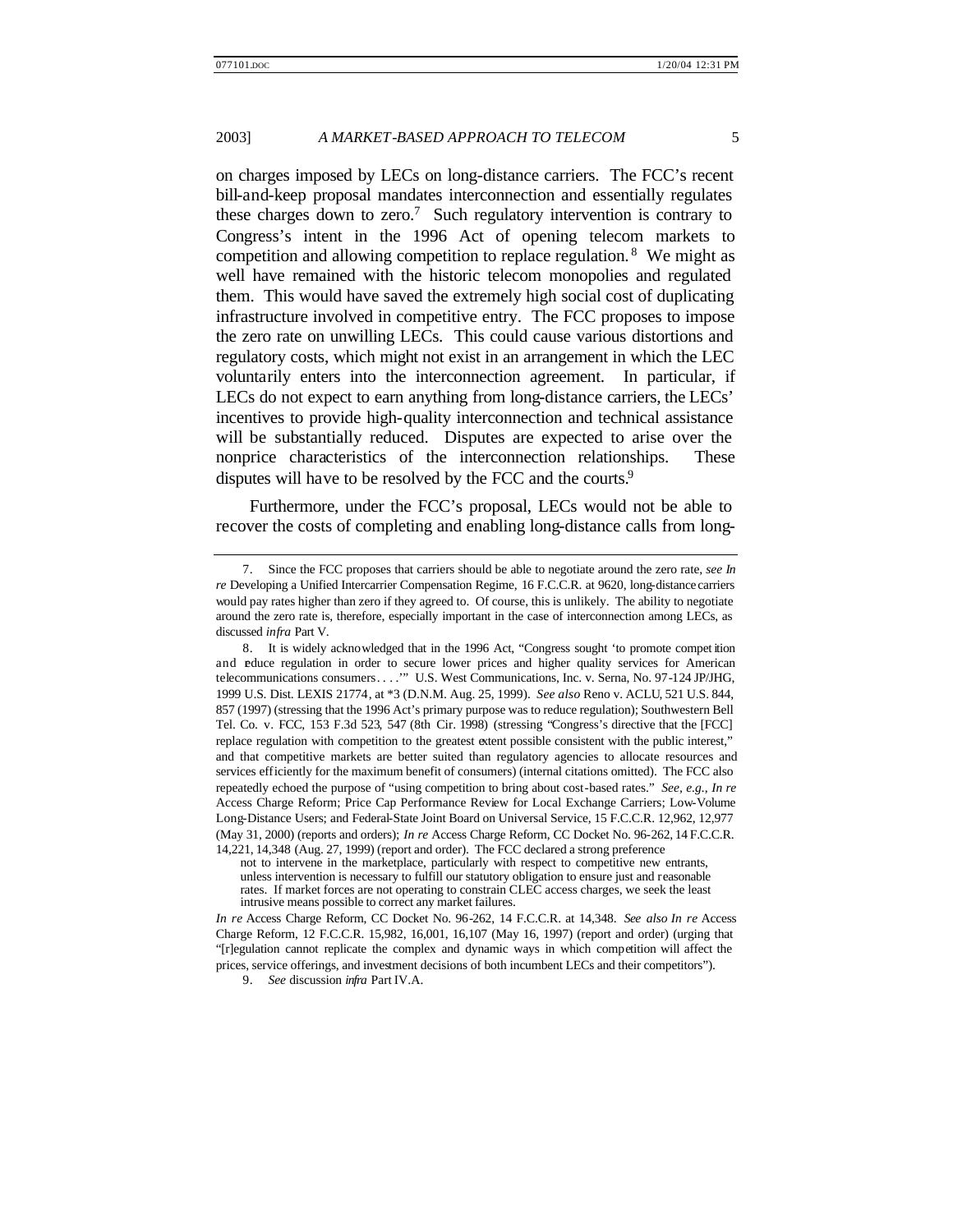on charges imposed by LECs on long-distance carriers. The FCC's recent bill-and-keep proposal mandates interconnection and essentially regulates these charges down to zero.<sup>7</sup> Such regulatory intervention is contrary to Congress's intent in the 1996 Act of opening telecom markets to competition and allowing competition to replace regulation. <sup>8</sup> We might as well have remained with the historic telecom monopolies and regulated them. This would have saved the extremely high social cost of duplicating infrastructure involved in competitive entry. The FCC proposes to impose the zero rate on unwilling LECs. This could cause various distortions and regulatory costs, which might not exist in an arrangement in which the LEC voluntarily enters into the interconnection agreement. In particular, if LECs do not expect to earn anything from long-distance carriers, the LECs' incentives to provide high-quality interconnection and technical assistance will be substantially reduced. Disputes are expected to arise over the nonprice characteristics of the interconnection relationships. These disputes will have to be resolved by the FCC and the courts.<sup>9</sup>

Furthermore, under the FCC's proposal, LECs would not be able to recover the costs of completing and enabling long-distance calls from long-

9. *See* discussion *infra* Part IV.A.

<sup>7.</sup> Since the FCC proposes that carriers should be able to negotiate around the zero rate, *see In re* Developing a Unified Intercarrier Compensation Regime, 16 F.C.C.R. at 9620, long-distance carriers would pay rates higher than zero if they agreed to. Of course, this is unlikely. The ability to negotiate around the zero rate is, therefore, especially important in the case of interconnection among LECs, as discussed *infra* Part V.

<sup>8.</sup> It is widely acknowledged that in the 1996 Act, "Congress sought 'to promote compet ition and educe regulation in order to secure lower prices and higher quality services for American telecommunications consumers. . . .'" U.S. West Communications, Inc. v. Serna, No. 97-124 JP/JHG, 1999 U.S. Dist. LEXIS 21774, at \*3 (D.N.M. Aug. 25, 1999). *See also* Reno v. ACLU, 521 U.S. 844, 857 (1997) (stressing that the 1996 Act's primary purpose was to reduce regulation); Southwestern Bell Tel. Co. v. FCC, 153 F.3d 523, 547 (8th Cir. 1998) (stressing "Congress's directive that the [FCC] replace regulation with competition to the greatest extent possible consistent with the public interest," and that competitive markets are better suited than regulatory agencies to allocate resources and services efficiently for the maximum benefit of consumers) (internal citations omitted). The FCC also repeatedly echoed the purpose of "using competition to bring about cost-based rates." *See, e.g.*, *In re* Access Charge Reform; Price Cap Performance Review for Local Exchange Carriers; Low-Volume Long-Distance Users; and Federal-State Joint Board on Universal Service, 15 F.C.C.R. 12,962, 12,977 (May 31, 2000) (reports and orders); *In re* Access Charge Reform, CC Docket No. 96-262, 14 F.C.C.R. 14,221, 14,348 (Aug. 27, 1999) (report and order). The FCC declared a strong preference

not to intervene in the marketplace, particularly with respect to competitive new entrants, unless intervention is necessary to fulfill our statutory obligation to ensure just and reasonable rates. If market forces are not operating to constrain CLEC access charges, we seek the least intrusive means possible to correct any market failures.

*In re* Access Charge Reform, CC Docket No. 96-262, 14 F.C.C.R. at 14,348. *See also In re* Access Charge Reform, 12 F.C.C.R. 15,982, 16,001, 16,107 (May 16, 1997) (report and order) (urging that "[r]egulation cannot replicate the complex and dynamic ways in which competition will affect the prices, service offerings, and investment decisions of both incumbent LECs and their competitors").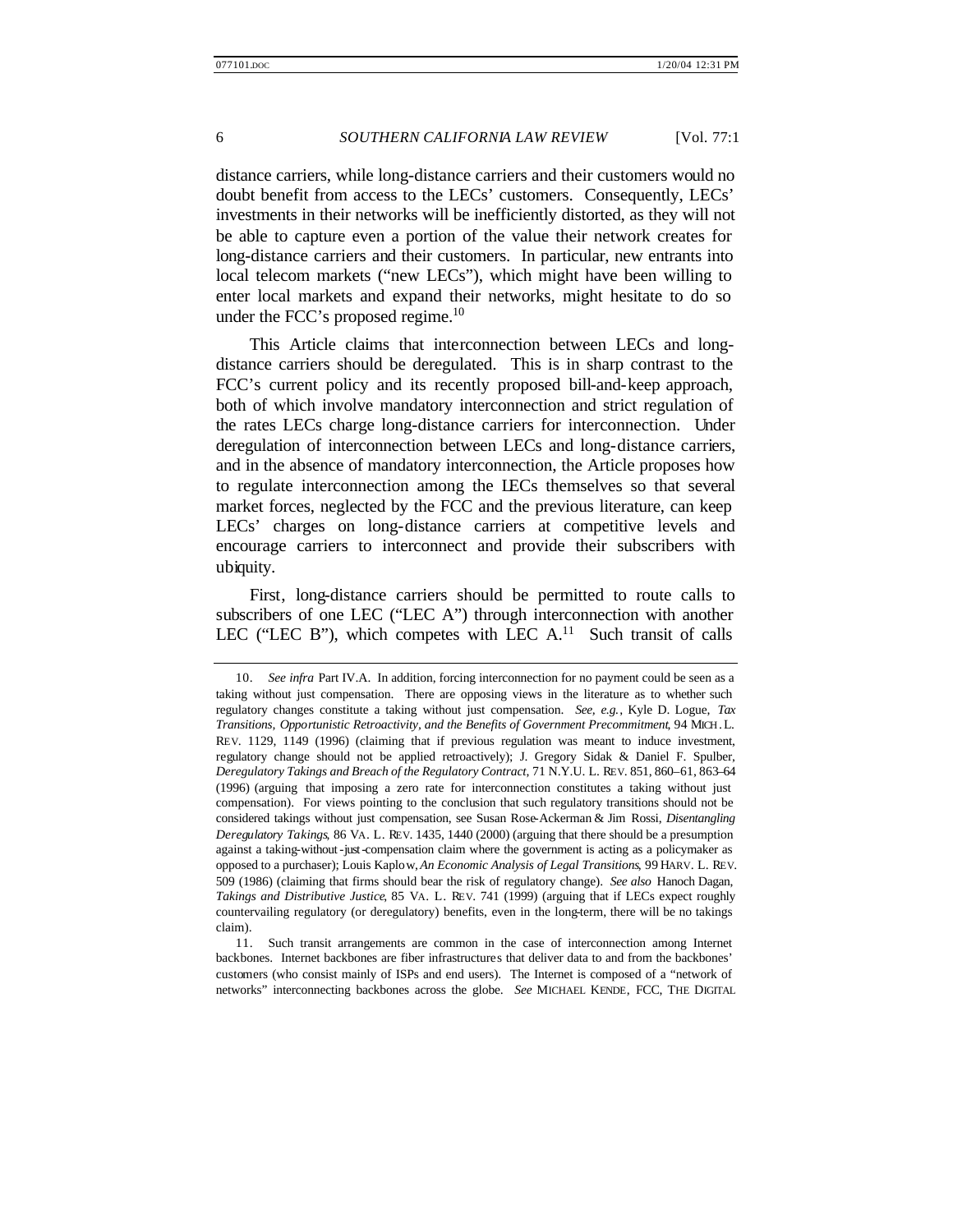distance carriers, while long-distance carriers and their customers would no doubt benefit from access to the LECs' customers. Consequently, LECs' investments in their networks will be inefficiently distorted, as they will not be able to capture even a portion of the value their network creates for long-distance carriers and their customers. In particular, new entrants into local telecom markets ("new LECs"), which might have been willing to enter local markets and expand their networks, might hesitate to do so under the FCC's proposed regime. $10$ 

This Article claims that interconnection between LECs and longdistance carriers should be deregulated. This is in sharp contrast to the FCC's current policy and its recently proposed bill-and-keep approach, both of which involve mandatory interconnection and strict regulation of the rates LECs charge long-distance carriers for interconnection. Under deregulation of interconnection between LECs and long-distance carriers, and in the absence of mandatory interconnection, the Article proposes how to regulate interconnection among the LECs themselves so that several market forces, neglected by the FCC and the previous literature, can keep LECs' charges on long-distance carriers at competitive levels and encourage carriers to interconnect and provide their subscribers with ubiquity.

First, long-distance carriers should be permitted to route calls to subscribers of one LEC ("LEC A") through interconnection with another LEC ("LEC B"), which competes with LEC  $A$ <sup>11</sup>. Such transit of calls

<sup>10.</sup> *See infra* Part IV.A. In addition, forcing interconnection for no payment could be seen as a taking without just compensation. There are opposing views in the literature as to whether such regulatory changes constitute a taking without just compensation. *See, e.g.*, Kyle D. Logue, *Tax Transitions, Opportunistic Retroactivity, and the Benefits of Government Precommitment*, 94 MICH. L. REV. 1129, 1149 (1996) (claiming that if previous regulation was meant to induce investment, regulatory change should not be applied retroactively); J. Gregory Sidak & Daniel F. Spulber, *Deregulatory Takings and Breach of the Regulatory Contract*, 71 N.Y.U. L. REV. 851, 860–61, 863–64 (1996) (arguing that imposing a zero rate for interconnection constitutes a taking without just compensation). For views pointing to the conclusion that such regulatory transitions should not be considered takings without just compensation, see Susan Rose-Ackerman & Jim Rossi, *Disentangling Deregulatory Takings*, 86 VA. L. REV. 1435, 1440 (2000) (arguing that there should be a presumption against a taking-without-just-compensation claim where the government is acting as a policymaker as opposed to a purchaser); Louis Kaplow, *An Economic Analysis of Legal Transitions*, 99 HARV. L. REV. 509 (1986) (claiming that firms should bear the risk of regulatory change). *See also* Hanoch Dagan, *Takings and Distributive Justice*, 85 VA. L. REV. 741 (1999) (arguing that if LECs expect roughly countervailing regulatory (or deregulatory) benefits, even in the long-term, there will be no takings claim).

<sup>11.</sup> Such transit arrangements are common in the case of interconnection among Internet backbones. Internet backbones are fiber infrastructures that deliver data to and from the backbones' customers (who consist mainly of ISPs and end users). The Internet is composed of a "network of networks" interconnecting backbones across the globe. *See* MICHAEL KENDE, FCC, THE DIGITAL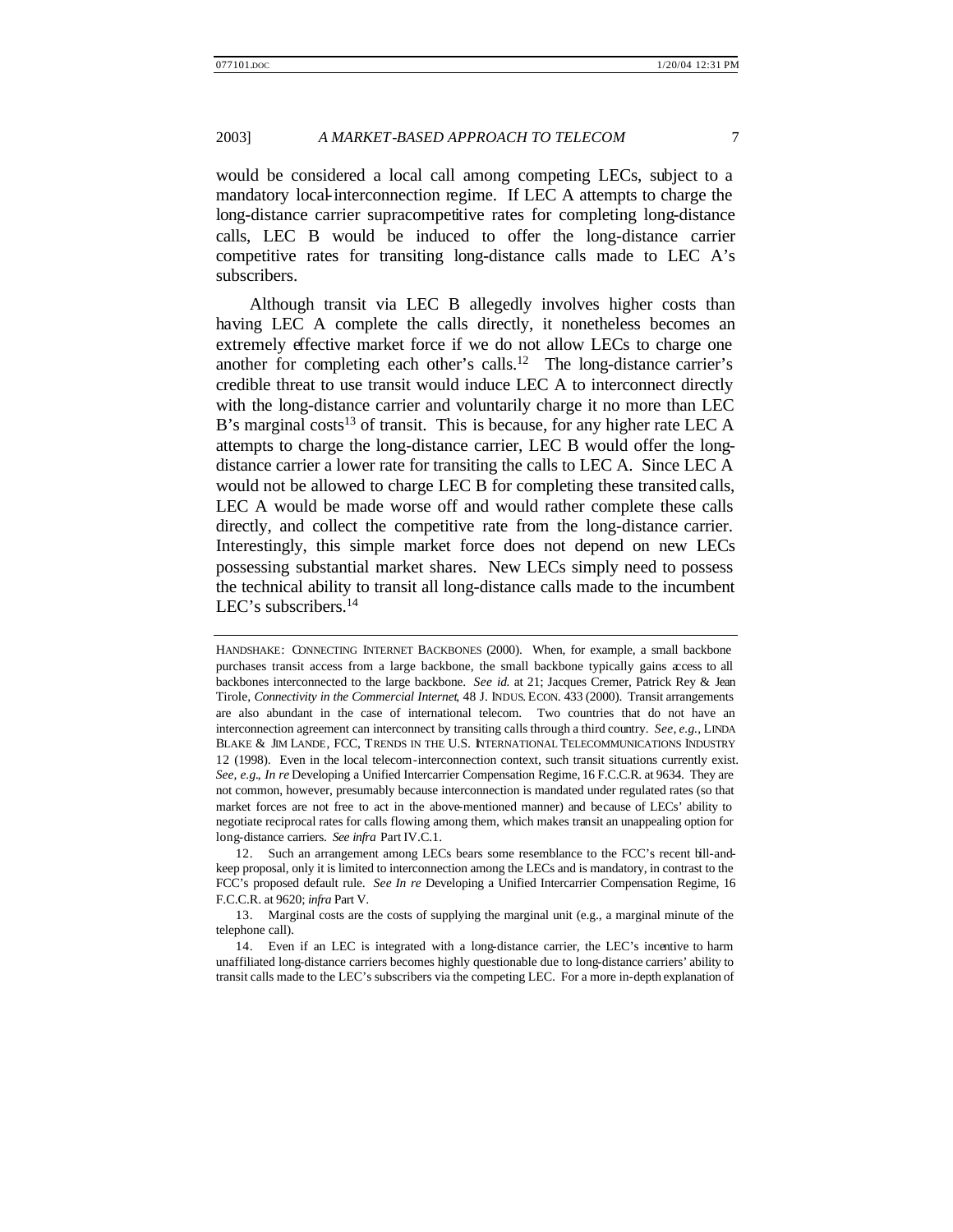would be considered a local call among competing LECs, subject to a mandatory local-interconnection regime. If LEC A attempts to charge the long-distance carrier supracompetitive rates for completing long-distance calls, LEC B would be induced to offer the long-distance carrier competitive rates for transiting long-distance calls made to LEC A's subscribers.

Although transit via LEC B allegedly involves higher costs than having LEC A complete the calls directly, it nonetheless becomes an extremely effective market force if we do not allow LECs to charge one another for completing each other's calls.<sup>12</sup> The long-distance carrier's credible threat to use transit would induce LEC A to interconnect directly with the long-distance carrier and voluntarily charge it no more than LEC B's marginal costs<sup>13</sup> of transit. This is because, for any higher rate LEC A attempts to charge the long-distance carrier, LEC B would offer the longdistance carrier a lower rate for transiting the calls to LEC A. Since LEC A would not be allowed to charge LEC B for completing these transited calls, LEC A would be made worse off and would rather complete these calls directly, and collect the competitive rate from the long-distance carrier. Interestingly, this simple market force does not depend on new LECs possessing substantial market shares. New LECs simply need to possess the technical ability to transit all long-distance calls made to the incumbent LEC's subscribers.<sup>14</sup>

HANDSHAKE: CONNECTING INTERNET BACKBONES (2000). When, for example, a small backbone purchases transit access from a large backbone, the small backbone typically gains access to all backbones interconnected to the large backbone. *See id.* at 21; Jacques Cremer, Patrick Rey & Jean Tirole, *Connectivity in the Commercial Internet*, 48 J. INDUS. ECON. 433 (2000). Transit arrangements are also abundant in the case of international telecom. Two countries that do not have an interconnection agreement can interconnect by transiting calls through a third country. *See, e.g.*, LINDA BLAKE & JIM LANDE, FCC, TRENDS IN THE U.S. INTERNATIONAL TELECOMMUNICATIONS INDUSTRY 12 (1998). Even in the local telecom-interconnection context, such transit situations currently exist. *See, e.g.*, *In re* Developing a Unified Intercarrier Compensation Regime, 16 F.C.C.R. at 9634. They are not common, however, presumably because interconnection is mandated under regulated rates (so that market forces are not free to act in the above-mentioned manner) and because of LECs' ability to negotiate reciprocal rates for calls flowing among them, which makes transit an unappealing option for long-distance carriers. *See infra* Part IV.C.1.

<sup>12.</sup> Such an arrangement among LECs bears some resemblance to the FCC's recent bill-andkeep proposal, only it is limited to interconnection among the LECs and is mandatory, in contrast to the FCC's proposed default rule. *See In re* Developing a Unified Intercarrier Compensation Regime, 16 F.C.C.R. at 9620; *infra* Part V.

<sup>13.</sup> Marginal costs are the costs of supplying the marginal unit (e.g., a marginal minute of the telephone call).

<sup>14.</sup> Even if an LEC is integrated with a long-distance carrier, the LEC's incentive to harm unaffiliated long-distance carriers becomes highly questionable due to long-distance carriers' ability to transit calls made to the LEC's subscribers via the competing LEC. For a more in-depth explanation of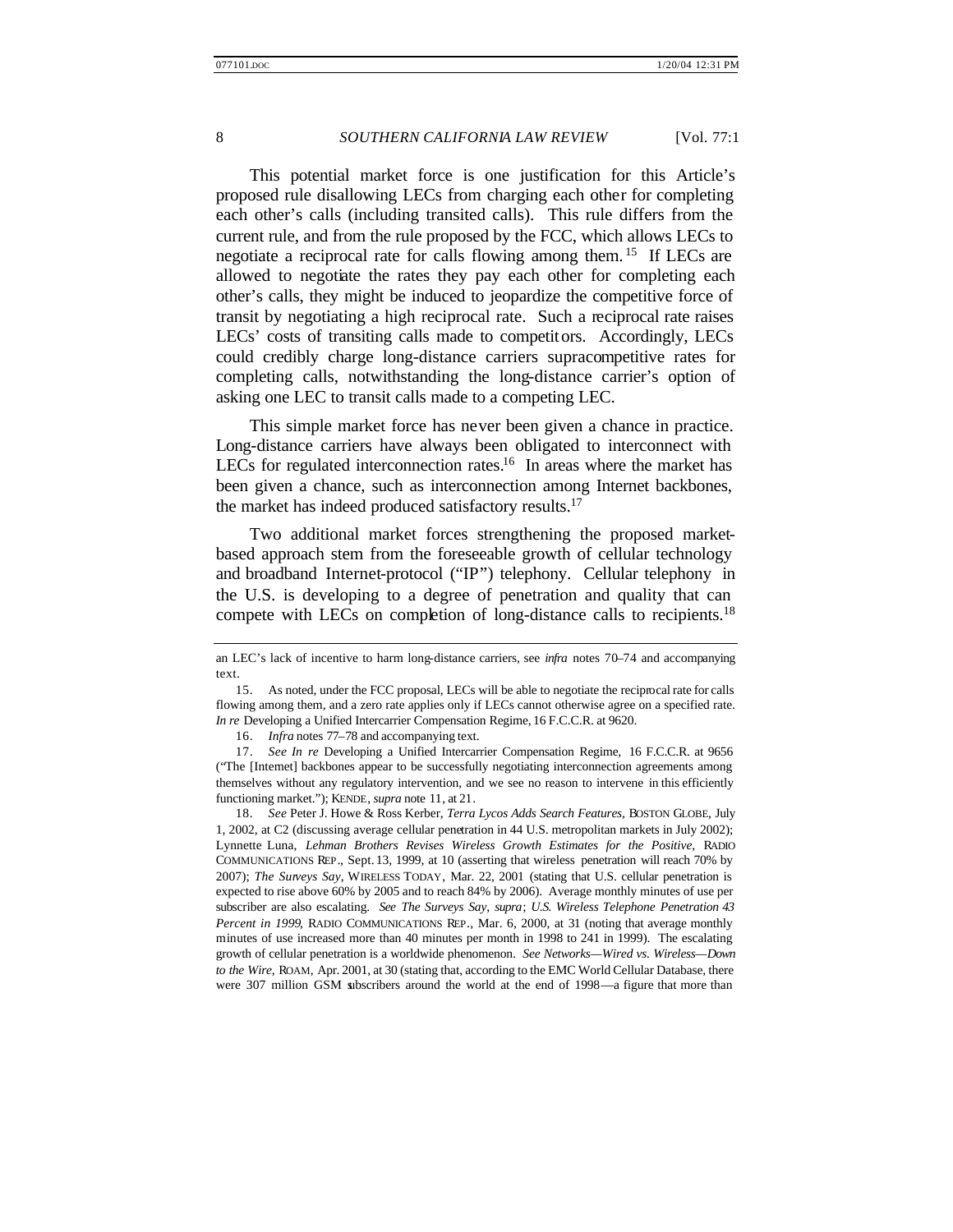This potential market force is one justification for this Article's proposed rule disallowing LECs from charging each other for completing each other's calls (including transited calls). This rule differs from the current rule, and from the rule proposed by the FCC, which allows LECs to negotiate a reciprocal rate for calls flowing among them. <sup>15</sup> If LECs are allowed to negotiate the rates they pay each other for completing each other's calls, they might be induced to jeopardize the competitive force of transit by negotiating a high reciprocal rate. Such a reciprocal rate raises LECs' costs of transiting calls made to competitors. Accordingly, LECs could credibly charge long-distance carriers supracompetitive rates for completing calls, notwithstanding the long-distance carrier's option of asking one LEC to transit calls made to a competing LEC.

This simple market force has never been given a chance in practice. Long-distance carriers have always been obligated to interconnect with LECs for regulated interconnection rates.<sup>16</sup> In areas where the market has been given a chance, such as interconnection among Internet backbones, the market has indeed produced satisfactory results.<sup>17</sup>

Two additional market forces strengthening the proposed marketbased approach stem from the foreseeable growth of cellular technology and broadband Internet-protocol ("IP") telephony. Cellular telephony in the U.S. is developing to a degree of penetration and quality that can compete with LECs on completion of long-distance calls to recipients.<sup>18</sup>

an LEC's lack of incentive to harm long-distance carriers, see *infra* notes 70–74 and accompanying text.

<sup>15.</sup> As noted, under the FCC proposal, LECs will be able to negotiate the reciprocal rate for calls flowing among them, and a zero rate applies only if LECs cannot otherwise agree on a specified rate. *In re* Developing a Unified Intercarrier Compensation Regime, 16 F.C.C.R. at 9620.

<sup>16.</sup> *Infra* notes 77–78 and accompanying text.

<sup>17.</sup> *See In re* Developing a Unified Intercarrier Compensation Regime, 16 F.C.C.R. at 9656 ("The [Internet] backbones appear to be successfully negotiating interconnection agreements among themselves without any regulatory intervention, and we see no reason to intervene in this efficiently functioning market."); KENDE, *supra* note 11, at 21.

<sup>18.</sup> *See* Peter J. Howe & Ross Kerber, *Terra Lycos Adds Search Features*, BOSTON GLOBE, July 1, 2002, at C2 (discussing average cellular penetration in 44 U.S. metropolitan markets in July 2002); Lynnette Luna, *Lehman Brothers Revises Wireless Growth Estimates for the Positive*, RADIO COMMUNICATIONS REP., Sept. 13, 1999, at 10 (asserting that wireless penetration will reach 70% by 2007); *The Surveys Say*, WIRELESS TODAY, Mar. 22, 2001 (stating that U.S. cellular penetration is expected to rise above 60% by 2005 and to reach 84% by 2006). Average monthly minutes of use per subscriber are also escalating. *See The Surveys Say*, *supra*; *U.S. Wireless Telephone Penetration 43 Percent in 1999*, RADIO COMMUNICATIONS REP., Mar. 6, 2000, at 31 (noting that average monthly minutes of use increased more than 40 minutes per month in 1998 to 241 in 1999). The escalating growth of cellular penetration is a worldwide phenomenon. *See Networks—Wired vs. Wireless—Down to the Wire*, ROAM, Apr. 2001, at 30 (stating that, according to the EMC World Cellular Database, there were 307 million GSM subscribers around the world at the end of 1998—a figure that more than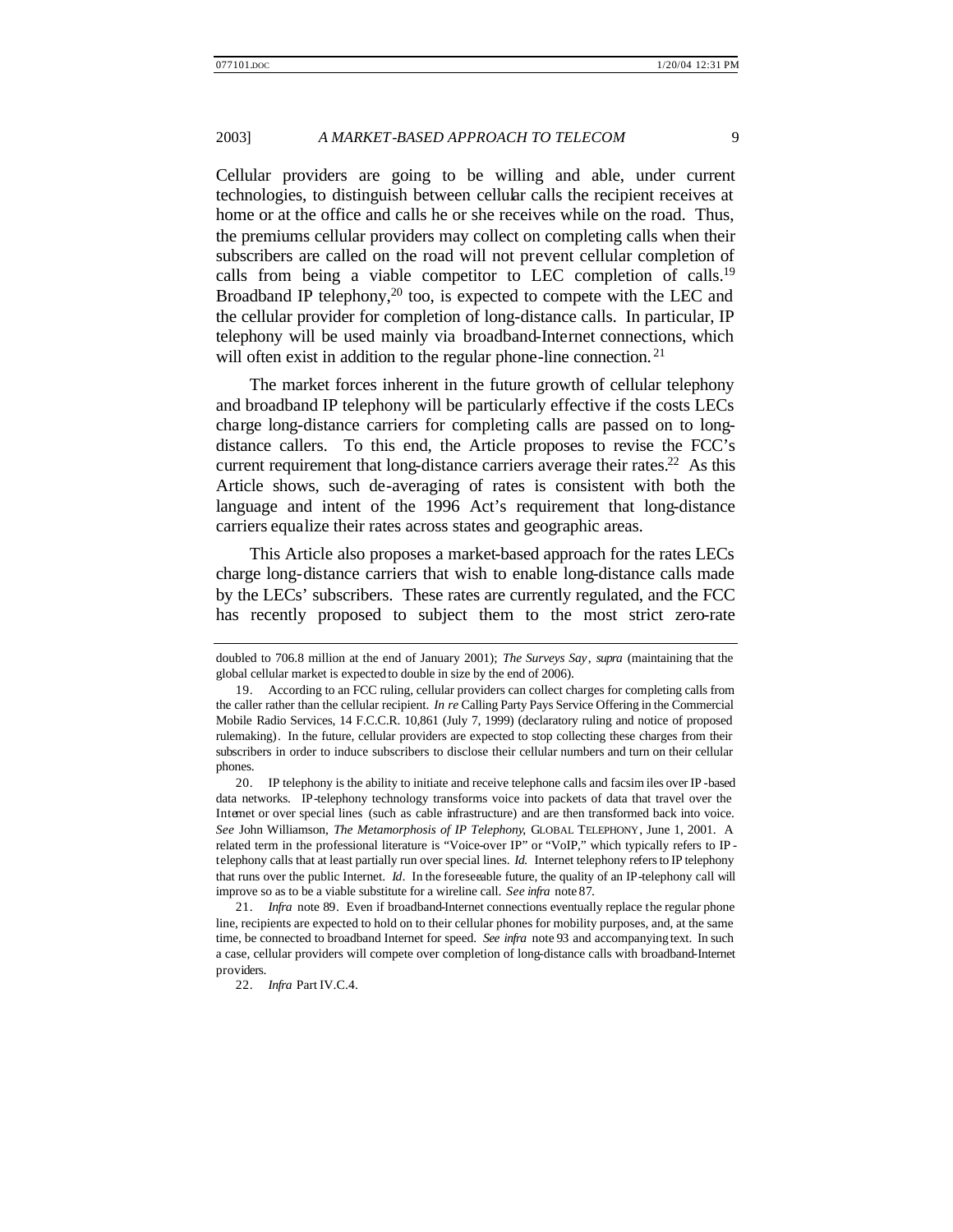Cellular providers are going to be willing and able, under current technologies, to distinguish between cellular calls the recipient receives at home or at the office and calls he or she receives while on the road. Thus, the premiums cellular providers may collect on completing calls when their subscribers are called on the road will not prevent cellular completion of calls from being a viable competitor to LEC completion of calls.<sup>19</sup> Broadband IP telephony,<sup>20</sup> too, is expected to compete with the LEC and the cellular provider for completion of long-distance calls. In particular, IP telephony will be used mainly via broadband-Internet connections, which will often exist in addition to the regular phone-line connection.<sup>21</sup>

The market forces inherent in the future growth of cellular telephony and broadband IP telephony will be particularly effective if the costs LECs charge long-distance carriers for completing calls are passed on to longdistance callers. To this end, the Article proposes to revise the FCC's current requirement that long-distance carriers average their rates.<sup>22</sup> As this Article shows, such de-averaging of rates is consistent with both the language and intent of the 1996 Act's requirement that long-distance carriers equalize their rates across states and geographic areas.

This Article also proposes a market-based approach for the rates LECs charge long-distance carriers that wish to enable long-distance calls made by the LECs' subscribers. These rates are currently regulated, and the FCC has recently proposed to subject them to the most strict zero-rate

20. IP telephony is the ability to initiate and receive telephone calls and facsim iles over IP -based data networks. IP-telephony technology transforms voice into packets of data that travel over the Internet or over special lines (such as cable infrastructure) and are then transformed back into voice. *See* John Williamson, *The Metamorphosis of IP Telephony*, GLOBAL TELEPHONY, June 1, 2001. A related term in the professional literature is "Voice-over IP" or "VoIP," which typically refers to IP telephony calls that at least partially run over special lines. *Id.* Internet telephony refers to IP telephony that runs over the public Internet. *Id.* In the foreseeable future, the quality of an IP-telephony call will improve so as to be a viable substitute for a wireline call. *See infra* note 87.

21. *Infra* note 89. Even if broadband-Internet connections eventually replace the regular phone line, recipients are expected to hold on to their cellular phones for mobility purposes, and, at the same time, be connected to broadband Internet for speed. *See infra* note 93 and accompanying text. In such a case, cellular providers will compete over completion of long-distance calls with broadband-Internet providers.

doubled to 706.8 million at the end of January 2001); *The Surveys Say*, *supra* (maintaining that the global cellular market is expected to double in size by the end of 2006).

<sup>19.</sup> According to an FCC ruling, cellular providers can collect charges for completing calls from the caller rather than the cellular recipient. *In re* Calling Party Pays Service Offering in the Commercial Mobile Radio Services, 14 F.C.C.R. 10,861 (July 7, 1999) (declaratory ruling and notice of proposed rulemaking). In the future, cellular providers are expected to stop collecting these charges from their subscribers in order to induce subscribers to disclose their cellular numbers and turn on their cellular phones.

<sup>22.</sup> *Infra* Part IV.C.4.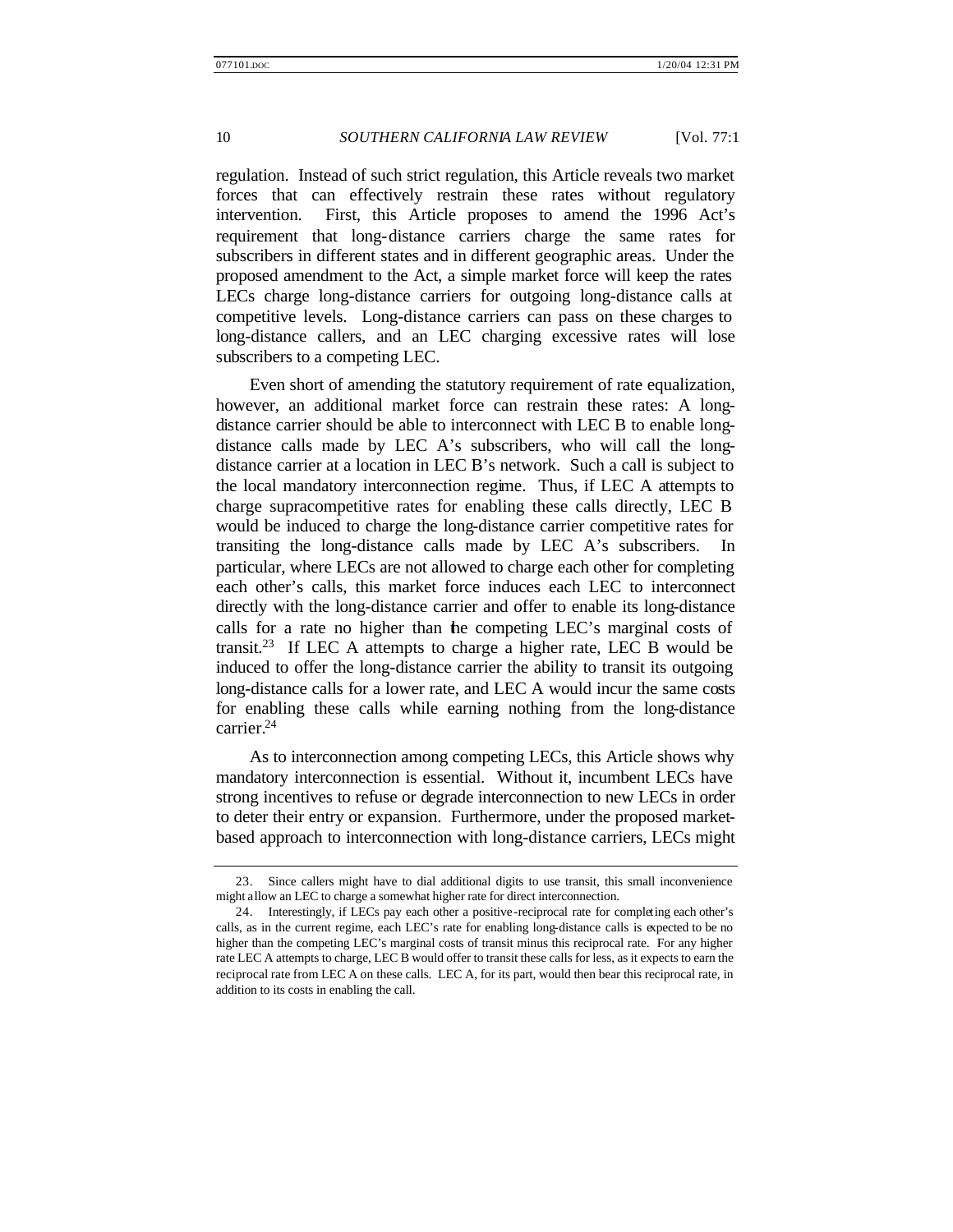regulation. Instead of such strict regulation, this Article reveals two market forces that can effectively restrain these rates without regulatory intervention. First, this Article proposes to amend the 1996 Act's requirement that long-distance carriers charge the same rates for subscribers in different states and in different geographic areas. Under the proposed amendment to the Act, a simple market force will keep the rates LECs charge long-distance carriers for outgoing long-distance calls at competitive levels. Long-distance carriers can pass on these charges to long-distance callers, and an LEC charging excessive rates will lose subscribers to a competing LEC.

Even short of amending the statutory requirement of rate equalization, however, an additional market force can restrain these rates: A longdistance carrier should be able to interconnect with LEC B to enable longdistance calls made by LEC A's subscribers, who will call the longdistance carrier at a location in LEC B's network. Such a call is subject to the local mandatory interconnection regime. Thus, if LEC A attempts to charge supracompetitive rates for enabling these calls directly, LEC B would be induced to charge the long-distance carrier competitive rates for transiting the long-distance calls made by LEC A's subscribers. In particular, where LECs are not allowed to charge each other for completing each other's calls, this market force induces each LEC to interconnect directly with the long-distance carrier and offer to enable its long-distance calls for a rate no higher than the competing LEC's marginal costs of transit.<sup>23</sup> If LEC A attempts to charge a higher rate, LEC B would be induced to offer the long-distance carrier the ability to transit its outgoing long-distance calls for a lower rate, and LEC A would incur the same costs for enabling these calls while earning nothing from the long-distance carrier.<sup>24</sup>

As to interconnection among competing LECs, this Article shows why mandatory interconnection is essential. Without it, incumbent LECs have strong incentives to refuse or degrade interconnection to new LECs in order to deter their entry or expansion. Furthermore, under the proposed marketbased approach to interconnection with long-distance carriers, LECs might

<sup>23.</sup> Since callers might have to dial additional digits to use transit, this small inconvenience might allow an LEC to charge a somewhat higher rate for direct interconnection.

<sup>24.</sup> Interestingly, if LECs pay each other a positive-reciprocal rate for completing each other's calls, as in the current regime, each LEC's rate for enabling long-distance calls is expected to be no higher than the competing LEC's marginal costs of transit minus this reciprocal rate. For any higher rate LEC A attempts to charge, LEC B would offer to transit these calls for less, as it expects to earn the reciprocal rate from LEC A on these calls. LEC A, for its part, would then bear this reciprocal rate, in addition to its costs in enabling the call.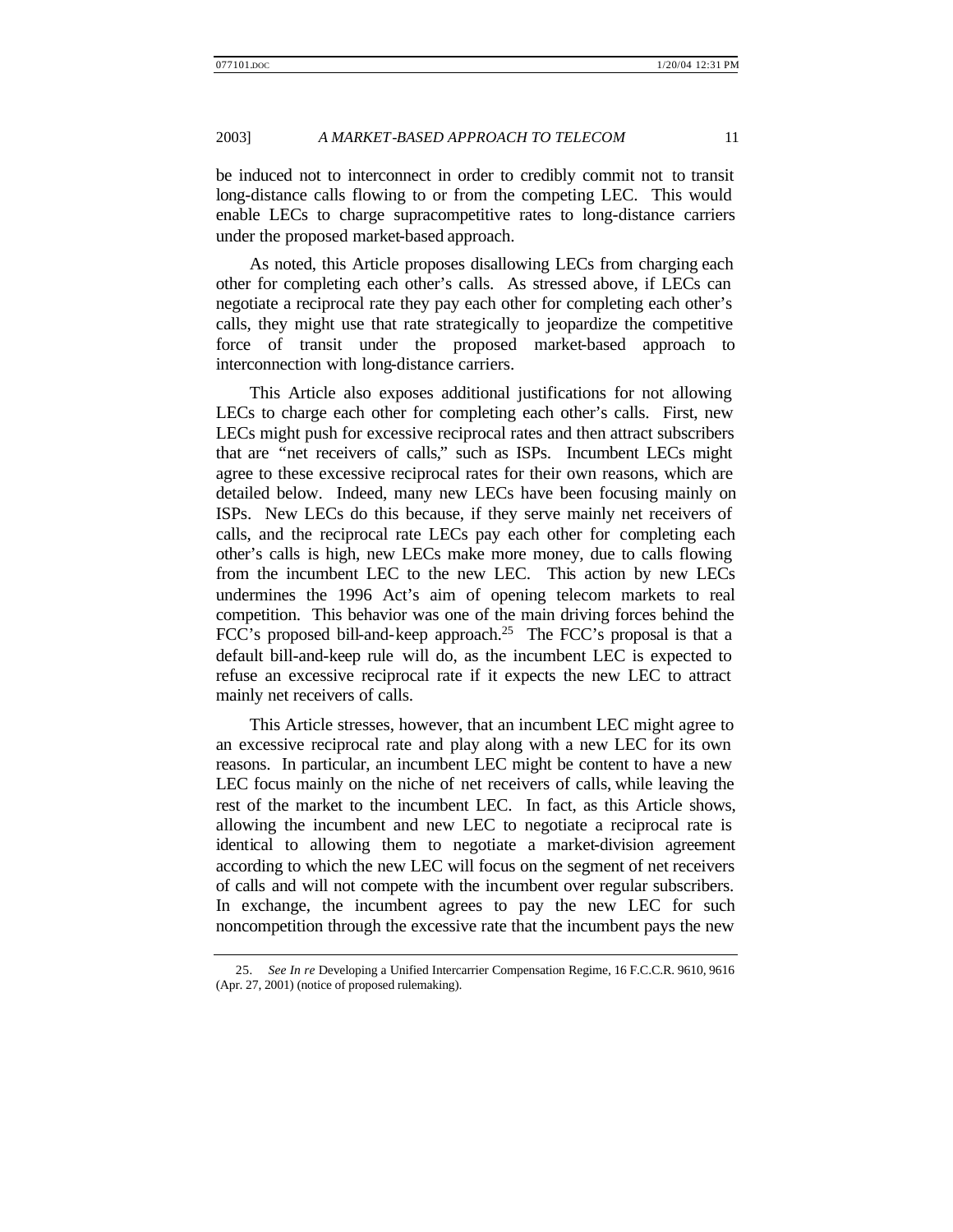be induced not to interconnect in order to credibly commit not to transit long-distance calls flowing to or from the competing LEC. This would enable LECs to charge supracompetitive rates to long-distance carriers under the proposed market-based approach.

As noted, this Article proposes disallowing LECs from charging each other for completing each other's calls. As stressed above, if LECs can negotiate a reciprocal rate they pay each other for completing each other's calls, they might use that rate strategically to jeopardize the competitive force of transit under the proposed market-based approach to interconnection with long-distance carriers.

This Article also exposes additional justifications for not allowing LECs to charge each other for completing each other's calls. First, new LECs might push for excessive reciprocal rates and then attract subscribers that are "net receivers of calls," such as ISPs. Incumbent LECs might agree to these excessive reciprocal rates for their own reasons, which are detailed below. Indeed, many new LECs have been focusing mainly on ISPs. New LECs do this because, if they serve mainly net receivers of calls, and the reciprocal rate LECs pay each other for completing each other's calls is high, new LECs make more money, due to calls flowing from the incumbent LEC to the new LEC. This action by new LECs undermines the 1996 Act's aim of opening telecom markets to real competition. This behavior was one of the main driving forces behind the FCC's proposed bill-and-keep approach.<sup>25</sup> The FCC's proposal is that a default bill-and-keep rule will do, as the incumbent LEC is expected to refuse an excessive reciprocal rate if it expects the new LEC to attract mainly net receivers of calls.

This Article stresses, however, that an incumbent LEC might agree to an excessive reciprocal rate and play along with a new LEC for its own reasons. In particular, an incumbent LEC might be content to have a new LEC focus mainly on the niche of net receivers of calls, while leaving the rest of the market to the incumbent LEC. In fact, as this Article shows, allowing the incumbent and new LEC to negotiate a reciprocal rate is identical to allowing them to negotiate a market-division agreement according to which the new LEC will focus on the segment of net receivers of calls and will not compete with the incumbent over regular subscribers. In exchange, the incumbent agrees to pay the new LEC for such noncompetition through the excessive rate that the incumbent pays the new

<sup>25</sup>*. See In re* Developing a Unified Intercarrier Compensation Regime, 16 F.C.C.R. 9610, 9616 (Apr. 27, 2001) (notice of proposed rulemaking).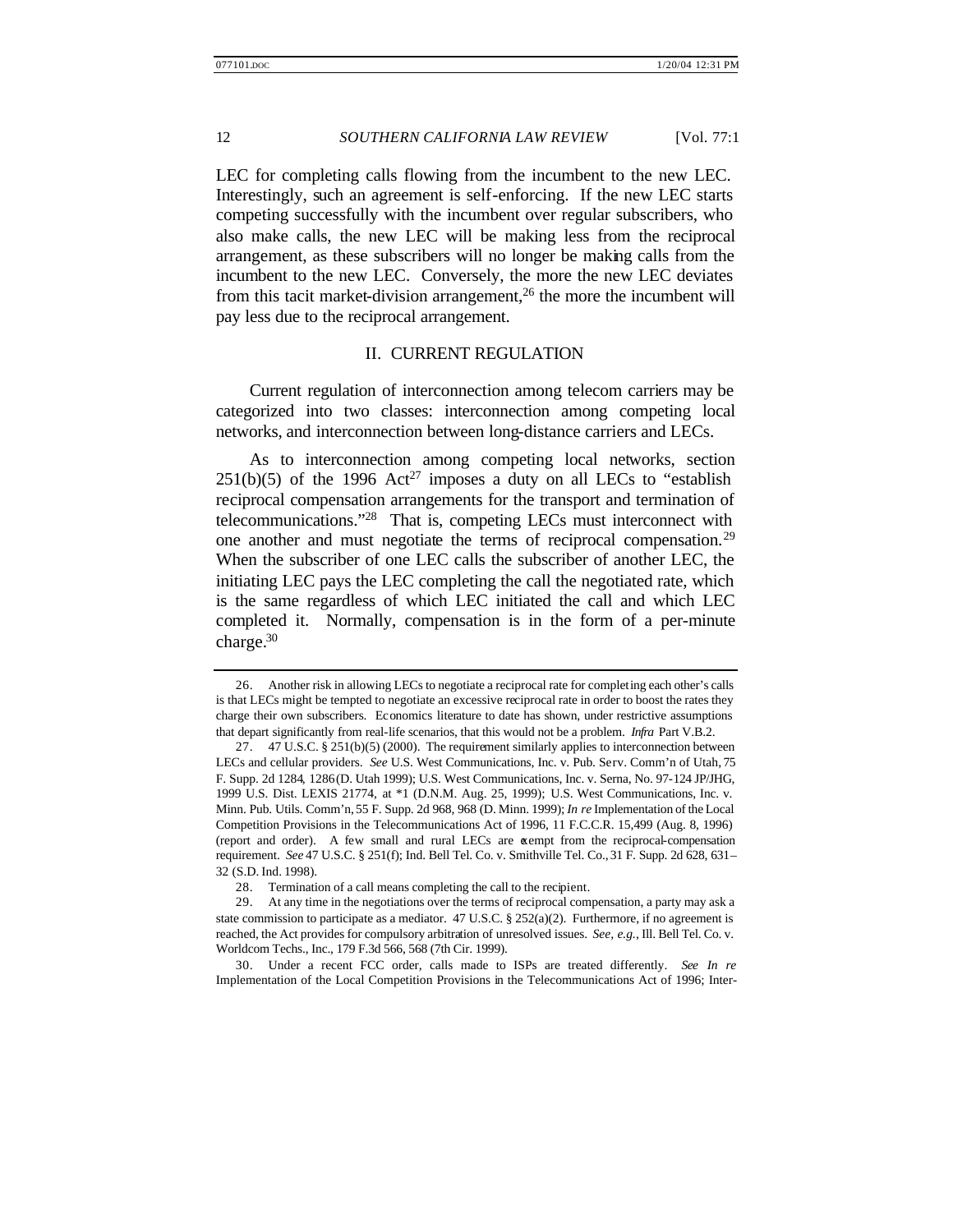LEC for completing calls flowing from the incumbent to the new LEC. Interestingly, such an agreement is self-enforcing. If the new LEC starts competing successfully with the incumbent over regular subscribers, who also make calls, the new LEC will be making less from the reciprocal arrangement, as these subscribers will no longer be making calls from the incumbent to the new LEC. Conversely, the more the new LEC deviates from this tacit market-division arrangement,<sup>26</sup> the more the incumbent will pay less due to the reciprocal arrangement.

#### II. CURRENT REGULATION

Current regulation of interconnection among telecom carriers may be categorized into two classes: interconnection among competing local networks, and interconnection between long-distance carriers and LECs.

As to interconnection among competing local networks, section  $251(b)(5)$  of the 1996 Act<sup>27</sup> imposes a duty on all LECs to "establish" reciprocal compensation arrangements for the transport and termination of telecommunications."<sup>28</sup> That is, competing LECs must interconnect with one another and must negotiate the terms of reciprocal compensation.<sup>29</sup> When the subscriber of one LEC calls the subscriber of another LEC, the initiating LEC pays the LEC completing the call the negotiated rate, which is the same regardless of which LEC initiated the call and which LEC completed it. Normally, compensation is in the form of a per-minute charge.<sup>30</sup>

30. Under a recent FCC order, calls made to ISPs are treated differently. *See In re* Implementation of the Local Competition Provisions in the Telecommunications Act of 1996; Inter-

<sup>26.</sup> Another risk in allowing LECs to negotiate a reciprocal rate for completing each other's calls is that LECs might be tempted to negotiate an excessive reciprocal rate in order to boost the rates they charge their own subscribers. Economics literature to date has shown, under restrictive assumptions that depart significantly from real-life scenarios, that this would not be a problem. *Infra* Part V.B.2.

<sup>27.</sup> 47 U.S.C. § 251(b)(5) (2000). The requirement similarly applies to interconnection between LECs and cellular providers. *See* U.S. West Communications, Inc. v. Pub. Serv. Comm'n of Utah, 75 F. Supp. 2d 1284, 1286(D. Utah 1999); U.S. West Communications, Inc. v. Serna, No. 97-124 JP/JHG, 1999 U.S. Dist. LEXIS 21774, at \*1 (D.N.M. Aug. 25, 1999); U.S. West Communications, Inc. v. Minn. Pub. Utils. Comm'n, 55 F. Supp. 2d 968, 968 (D. Minn. 1999); *In re* Implementation of the Local Competition Provisions in the Telecommunications Act of 1996, 11 F.C.C.R. 15,499 (Aug. 8, 1996) (report and order). A few small and rural LECs are exempt from the reciprocal-compensation requirement. *See* 47 U.S.C. § 251(f); Ind. Bell Tel. Co. v. Smithville Tel. Co., 31 F. Supp. 2d 628, 631– 32 (S.D. Ind. 1998).

<sup>28.</sup> Termination of a call means completing the call to the recipient.

<sup>29.</sup> At any time in the negotiations over the terms of reciprocal compensation, a party may ask a state commission to participate as a mediator. 47 U.S.C.  $\S 252(a)(2)$ . Furthermore, if no agreement is reached, the Act provides for compulsory arbitration of unresolved issues. *See, e.g.*, Ill. Bell Tel. Co. v. Worldcom Techs., Inc., 179 F.3d 566, 568 (7th Cir. 1999).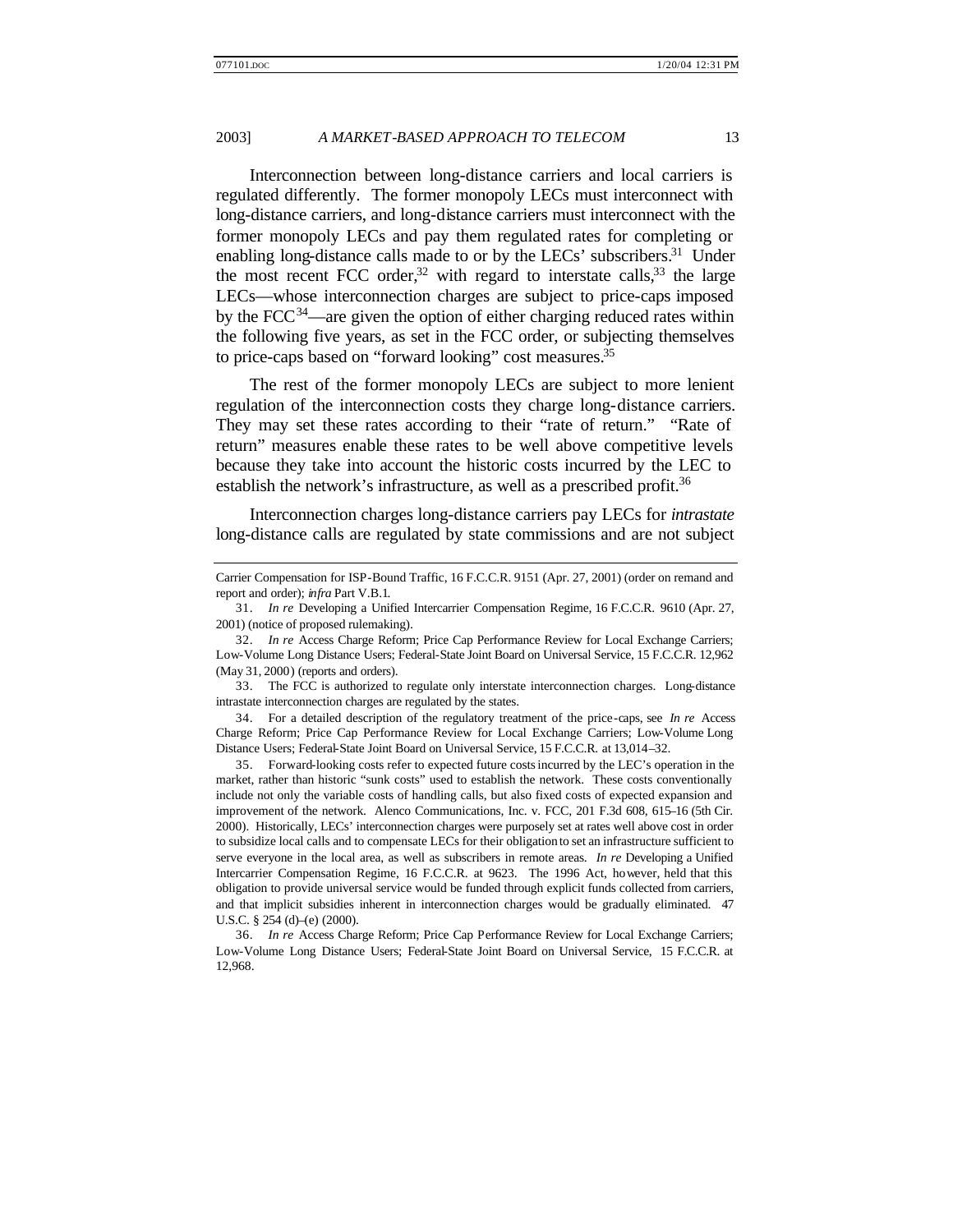Interconnection between long-distance carriers and local carriers is regulated differently. The former monopoly LECs must interconnect with long-distance carriers, and long-distance carriers must interconnect with the former monopoly LECs and pay them regulated rates for completing or enabling long-distance calls made to or by the LECs' subscribers.<sup>31</sup> Under the most recent FCC order,<sup>32</sup> with regard to interstate calls,<sup>33</sup> the large LECs—whose interconnection charges are subject to price-caps imposed by the FCC $^{34}$ —are given the option of either charging reduced rates within the following five years, as set in the FCC order, or subjecting themselves to price-caps based on "forward looking" cost measures.<sup>35</sup>

The rest of the former monopoly LECs are subject to more lenient regulation of the interconnection costs they charge long-distance carriers. They may set these rates according to their "rate of return." "Rate of return" measures enable these rates to be well above competitive levels because they take into account the historic costs incurred by the LEC to establish the network's infrastructure, as well as a prescribed profit.<sup>36</sup>

Interconnection charges long-distance carriers pay LECs for *intrastate* long-distance calls are regulated by state commissions and are not subject

33. The FCC is authorized to regulate only interstate interconnection charges. Long-distance intrastate interconnection charges are regulated by the states.

34. For a detailed description of the regulatory treatment of the price-caps, see *In re* Access Charge Reform; Price Cap Performance Review for Local Exchange Carriers; Low-Volume Long Distance Users; Federal-State Joint Board on Universal Service, 15 F.C.C.R. at 13,014–32.

35. Forward-looking costs refer to expected future costs incurred by the LEC's operation in the market, rather than historic "sunk costs" used to establish the network. These costs conventionally include not only the variable costs of handling calls, but also fixed costs of expected expansion and improvement of the network. Alenco Communications, Inc. v. FCC, 201 F.3d 608, 615–16 (5th Cir. 2000). Historically, LECs' interconnection charges were purposely set at rates well above cost in order to subsidize local calls and to compensate LECs for their obligation to set an infrastructure sufficient to serve everyone in the local area, as well as subscribers in remote areas. *In re* Developing a Unified Intercarrier Compensation Regime, 16 F.C.C.R. at 9623. The 1996 Act, however, held that this obligation to provide universal service would be funded through explicit funds collected from carriers, and that implicit subsidies inherent in interconnection charges would be gradually eliminated. 47 U.S.C. § 254 (d)–(e) (2000).

36. *In re* Access Charge Reform; Price Cap Performance Review for Local Exchange Carriers; Low-Volume Long Distance Users; Federal-State Joint Board on Universal Service, 15 F.C.C.R. at 12,968.

Carrier Compensation for ISP-Bound Traffic, 16 F.C.C.R. 9151 (Apr. 27, 2001) (order on remand and report and order); *infra* Part V.B.1.

<sup>31.</sup> *In re* Developing a Unified Intercarrier Compensation Regime, 16 F.C.C.R. 9610 (Apr. 27, 2001) (notice of proposed rulemaking).

<sup>32.</sup> *In re* Access Charge Reform; Price Cap Performance Review for Local Exchange Carriers; Low-Volume Long Distance Users; Federal-State Joint Board on Universal Service, 15 F.C.C.R. 12,962 (May 31, 2000) (reports and orders).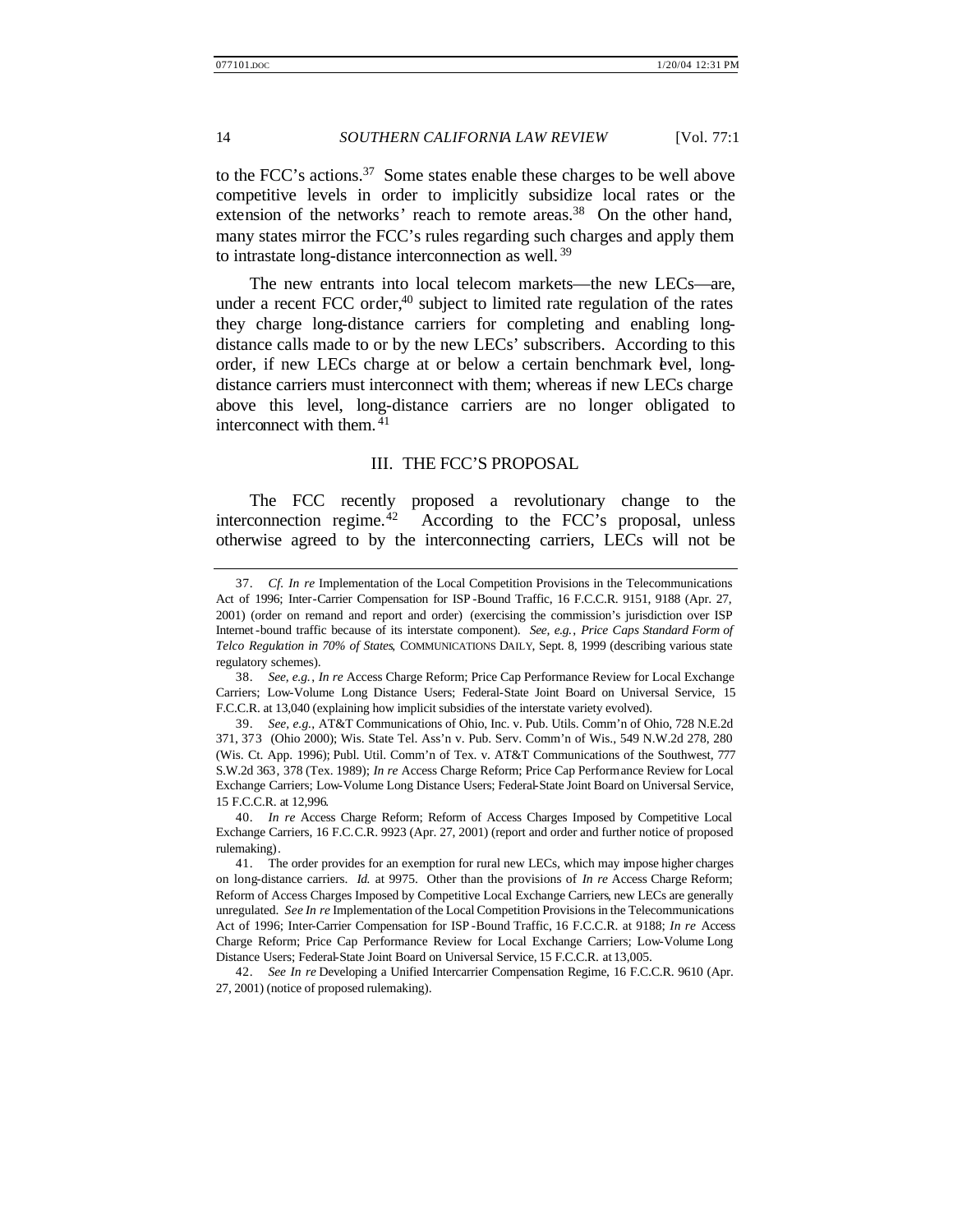to the FCC's actions.<sup>37</sup> Some states enable these charges to be well above competitive levels in order to implicitly subsidize local rates or the extension of the networks' reach to remote areas.<sup>38</sup> On the other hand, many states mirror the FCC's rules regarding such charges and apply them to intrastate long-distance interconnection as well. <sup>39</sup>

The new entrants into local telecom markets—the new LECs—are, under a recent FCC order, $40$  subject to limited rate regulation of the rates they charge long-distance carriers for completing and enabling longdistance calls made to or by the new LECs' subscribers. According to this order, if new LECs charge at or below a certain benchmark level, longdistance carriers must interconnect with them; whereas if new LECs charge above this level, long-distance carriers are no longer obligated to interconnect with them.<sup>41</sup>

#### III. THE FCC'S PROPOSAL

The FCC recently proposed a revolutionary change to the interconnection regime.<sup>42</sup> According to the FCC's proposal, unless otherwise agreed to by the interconnecting carriers, LECs will not be

42. *See In re* Developing a Unified Intercarrier Compensation Regime, 16 F.C.C.R. 9610 (Apr. 27, 2001) (notice of proposed rulemaking).

<sup>37.</sup> *Cf. In re* Implementation of the Local Competition Provisions in the Telecommunications Act of 1996; Inter-Carrier Compensation for ISP -Bound Traffic, 16 F.C.C.R. 9151, 9188 (Apr. 27, 2001) (order on remand and report and order) (exercising the commission's jurisdiction over ISP Internet-bound traffic because of its interstate component). *See, e.g.*, *Price Caps Standard Form of Telco Regulation in 70% of States*, COMMUNICATIONS DAILY, Sept. 8, 1999 (describing various state regulatory schemes).

<sup>38.</sup> *See, e.g.*, *In re* Access Charge Reform; Price Cap Performance Review for Local Exchange Carriers; Low-Volume Long Distance Users; Federal-State Joint Board on Universal Service, 15 F.C.C.R. at 13,040 (explaining how implicit subsidies of the interstate variety evolved).

<sup>39.</sup> *See, e.g.*, AT&T Communications of Ohio, Inc. v. Pub. Utils. Comm'n of Ohio, 728 N.E.2d 371, 373 (Ohio 2000); Wis. State Tel. Ass'n v. Pub. Serv. Comm'n of Wis., 549 N.W.2d 278, 280 (Wis. Ct. App. 1996); Publ. Util. Comm'n of Tex. v. AT&T Communications of the Southwest, 777 S.W.2d 363, 378 (Tex. 1989); *In re* Access Charge Reform; Price Cap Performance Review for Local Exchange Carriers; Low-Volume Long Distance Users; Federal-State Joint Board on Universal Service, 15 F.C.C.R. at 12,996.

<sup>40.</sup> *In re* Access Charge Reform; Reform of Access Charges Imposed by Competitive Local Exchange Carriers, 16 F.C.C.R. 9923 (Apr. 27, 2001) (report and order and further notice of proposed rulemaking).

<sup>41.</sup> The order provides for an exemption for rural new LECs, which may impose higher charges on long-distance carriers. *Id.* at 9975. Other than the provisions of *In re* Access Charge Reform; Reform of Access Charges Imposed by Competitive Local Exchange Carriers, new LECs are generally unregulated. *See In re* Implementation of the Local Competition Provisions in the Telecommunications Act of 1996; Inter-Carrier Compensation for ISP -Bound Traffic, 16 F.C.C.R. at 9188; *In re* Access Charge Reform; Price Cap Performance Review for Local Exchange Carriers; Low-Volume Long Distance Users; Federal-State Joint Board on Universal Service, 15 F.C.C.R. at 13,005.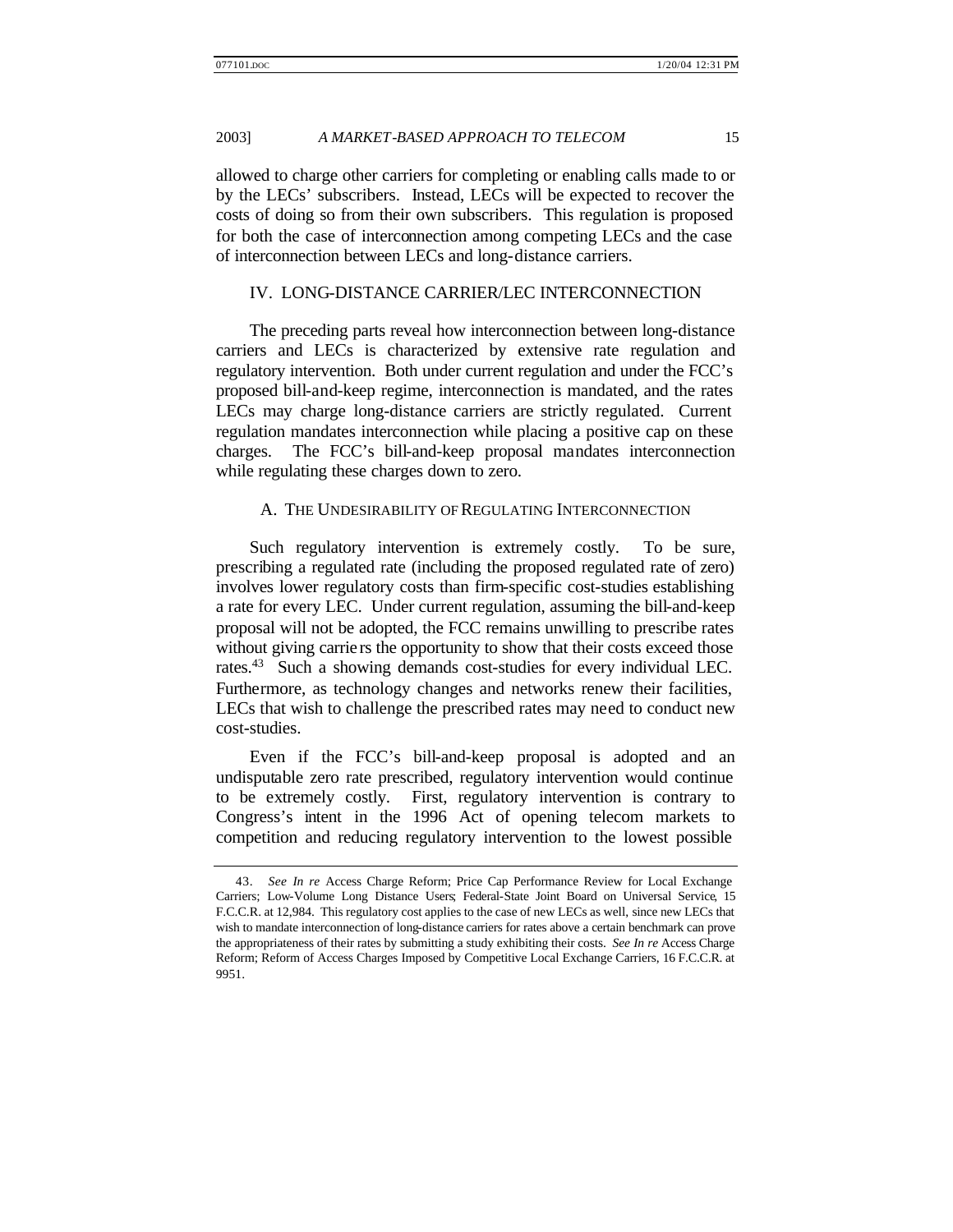allowed to charge other carriers for completing or enabling calls made to or by the LECs' subscribers. Instead, LECs will be expected to recover the costs of doing so from their own subscribers. This regulation is proposed for both the case of interconnection among competing LECs and the case of interconnection between LECs and long-distance carriers.

# IV. LONG-DISTANCE CARRIER/LEC INTERCONNECTION

The preceding parts reveal how interconnection between long-distance carriers and LECs is characterized by extensive rate regulation and regulatory intervention. Both under current regulation and under the FCC's proposed bill-and-keep regime, interconnection is mandated, and the rates LECs may charge long-distance carriers are strictly regulated. Current regulation mandates interconnection while placing a positive cap on these charges. The FCC's bill-and-keep proposal mandates interconnection while regulating these charges down to zero.

#### A. THE UNDESIRABILITY OF REGULATING INTERCONNECTION

Such regulatory intervention is extremely costly. To be sure, prescribing a regulated rate (including the proposed regulated rate of zero) involves lower regulatory costs than firm-specific cost-studies establishing a rate for every LEC. Under current regulation, assuming the bill-and-keep proposal will not be adopted, the FCC remains unwilling to prescribe rates without giving carrie rs the opportunity to show that their costs exceed those rates.<sup>43</sup> Such a showing demands cost-studies for every individual LEC. Furthermore, as technology changes and networks renew their facilities, LECs that wish to challenge the prescribed rates may need to conduct new cost-studies.

Even if the FCC's bill-and-keep proposal is adopted and an undisputable zero rate prescribed, regulatory intervention would continue to be extremely costly. First, regulatory intervention is contrary to Congress's intent in the 1996 Act of opening telecom markets to competition and reducing regulatory intervention to the lowest possible

<sup>43.</sup> *See In re* Access Charge Reform; Price Cap Performance Review for Local Exchange Carriers; Low-Volume Long Distance Users; Federal-State Joint Board on Universal Service, 15 F.C.C.R. at 12,984. This regulatory cost applies to the case of new LECs as well, since new LECs that wish to mandate interconnection of long-distance carriers for rates above a certain benchmark can prove the appropriateness of their rates by submitting a study exhibiting their costs. *See In re* Access Charge Reform; Reform of Access Charges Imposed by Competitive Local Exchange Carriers, 16 F.C.C.R. at 9951.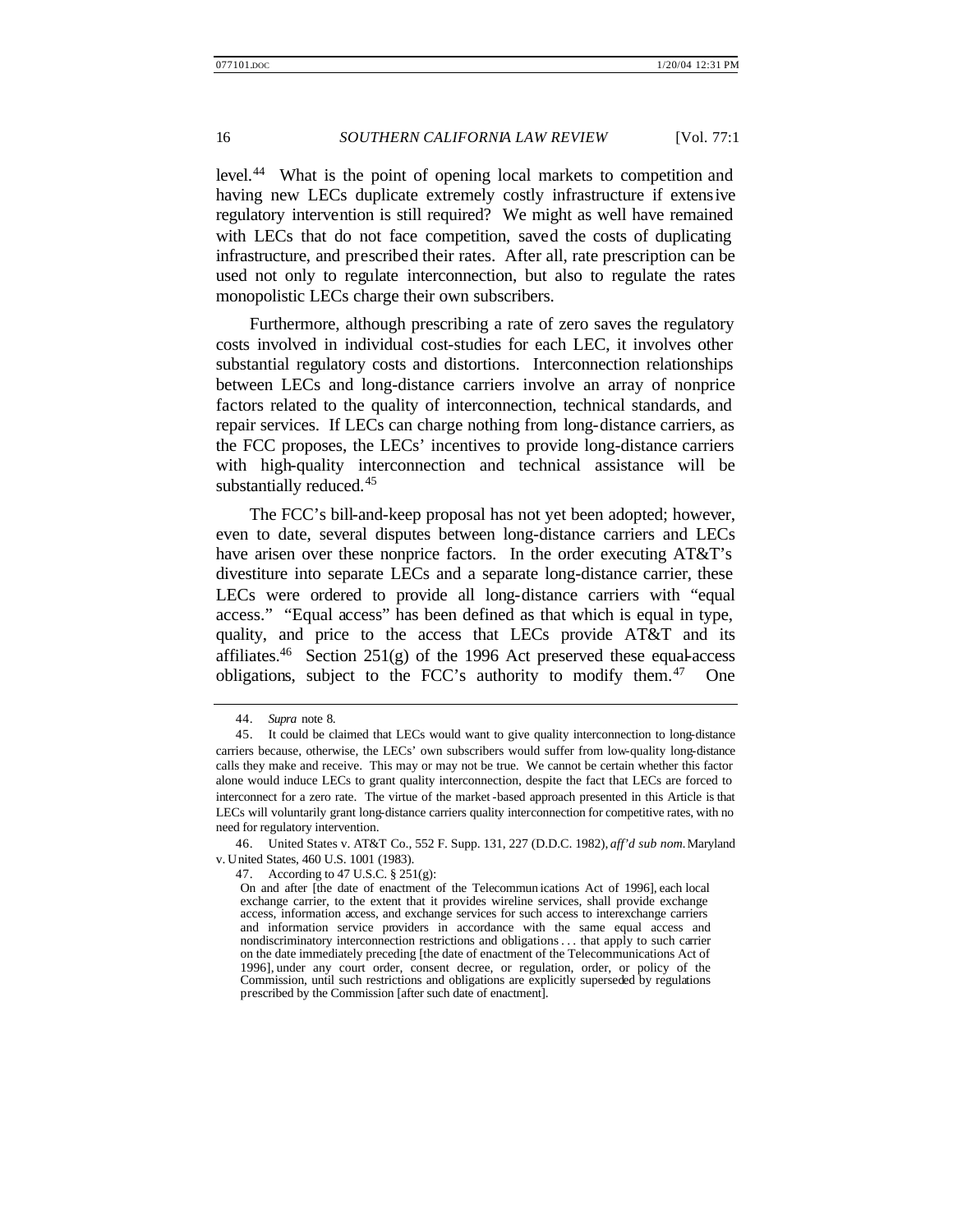level.<sup>44</sup> What is the point of opening local markets to competition and having new LECs duplicate extremely costly infrastructure if extensive regulatory intervention is still required? We might as well have remained with LECs that do not face competition, saved the costs of duplicating infrastructure, and prescribed their rates. After all, rate prescription can be used not only to regulate interconnection, but also to regulate the rates monopolistic LECs charge their own subscribers.

Furthermore, although prescribing a rate of zero saves the regulatory costs involved in individual cost-studies for each LEC, it involves other substantial regulatory costs and distortions. Interconnection relationships between LECs and long-distance carriers involve an array of nonprice factors related to the quality of interconnection, technical standards, and repair services. If LECs can charge nothing from long-distance carriers, as the FCC proposes, the LECs' incentives to provide long-distance carriers with high-quality interconnection and technical assistance will be substantially reduced.<sup>45</sup>

The FCC's bill-and-keep proposal has not yet been adopted; however, even to date, several disputes between long-distance carriers and LECs have arisen over these nonprice factors. In the order executing AT&T's divestiture into separate LECs and a separate long-distance carrier, these LECs were ordered to provide all long-distance carriers with "equal access." "Equal access" has been defined as that which is equal in type, quality, and price to the access that LECs provide AT&T and its affiliates.<sup>46</sup> Section 251(g) of the 1996 Act preserved these equal-access obligations, subject to the FCC's authority to modify them.<sup>47</sup> One

<sup>44.</sup> *Supra* note 8.

<sup>45.</sup> It could be claimed that LECs would want to give quality interconnection to long-distance carriers because, otherwise, the LECs' own subscribers would suffer from low-quality long-distance calls they make and receive. This may or may not be true. We cannot be certain whether this factor alone would induce LECs to grant quality interconnection, despite the fact that LECs are forced to interconnect for a zero rate. The virtue of the market -based approach presented in this Article is that LECs will voluntarily grant long-distance carriers quality interconnection for competitive rates, with no need for regulatory intervention.

<sup>46.</sup> United States v. AT&T Co., 552 F. Supp. 131, 227 (D.D.C. 1982), *aff'd sub nom.*Maryland v. United States, 460 U.S. 1001 (1983).

<sup>47.</sup> According to 47 U.S.C. § 251(g):

On and after [the date of enactment of the Telecommun ications Act of 1996], each local exchange carrier, to the extent that it provides wireline services, shall provide exchange access, information access, and exchange services for such access to interexchange carriers and information service providers in accordance with the same equal access and nondiscriminatory interconnection restrictions and obligations. . . that apply to such carrier on the date immediately preceding [the date of enactment of the Telecommunications Act of 1996], under any court order, consent decree, or regulation, order, or policy of the Commission, until such restrictions and obligations are explicitly superseded by regulations prescribed by the Commission [after such date of enactment].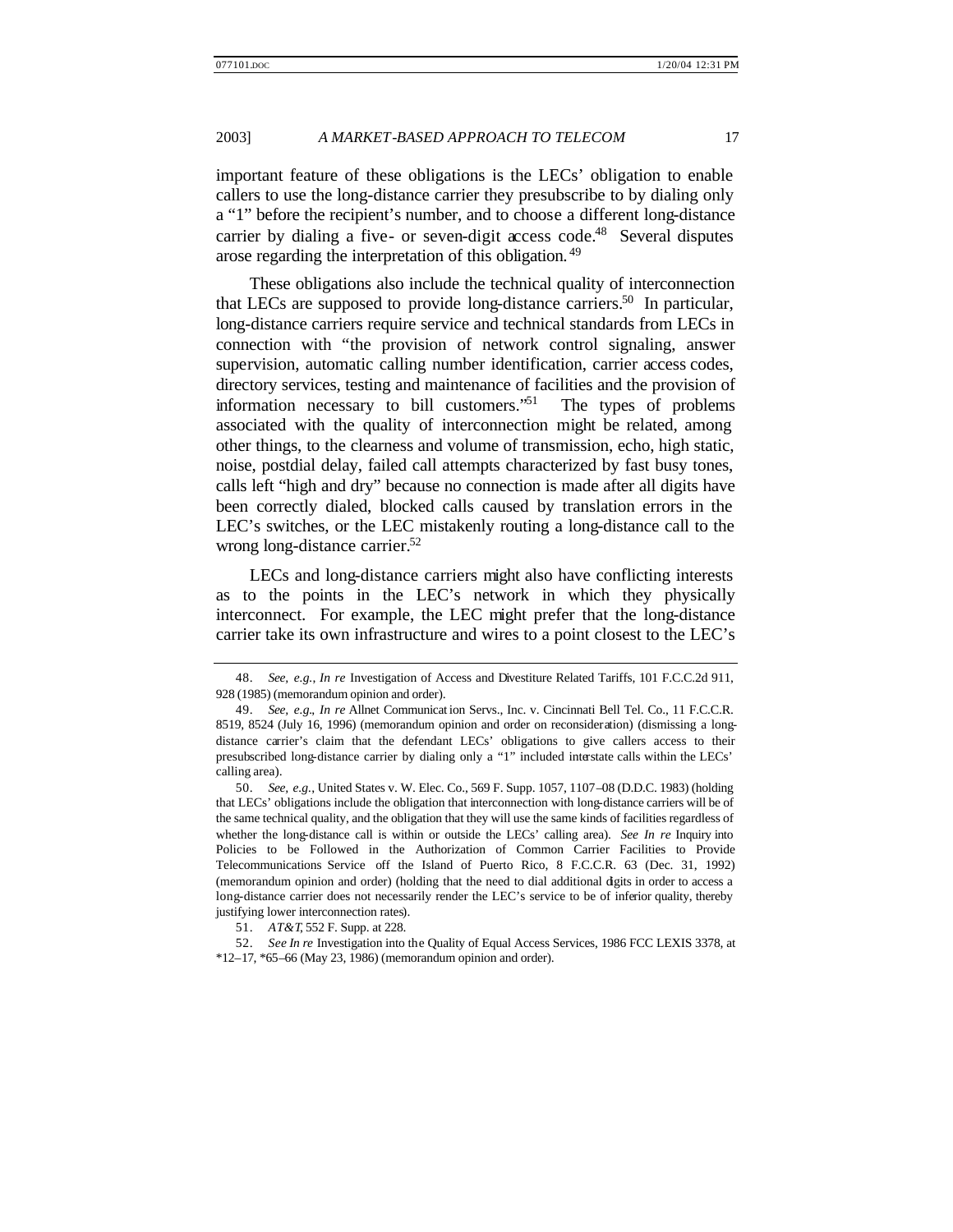important feature of these obligations is the LECs' obligation to enable callers to use the long-distance carrier they presubscribe to by dialing only a "1" before the recipient's number, and to choose a different long-distance carrier by dialing a five- or seven-digit access code.<sup>48</sup> Several disputes arose regarding the interpretation of this obligation. <sup>49</sup>

These obligations also include the technical quality of interconnection that LECs are supposed to provide long-distance carriers.<sup>50</sup> In particular, long-distance carriers require service and technical standards from LECs in connection with "the provision of network control signaling, answer supervision, automatic calling number identification, carrier access codes, directory services, testing and maintenance of facilities and the provision of information necessary to bill customers."<sup>51</sup> The types of problems associated with the quality of interconnection might be related, among other things, to the clearness and volume of transmission, echo, high static, noise, postdial delay, failed call attempts characterized by fast busy tones, calls left "high and dry" because no connection is made after all digits have been correctly dialed, blocked calls caused by translation errors in the LEC's switches, or the LEC mistakenly routing a long-distance call to the wrong long-distance carrier.<sup>52</sup>

LECs and long-distance carriers might also have conflicting interests as to the points in the LEC's network in which they physically interconnect. For example, the LEC might prefer that the long-distance carrier take its own infrastructure and wires to a point closest to the LEC's

<sup>48.</sup> *See, e.g.*, *In re* Investigation of Access and Divestiture Related Tariffs, 101 F.C.C.2d 911, 928 (1985) (memorandum opinion and order).

<sup>49.</sup> *See, e.g.*, *In re* Allnet Communicat ion Servs., Inc. v. Cincinnati Bell Tel. Co., 11 F.C.C.R. 8519, 8524 (July 16, 1996) (memorandum opinion and order on reconsideration) (dismissing a longdistance carrier's claim that the defendant LECs' obligations to give callers access to their presubscribed long-distance carrier by dialing only a "1" included interstate calls within the LECs' calling area).

<sup>50.</sup> *See, e.g.*, United States v. W. Elec. Co., 569 F. Supp. 1057, 1107–08 (D.D.C. 1983) (holding that LECs' obligations include the obligation that interconnection with long-distance carriers will be of the same technical quality, and the obligation that they will use the same kinds of facilities regardless of whether the long-distance call is within or outside the LECs' calling area). *See In re* Inquiry into Policies to be Followed in the Authorization of Common Carrier Facilities to Provide Telecommunications Service off the Island of Puerto Rico, 8 F.C.C.R. 63 (Dec. 31, 1992) (memorandum opinion and order) (holding that the need to dial additional digits in order to access a long-distance carrier does not necessarily render the LEC's service to be of inferior quality, thereby justifying lower interconnection rates).

<sup>51.</sup> *AT&T*, 552 F. Supp. at 228.

<sup>52.</sup> *See In re* Investigation into the Quality of Equal Access Services, 1986 FCC LEXIS 3378, at \*12–17, \*65–66 (May 23, 1986) (memorandum opinion and order).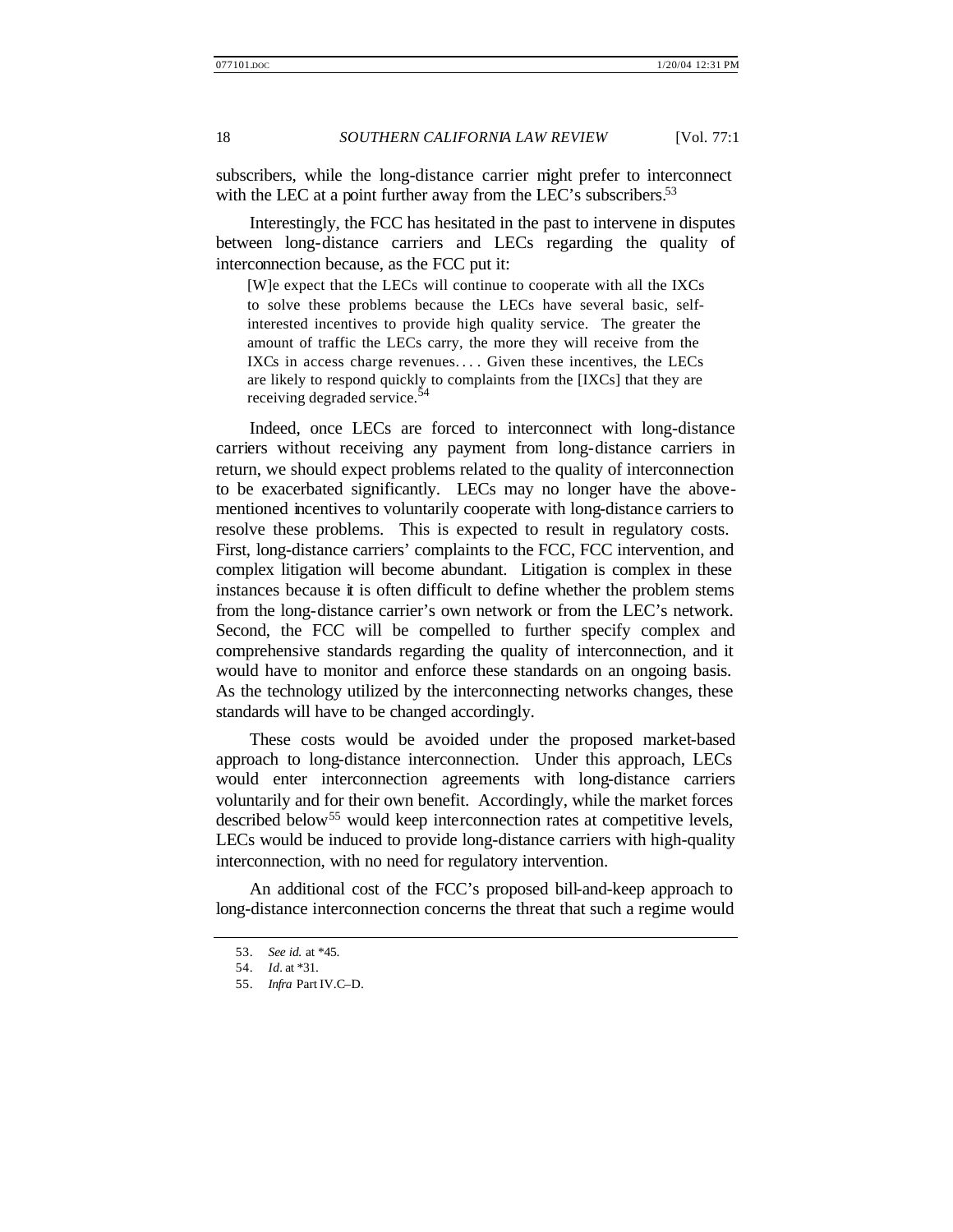subscribers, while the long-distance carrier might prefer to interconnect with the LEC at a point further away from the LEC's subscribers.<sup>53</sup>

Interestingly, the FCC has hesitated in the past to intervene in disputes between long-distance carriers and LECs regarding the quality of interconnection because, as the FCC put it:

[W]e expect that the LECs will continue to cooperate with all the IXCs to solve these problems because the LECs have several basic, selfinterested incentives to provide high quality service. The greater the amount of traffic the LECs carry, the more they will receive from the IXCs in access charge revenues.... Given these incentives, the LECs are likely to respond quickly to complaints from the [IXCs] that they are receiving degraded service.<sup>54</sup>

Indeed, once LECs are forced to interconnect with long-distance carriers without receiving any payment from long-distance carriers in return, we should expect problems related to the quality of interconnection to be exacerbated significantly. LECs may no longer have the abovementioned incentives to voluntarily cooperate with long-distance carriers to resolve these problems. This is expected to result in regulatory costs. First, long-distance carriers' complaints to the FCC, FCC intervention, and complex litigation will become abundant. Litigation is complex in these instances because it is often difficult to define whether the problem stems from the long-distance carrier's own network or from the LEC's network. Second, the FCC will be compelled to further specify complex and comprehensive standards regarding the quality of interconnection, and it would have to monitor and enforce these standards on an ongoing basis. As the technology utilized by the interconnecting networks changes, these standards will have to be changed accordingly.

These costs would be avoided under the proposed market-based approach to long-distance interconnection. Under this approach, LECs would enter interconnection agreements with long-distance carriers voluntarily and for their own benefit. Accordingly, while the market forces described below<sup>55</sup> would keep interconnection rates at competitive levels, LECs would be induced to provide long-distance carriers with high-quality interconnection, with no need for regulatory intervention.

An additional cost of the FCC's proposed bill-and-keep approach to long-distance interconnection concerns the threat that such a regime would

<sup>53.</sup> *See id.* at \*45.

<sup>54.</sup> *Id.* at \*31.

<sup>55.</sup> *Infra* Part IV.C–D.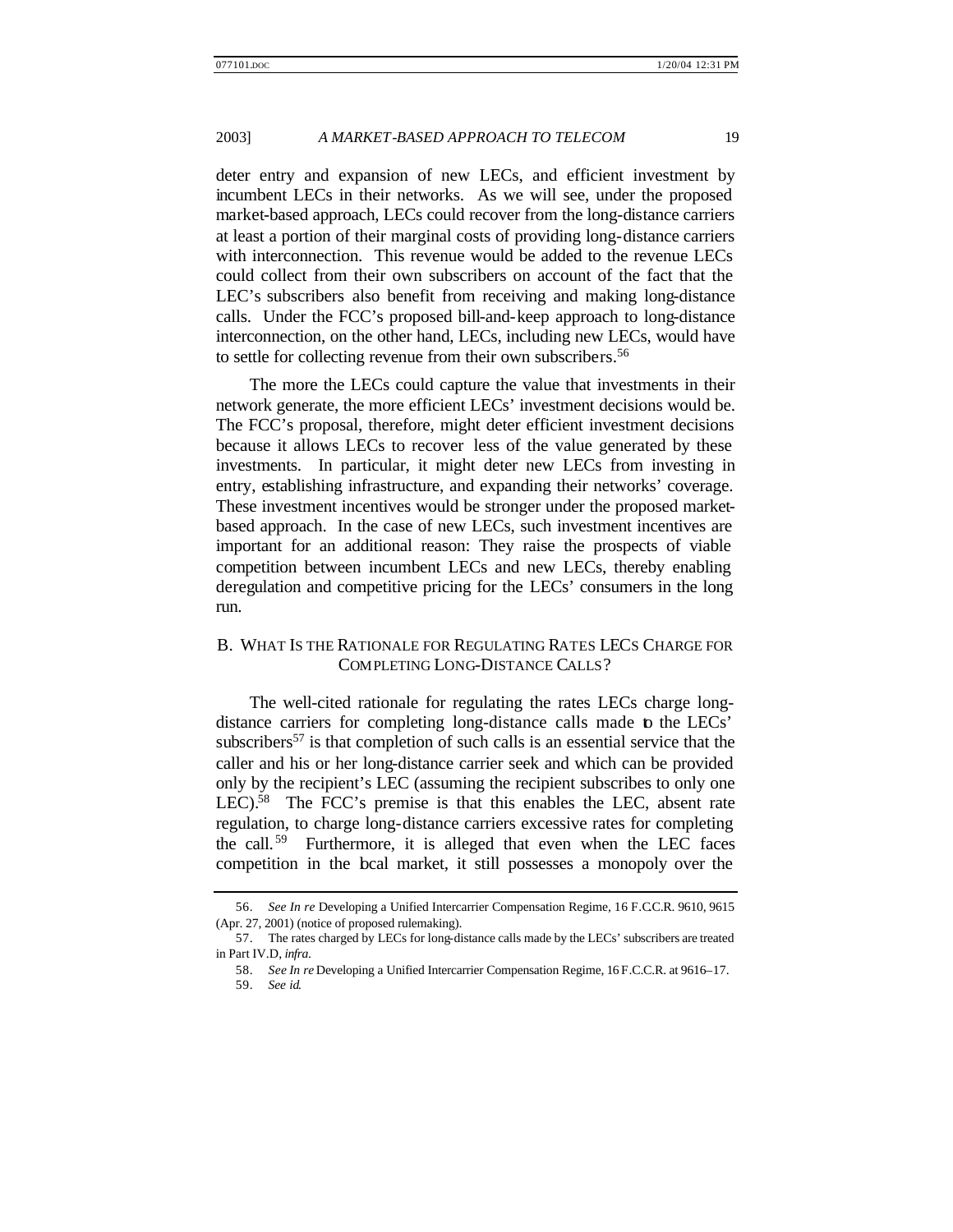deter entry and expansion of new LECs, and efficient investment by incumbent LECs in their networks. As we will see, under the proposed market-based approach, LECs could recover from the long-distance carriers at least a portion of their marginal costs of providing long-distance carriers with interconnection. This revenue would be added to the revenue LECs could collect from their own subscribers on account of the fact that the LEC's subscribers also benefit from receiving and making long-distance calls. Under the FCC's proposed bill-and-keep approach to long-distance interconnection, on the other hand, LECs, including new LECs, would have to settle for collecting revenue from their own subscribers.<sup>56</sup>

The more the LECs could capture the value that investments in their network generate, the more efficient LECs' investment decisions would be. The FCC's proposal, therefore, might deter efficient investment decisions because it allows LECs to recover less of the value generated by these investments. In particular, it might deter new LECs from investing in entry, establishing infrastructure, and expanding their networks' coverage. These investment incentives would be stronger under the proposed marketbased approach. In the case of new LECs, such investment incentives are important for an additional reason: They raise the prospects of viable competition between incumbent LECs and new LECs, thereby enabling deregulation and competitive pricing for the LECs' consumers in the long run.

# B. WHAT IS THE RATIONALE FOR REGULATING RATES LECS CHARGE FOR COMPLETING LONG-DISTANCE CALLS?

The well-cited rationale for regulating the rates LECs charge longdistance carriers for completing long-distance calls made to the LECs' subscribers<sup>57</sup> is that completion of such calls is an essential service that the caller and his or her long-distance carrier seek and which can be provided only by the recipient's LEC (assuming the recipient subscribes to only one LEC).<sup>58</sup> The FCC's premise is that this enables the LEC, absent rate regulation, to charge long-distance carriers excessive rates for completing the call.<sup>59</sup> Furthermore, it is alleged that even when the LEC faces competition in the bcal market, it still possesses a monopoly over the

<sup>56.</sup> *See In re* Developing a Unified Intercarrier Compensation Regime, 16 F.C.C.R. 9610, 9615 (Apr. 27, 2001) (notice of proposed rulemaking).

<sup>57.</sup> The rates charged by LECs for long-distance calls made by the LECs' subscribers are treated in Part IV.D, *infra*.

<sup>58.</sup> *See In re* Developing a Unified Intercarrier Compensation Regime, 16 F.C.C.R. at 9616–17.

<sup>59.</sup> *See id.*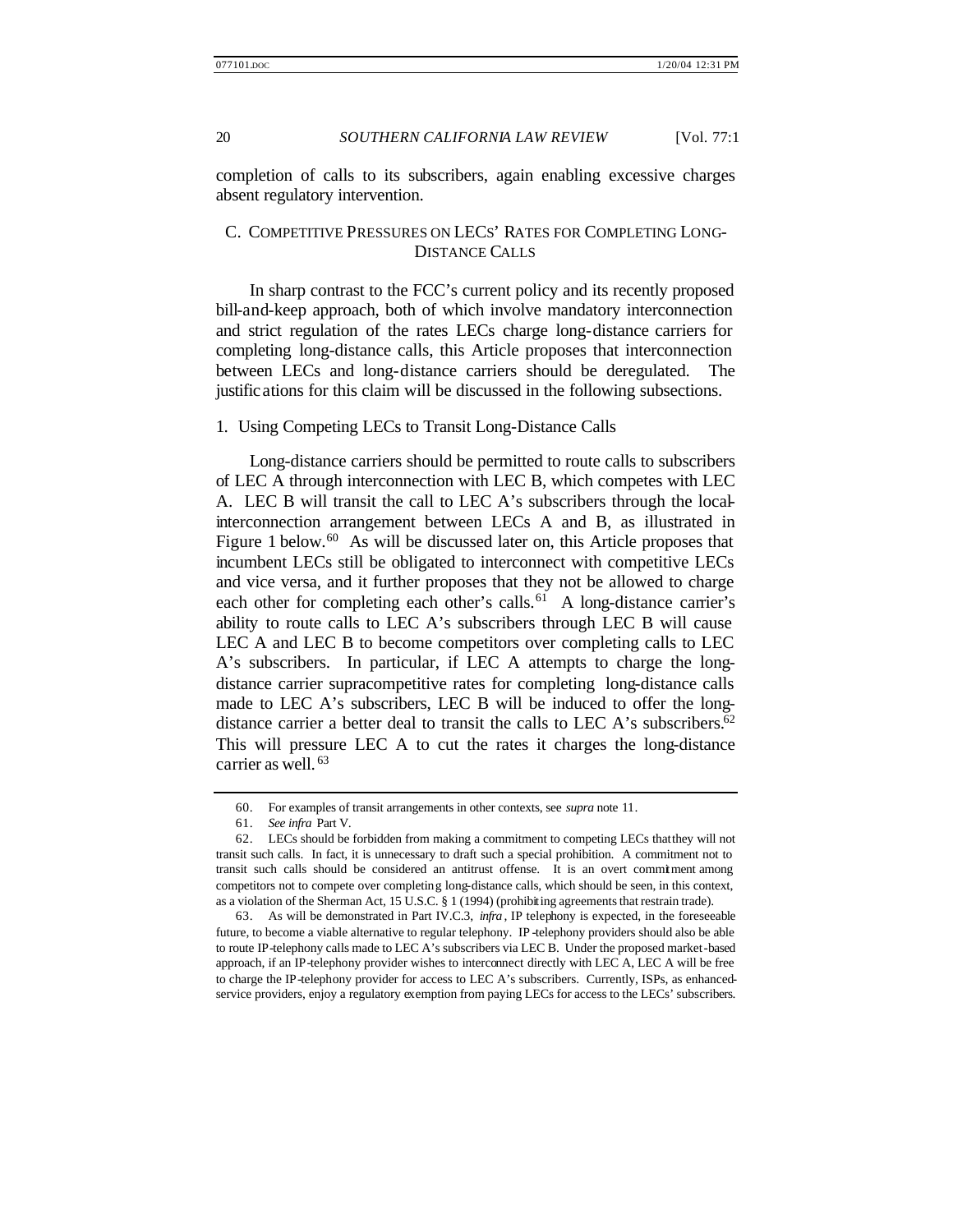completion of calls to its subscribers, again enabling excessive charges absent regulatory intervention.

# C. COMPETITIVE PRESSURES ON LECS' RATES FOR COMPLETING LONG-DISTANCE CALLS

In sharp contrast to the FCC's current policy and its recently proposed bill-and-keep approach, both of which involve mandatory interconnection and strict regulation of the rates LECs charge long-distance carriers for completing long-distance calls, this Article proposes that interconnection between LECs and long-distance carriers should be deregulated. The justifications for this claim will be discussed in the following subsections.

#### 1. Using Competing LECs to Transit Long-Distance Calls

Long-distance carriers should be permitted to route calls to subscribers of LEC A through interconnection with LEC B, which competes with LEC A. LEC B will transit the call to LEC A's subscribers through the localinterconnection arrangement between LECs A and B, as illustrated in Figure 1 below.<sup>60</sup> As will be discussed later on, this Article proposes that incumbent LECs still be obligated to interconnect with competitive LECs and vice versa, and it further proposes that they not be allowed to charge each other for completing each other's calls.<sup>61</sup> A long-distance carrier's ability to route calls to LEC A's subscribers through LEC B will cause LEC A and LEC B to become competitors over completing calls to LEC A's subscribers. In particular, if LEC A attempts to charge the longdistance carrier supracompetitive rates for completing long-distance calls made to LEC A's subscribers, LEC B will be induced to offer the longdistance carrier a better deal to transit the calls to LEC A's subscribers.<sup>62</sup> This will pressure LEC A to cut the rates it charges the long-distance carrier as well. <sup>63</sup>

<sup>60.</sup> For examples of transit arrangements in other contexts, see *supra* note 11.

<sup>61.</sup> *See infra* Part V.

<sup>62.</sup> LECs should be forbidden from making a commitment to competing LECs that they will not transit such calls. In fact, it is unnecessary to draft such a special prohibition. A commitment not to transit such calls should be considered an antitrust offense. It is an overt commitment among competitors not to compete over completing long-distance calls, which should be seen, in this context, as a violation of the Sherman Act, 15 U.S.C. § 1 (1994) (prohibiting agreements that restrain trade).

<sup>63.</sup> As will be demonstrated in Part IV.C.3, *infra* , IP telephony is expected, in the foreseeable future, to become a viable alternative to regular telephony. IP -telephony providers should also be able to route IP-telephony calls made to LEC A's subscribers via LEC B. Under the proposed market-based approach, if an IP-telephony provider wishes to interconnect directly with LEC A, LEC A will be free to charge the IP-telephony provider for access to LEC A's subscribers. Currently, ISPs, as enhancedservice providers, enjoy a regulatory exemption from paying LECs for access to the LECs' subscribers.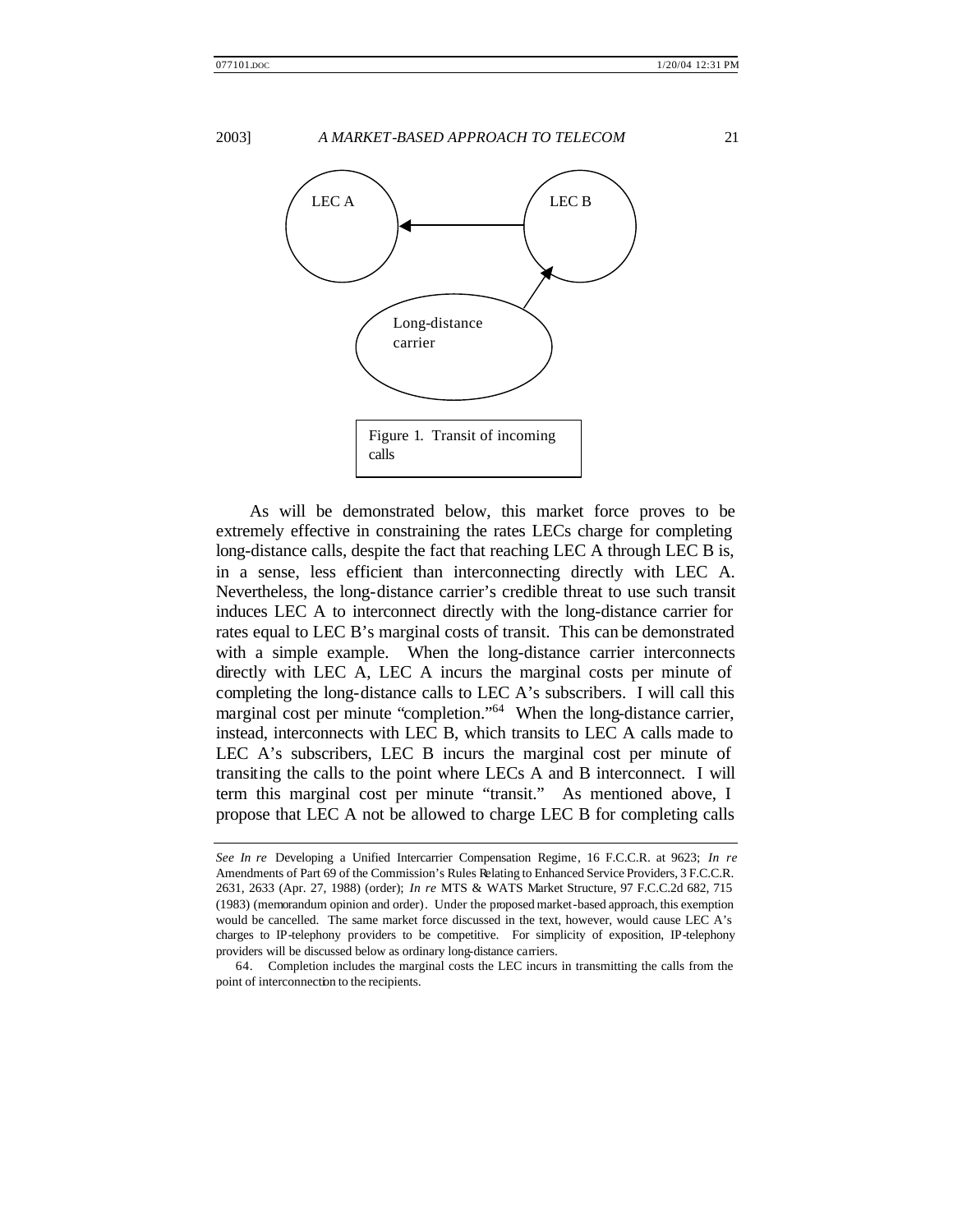

As will be demonstrated below, this market force proves to be extremely effective in constraining the rates LECs charge for completing long-distance calls, despite the fact that reaching LEC A through LEC B is, in a sense, less efficient than interconnecting directly with LEC A. Nevertheless, the long-distance carrier's credible threat to use such transit induces LEC A to interconnect directly with the long-distance carrier for rates equal to LEC B's marginal costs of transit. This can be demonstrated with a simple example. When the long-distance carrier interconnects directly with LEC A, LEC A incurs the marginal costs per minute of completing the long-distance calls to LEC A's subscribers. I will call this marginal cost per minute "completion."<sup>64</sup> When the long-distance carrier, instead, interconnects with LEC B, which transits to LEC A calls made to LEC A's subscribers, LEC B incurs the marginal cost per minute of transiting the calls to the point where LECs A and B interconnect. I will term this marginal cost per minute "transit." As mentioned above, I propose that LEC A not be allowed to charge LEC B for completing calls

*See In re* Developing a Unified Intercarrier Compensation Regime, 16 F.C.C.R. at 9623; *In re* Amendments of Part 69 of the Commission's Rules Relating to Enhanced Service Providers, 3 F.C.C.R. 2631, 2633 (Apr. 27, 1988) (order); *In re* MTS & WATS Market Structure, 97 F.C.C.2d 682, 715 (1983) (memorandum opinion and order). Under the proposed market-based approach, this exemption would be cancelled. The same market force discussed in the text, however, would cause LEC A's charges to IP-telephony providers to be competitive. For simplicity of exposition, IP-telephony providers will be discussed below as ordinary long-distance carriers.

<sup>64.</sup> Completion includes the marginal costs the LEC incurs in transmitting the calls from the point of interconnection to the recipients.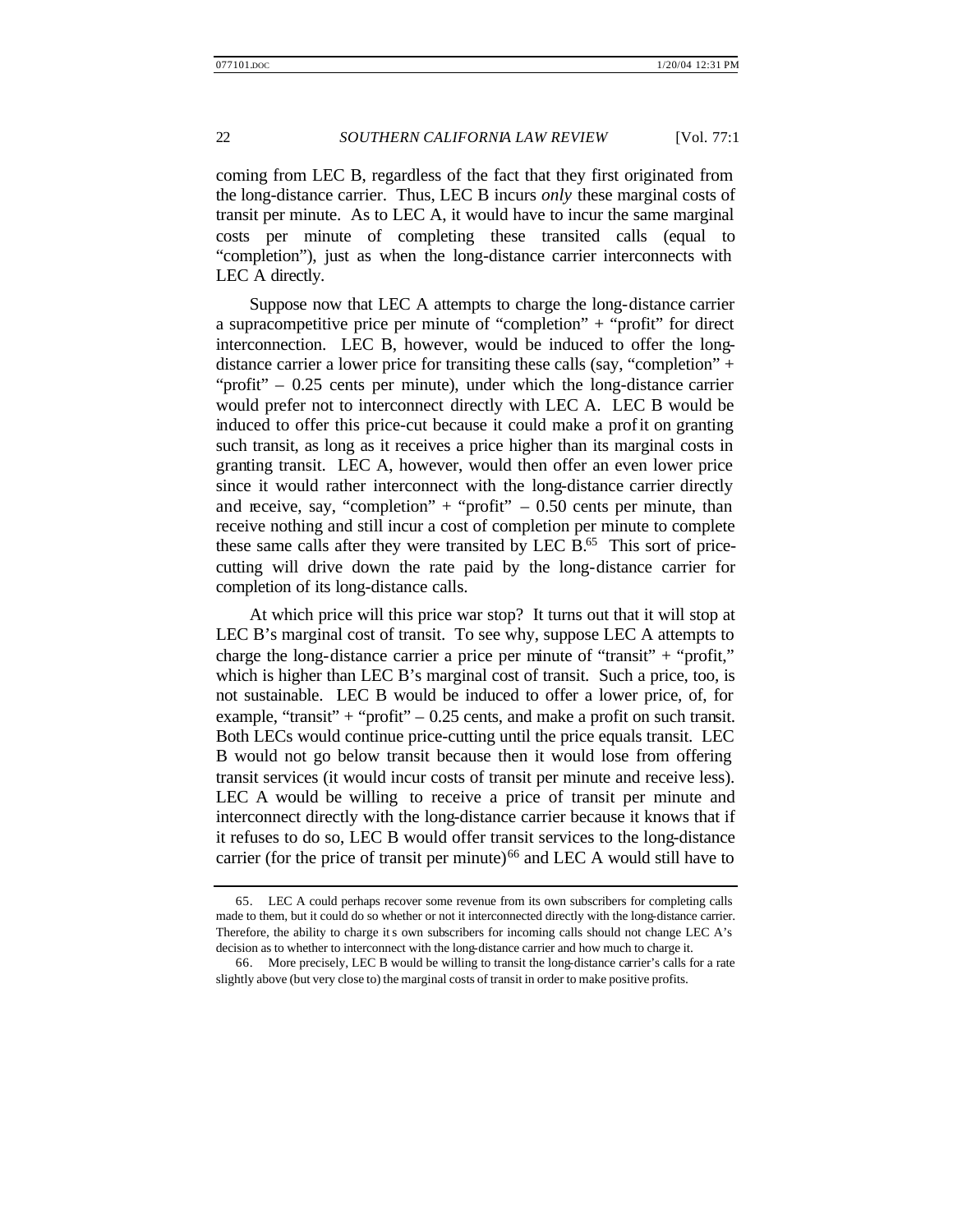coming from LEC B, regardless of the fact that they first originated from the long-distance carrier. Thus, LEC B incurs *only* these marginal costs of transit per minute. As to LEC A, it would have to incur the same marginal costs per minute of completing these transited calls (equal to "completion"), just as when the long-distance carrier interconnects with LEC A directly.

Suppose now that LEC A attempts to charge the long-distance carrier a supracompetitive price per minute of "completion" + "profit" for direct interconnection. LEC B, however, would be induced to offer the longdistance carrier a lower price for transiting these calls (say, "completion" + "profit" – 0.25 cents per minute), under which the long-distance carrier would prefer not to interconnect directly with LEC A. LEC B would be induced to offer this price-cut because it could make a profit on granting such transit, as long as it receives a price higher than its marginal costs in granting transit. LEC A, however, would then offer an even lower price since it would rather interconnect with the long-distance carrier directly and receive, say, "completion" + "profit"  $-0.50$  cents per minute, than receive nothing and still incur a cost of completion per minute to complete these same calls after they were transited by LEC B.<sup>65</sup> This sort of pricecutting will drive down the rate paid by the long-distance carrier for completion of its long-distance calls.

At which price will this price war stop? It turns out that it will stop at LEC B's marginal cost of transit. To see why, suppose LEC A attempts to charge the long-distance carrier a price per minute of "transit" + "profit," which is higher than LEC B's marginal cost of transit. Such a price, too, is not sustainable. LEC B would be induced to offer a lower price, of, for example, "transit" + "profit"  $-0.25$  cents, and make a profit on such transit. Both LECs would continue price-cutting until the price equals transit. LEC B would not go below transit because then it would lose from offering transit services (it would incur costs of transit per minute and receive less). LEC A would be willing to receive a price of transit per minute and interconnect directly with the long-distance carrier because it knows that if it refuses to do so, LEC B would offer transit services to the long-distance carrier (for the price of transit per minute)<sup>66</sup> and LEC A would still have to

<sup>65.</sup> LEC A could perhaps recover some revenue from its own subscribers for completing calls made to them, but it could do so whether or not it interconnected directly with the long-distance carrier. Therefore, the ability to charge its own subscribers for incoming calls should not change LEC A's decision as to whether to interconnect with the long-distance carrier and how much to charge it.

<sup>66.</sup> More precisely, LEC B would be willing to transit the long-distance carrier's calls for a rate slightly above (but very close to) the marginal costs of transit in order to make positive profits.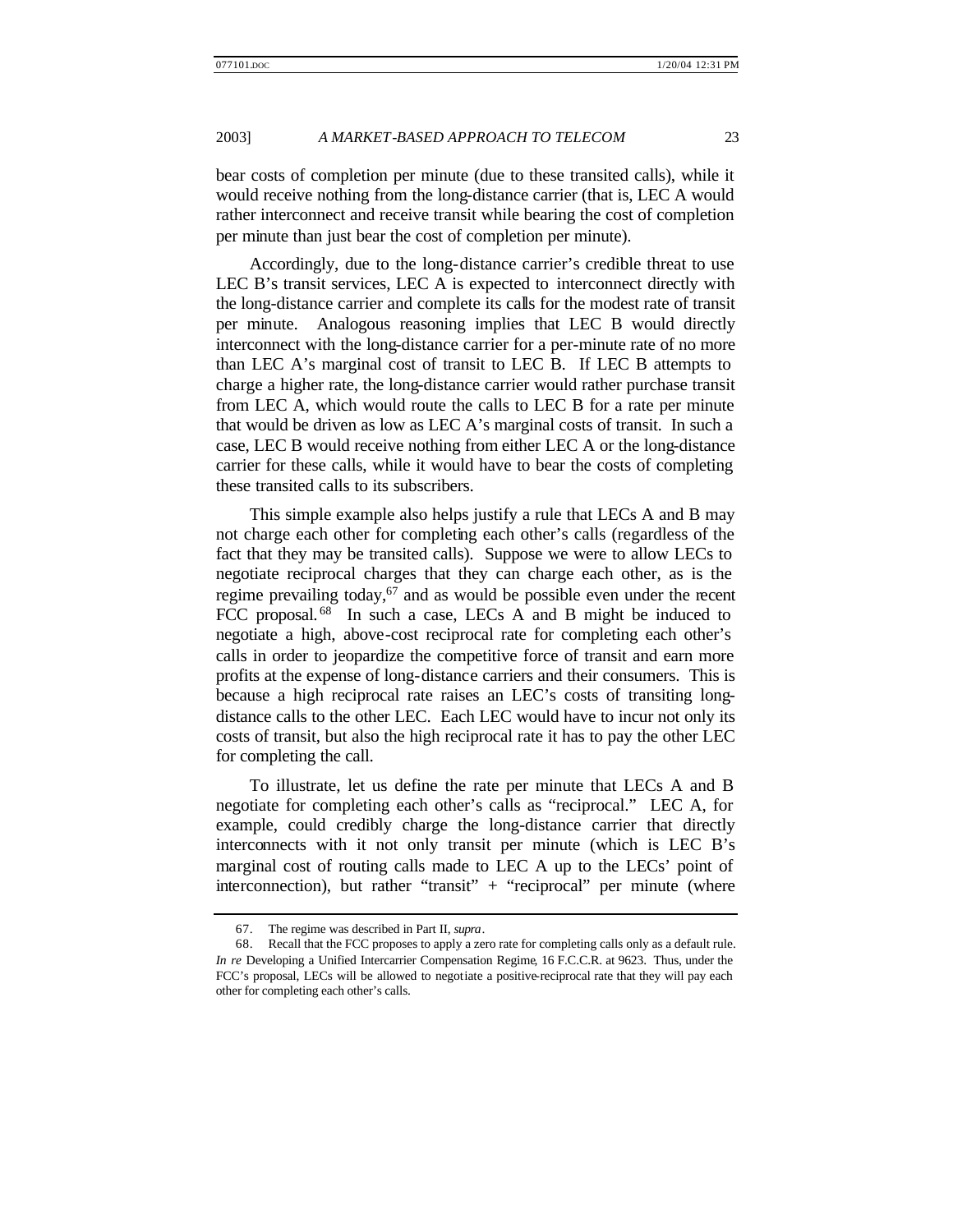bear costs of completion per minute (due to these transited calls), while it would receive nothing from the long-distance carrier (that is, LEC A would rather interconnect and receive transit while bearing the cost of completion per minute than just bear the cost of completion per minute).

Accordingly, due to the long-distance carrier's credible threat to use LEC B's transit services, LEC A is expected to interconnect directly with the long-distance carrier and complete its calls for the modest rate of transit per minute. Analogous reasoning implies that LEC B would directly interconnect with the long-distance carrier for a per-minute rate of no more than LEC A's marginal cost of transit to LEC B. If LEC B attempts to charge a higher rate, the long-distance carrier would rather purchase transit from LEC A, which would route the calls to LEC B for a rate per minute that would be driven as low as LEC A's marginal costs of transit. In such a case, LEC B would receive nothing from either LEC A or the long-distance carrier for these calls, while it would have to bear the costs of completing these transited calls to its subscribers.

This simple example also helps justify a rule that LECs A and B may not charge each other for completing each other's calls (regardless of the fact that they may be transited calls). Suppose we were to allow LECs to negotiate reciprocal charges that they can charge each other, as is the regime prevailing today,  $67$  and as would be possible even under the recent FCC proposal.<sup>68</sup> In such a case, LECs A and B might be induced to negotiate a high, above-cost reciprocal rate for completing each other's calls in order to jeopardize the competitive force of transit and earn more profits at the expense of long-distance carriers and their consumers. This is because a high reciprocal rate raises an LEC's costs of transiting longdistance calls to the other LEC. Each LEC would have to incur not only its costs of transit, but also the high reciprocal rate it has to pay the other LEC for completing the call.

To illustrate, let us define the rate per minute that LECs A and B negotiate for completing each other's calls as "reciprocal." LEC A, for example, could credibly charge the long-distance carrier that directly interconnects with it not only transit per minute (which is LEC B's marginal cost of routing calls made to LEC A up to the LECs' point of interconnection), but rather "transit" + "reciprocal" per minute (where

<sup>67.</sup> The regime was described in Part II, *supra*.

<sup>68.</sup> Recall that the FCC proposes to apply a zero rate for completing calls only as a default rule. *In re* Developing a Unified Intercarrier Compensation Regime, 16 F.C.C.R. at 9623. Thus, under the FCC's proposal, LECs will be allowed to negotiate a positive-reciprocal rate that they will pay each other for completing each other's calls.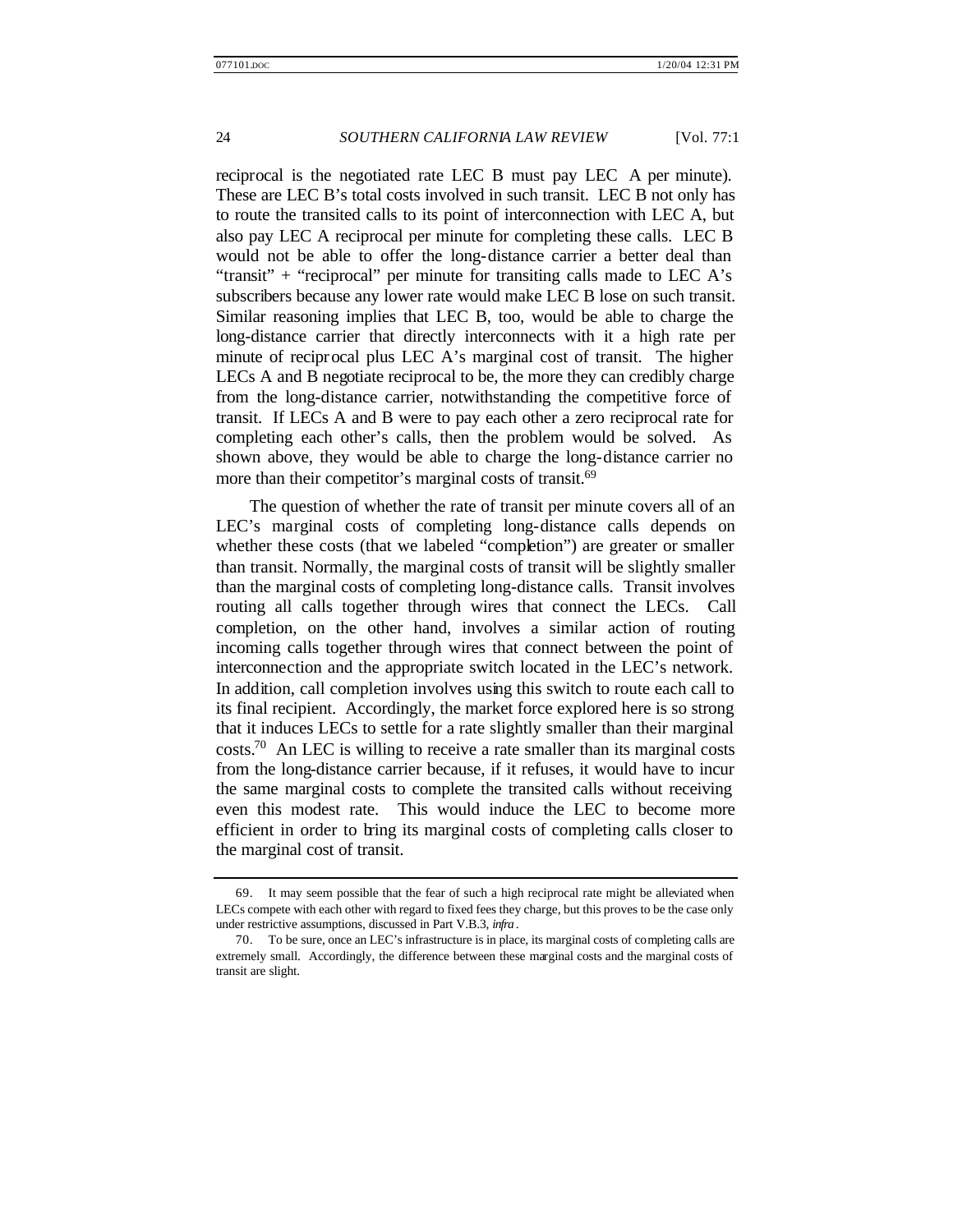reciprocal is the negotiated rate LEC B must pay LEC A per minute). These are LEC B's total costs involved in such transit. LEC B not only has to route the transited calls to its point of interconnection with LEC A, but also pay LEC A reciprocal per minute for completing these calls. LEC B would not be able to offer the long-distance carrier a better deal than "transit"  $+$  "reciprocal" per minute for transiting calls made to LEC A's subscribers because any lower rate would make LEC B lose on such transit. Similar reasoning implies that LEC B, too, would be able to charge the long-distance carrier that directly interconnects with it a high rate per minute of reciprocal plus LEC A's marginal cost of transit. The higher LECs A and B negotiate reciprocal to be, the more they can credibly charge from the long-distance carrier, notwithstanding the competitive force of transit. If LECs A and B were to pay each other a zero reciprocal rate for completing each other's calls, then the problem would be solved. As shown above, they would be able to charge the long-distance carrier no more than their competitor's marginal costs of transit.<sup>69</sup>

The question of whether the rate of transit per minute covers all of an LEC's marginal costs of completing long-distance calls depends on whether these costs (that we labeled "completion") are greater or smaller than transit. Normally, the marginal costs of transit will be slightly smaller than the marginal costs of completing long-distance calls. Transit involves routing all calls together through wires that connect the LECs. Call completion, on the other hand, involves a similar action of routing incoming calls together through wires that connect between the point of interconnection and the appropriate switch located in the LEC's network. In addition, call completion involves using this switch to route each call to its final recipient. Accordingly, the market force explored here is so strong that it induces LECs to settle for a rate slightly smaller than their marginal  $\cos$ ts.<sup>70</sup> An LEC is willing to receive a rate smaller than its marginal costs from the long-distance carrier because, if it refuses, it would have to incur the same marginal costs to complete the transited calls without receiving even this modest rate. This would induce the LEC to become more efficient in order to bring its marginal costs of completing calls closer to the marginal cost of transit.

<sup>69.</sup> It may seem possible that the fear of such a high reciprocal rate might be alleviated when LECs compete with each other with regard to fixed fees they charge, but this proves to be the case only under restrictive assumptions, discussed in Part V.B.3, *infra*.

<sup>70.</sup> To be sure, once an LEC's infrastructure is in place, its marginal costs of completing calls are extremely small. Accordingly, the difference between these marginal costs and the marginal costs of transit are slight.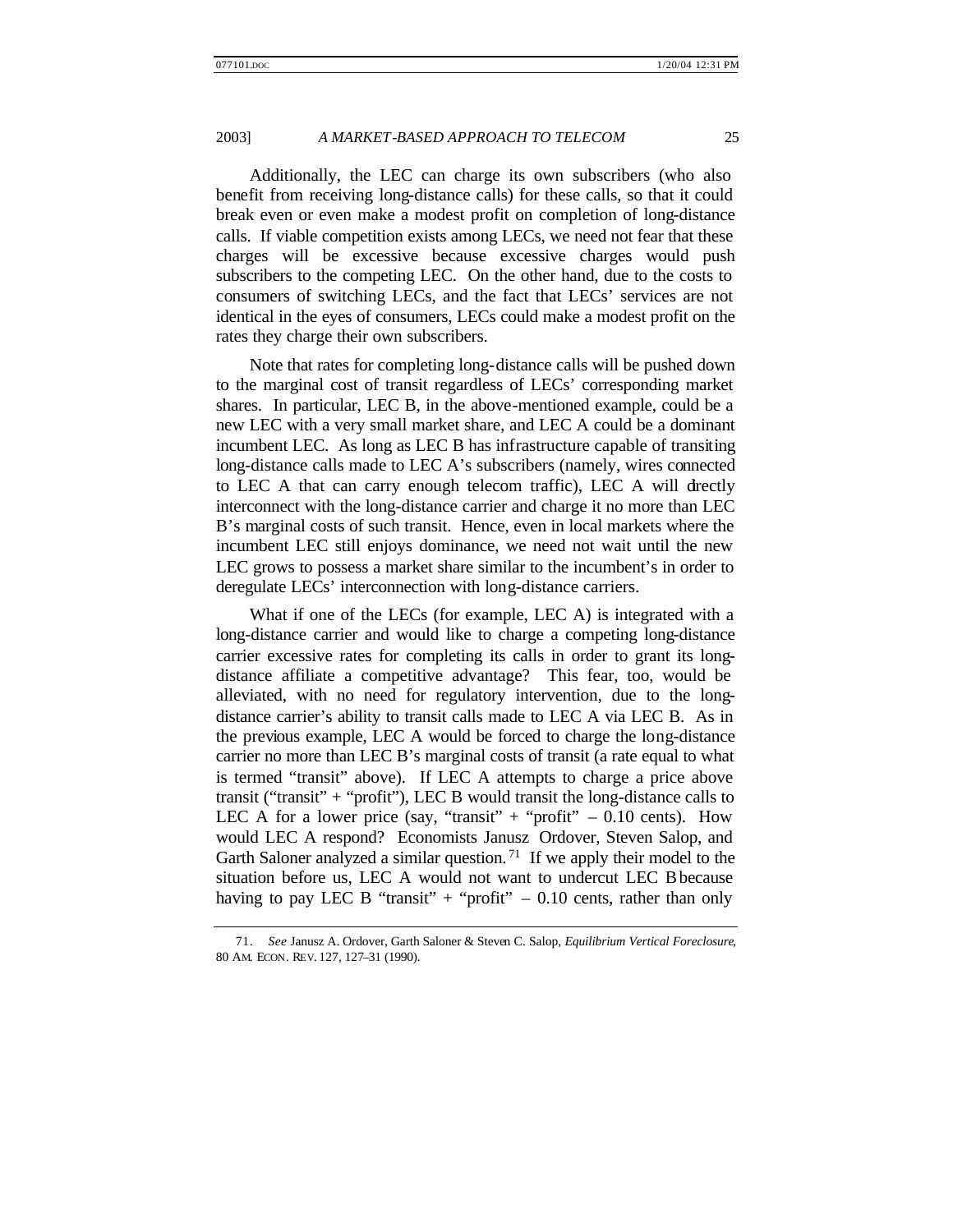Additionally, the LEC can charge its own subscribers (who also benefit from receiving long-distance calls) for these calls, so that it could break even or even make a modest profit on completion of long-distance calls. If viable competition exists among LECs, we need not fear that these charges will be excessive because excessive charges would push subscribers to the competing LEC. On the other hand, due to the costs to consumers of switching LECs, and the fact that LECs' services are not identical in the eyes of consumers, LECs could make a modest profit on the rates they charge their own subscribers.

Note that rates for completing long-distance calls will be pushed down to the marginal cost of transit regardless of LECs' corresponding market shares. In particular, LEC B, in the above-mentioned example, could be a new LEC with a very small market share, and LEC A could be a dominant incumbent LEC. As long as LEC B has infrastructure capable of transiting long-distance calls made to LEC A's subscribers (namely, wires connected to LEC A that can carry enough telecom traffic), LEC A will directly interconnect with the long-distance carrier and charge it no more than LEC B's marginal costs of such transit. Hence, even in local markets where the incumbent LEC still enjoys dominance, we need not wait until the new LEC grows to possess a market share similar to the incumbent's in order to deregulate LECs' interconnection with long-distance carriers.

What if one of the LECs (for example, LEC A) is integrated with a long-distance carrier and would like to charge a competing long-distance carrier excessive rates for completing its calls in order to grant its longdistance affiliate a competitive advantage? This fear, too, would be alleviated, with no need for regulatory intervention, due to the longdistance carrier's ability to transit calls made to LEC A via LEC B. As in the previous example, LEC A would be forced to charge the long-distance carrier no more than LEC B's marginal costs of transit (a rate equal to what is termed "transit" above). If LEC A attempts to charge a price above transit ("transit" + "profit"), LEC B would transit the long-distance calls to LEC A for a lower price (say, "transit" + "profit"  $-0.10$  cents). How would LEC A respond? Economists Janusz Ordover, Steven Salop, and Garth Saloner analyzed a similar question.<sup>71</sup> If we apply their model to the situation before us, LEC A would not want to undercut LEC B because having to pay LEC B "transit" + "profit"  $-0.10$  cents, rather than only

<sup>71.</sup> *See* Janusz A. Ordover, Garth Saloner & Steven C. Salop, *Equilibrium Vertical Foreclosure*, 80 AM. ECON. REV. 127, 127–31 (1990).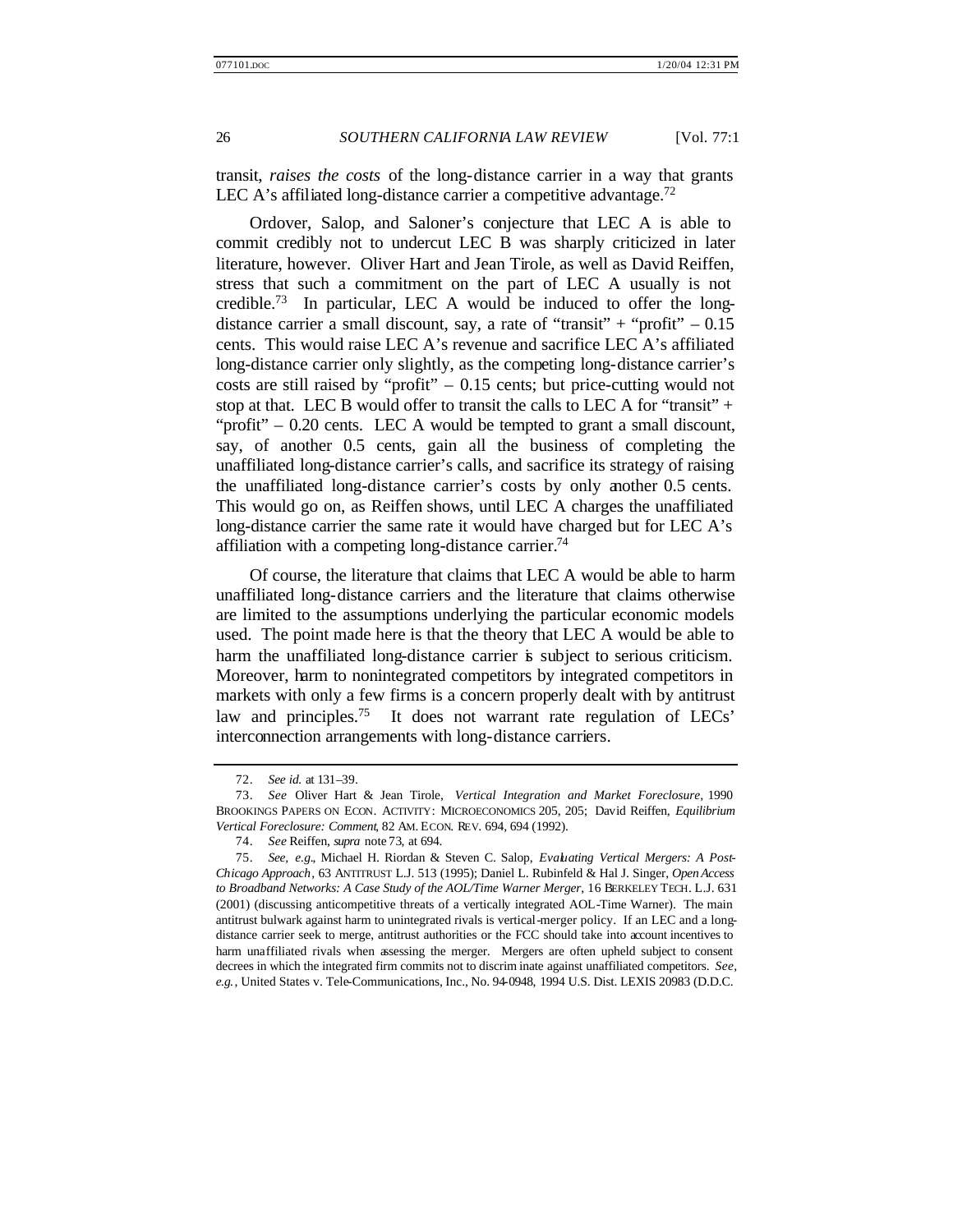transit, *raises the costs* of the long-distance carrier in a way that grants LEC A's affiliated long-distance carrier a competitive advantage.<sup>72</sup>

Ordover, Salop, and Saloner's conjecture that LEC A is able to commit credibly not to undercut LEC B was sharply criticized in later literature, however. Oliver Hart and Jean Tirole, as well as David Reiffen, stress that such a commitment on the part of LEC A usually is not credible.<sup>73</sup> In particular, LEC A would be induced to offer the longdistance carrier a small discount, say, a rate of "transit" + "profit"  $-0.15$ cents. This would raise LEC A's revenue and sacrifice LEC A's affiliated long-distance carrier only slightly, as the competing long-distance carrier's costs are still raised by "profit"  $-0.15$  cents; but price-cutting would not stop at that. LEC B would offer to transit the calls to LEC A for "transit"  $+$ "profit" – 0.20 cents. LEC A would be tempted to grant a small discount, say, of another 0.5 cents, gain all the business of completing the unaffiliated long-distance carrier's calls, and sacrifice its strategy of raising the unaffiliated long-distance carrier's costs by only another 0.5 cents. This would go on, as Reiffen shows, until LEC A charges the unaffiliated long-distance carrier the same rate it would have charged but for LEC A's affiliation with a competing long-distance carrier.<sup>74</sup>

Of course, the literature that claims that LEC A would be able to harm unaffiliated long-distance carriers and the literature that claims otherwise are limited to the assumptions underlying the particular economic models used. The point made here is that the theory that LEC A would be able to harm the unaffiliated long-distance carrier is subject to serious criticism. Moreover, harm to nonintegrated competitors by integrated competitors in markets with only a few firms is a concern properly dealt with by antitrust law and principles.<sup>75</sup> It does not warrant rate regulation of LECs' interconnection arrangements with long-distance carriers.

<sup>72.</sup> *See id.* at 131–39.

<sup>73.</sup> *See* Oliver Hart & Jean Tirole, *Vertical Integration and Market Foreclosure*, 1990 BROOKINGS PAPERS ON ECON. ACTIVITY: MICROECONOMICS 205, 205; David Reiffen, *Equilibrium Vertical Foreclosure: Comment*, 82 AM. ECON. REV. 694, 694 (1992).

<sup>74.</sup> *See* Reiffen, *supra* note 73, at 694.

<sup>75.</sup> *See, e.g.*, Michael H. Riordan & Steven C. Salop, *Evaluating Vertical Mergers: A Post-Chicago Approach*, 63 ANTITRUST L.J. 513 (1995); Daniel L. Rubinfeld & Hal J. Singer, *Open Access to Broadband Networks: A Case Study of the AOL/Time Warner Merger*, 16 BERKELEY TECH. L.J. 631 (2001) (discussing anticompetitive threats of a vertically integrated AOL-Time Warner). The main antitrust bulwark against harm to unintegrated rivals is vertical-merger policy. If an LEC and a longdistance carrier seek to merge, antitrust authorities or the FCC should take into account incentives to harm unaffiliated rivals when assessing the merger. Mergers are often upheld subject to consent decrees in which the integrated firm commits not to discrim inate against unaffiliated competitors. *See, e.g.*, United States v. Tele-Communications, Inc., No. 94-0948, 1994 U.S. Dist. LEXIS 20983 (D.D.C.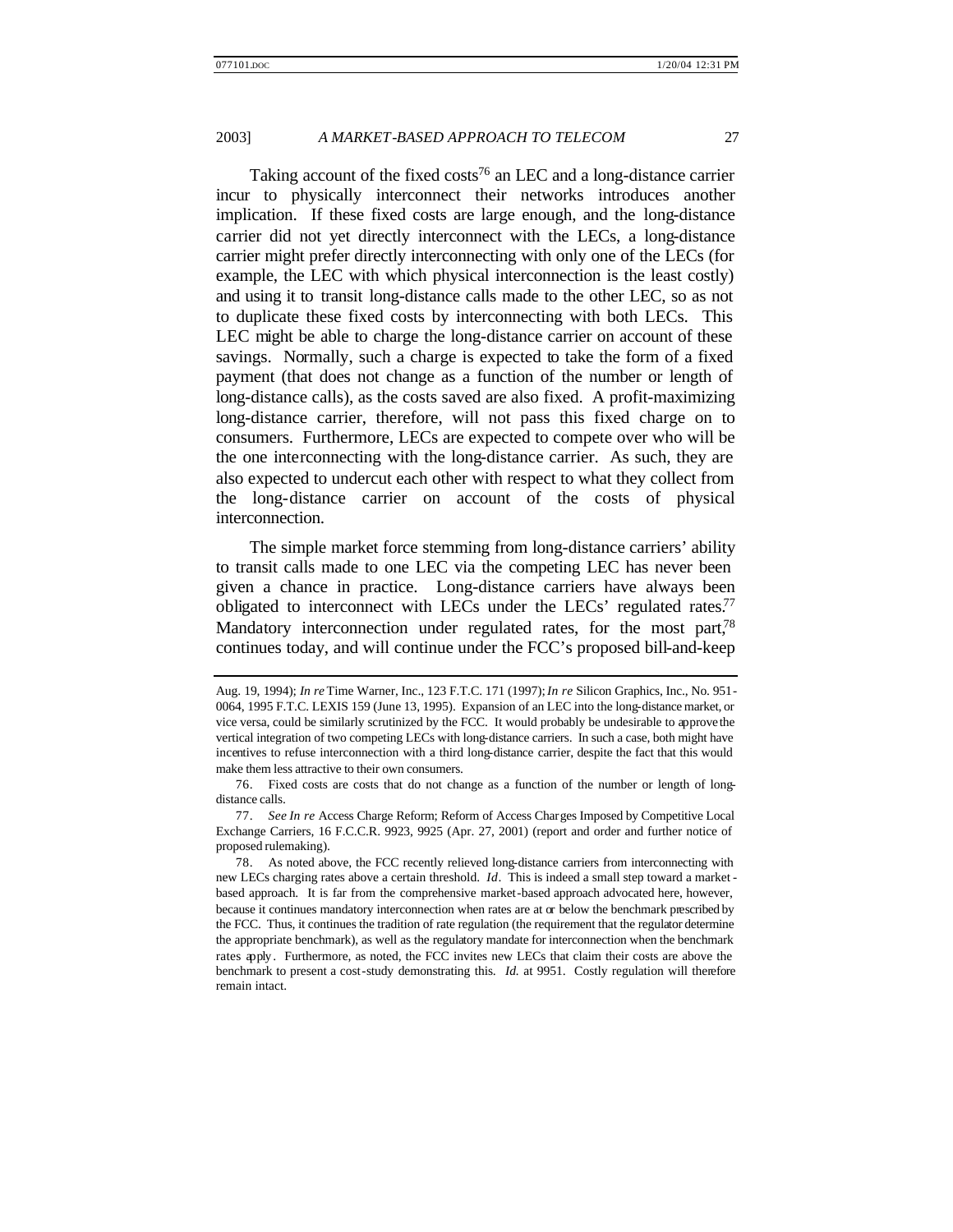Taking account of the fixed costs<sup>76</sup> an LEC and a long-distance carrier incur to physically interconnect their networks introduces another implication. If these fixed costs are large enough, and the long-distance carrier did not yet directly interconnect with the LECs, a long-distance carrier might prefer directly interconnecting with only one of the LECs (for example, the LEC with which physical interconnection is the least costly) and using it to transit long-distance calls made to the other LEC, so as not to duplicate these fixed costs by interconnecting with both LECs. This LEC might be able to charge the long-distance carrier on account of these savings. Normally, such a charge is expected to take the form of a fixed payment (that does not change as a function of the number or length of long-distance calls), as the costs saved are also fixed. A profit-maximizing long-distance carrier, therefore, will not pass this fixed charge on to consumers. Furthermore, LECs are expected to compete over who will be the one interconnecting with the long-distance carrier. As such, they are also expected to undercut each other with respect to what they collect from the long-distance carrier on account of the costs of physical interconnection.

The simple market force stemming from long-distance carriers' ability to transit calls made to one LEC via the competing LEC has never been given a chance in practice. Long-distance carriers have always been obligated to interconnect with LECs under the LECs' regulated rates.<sup>77</sup> Mandatory interconnection under regulated rates, for the most part,<sup>78</sup> continues today, and will continue under the FCC's proposed bill-and-keep

Aug. 19, 1994); *In re* Time Warner, Inc., 123 F.T.C. 171 (1997); *In re* Silicon Graphics, Inc., No. 951- 0064, 1995 F.T.C. LEXIS 159 (June 13, 1995). Expansion of an LEC into the long-distance market, or vice versa, could be similarly scrutinized by the FCC. It would probably be undesirable to approve the vertical integration of two competing LECs with long-distance carriers. In such a case, both might have incentives to refuse interconnection with a third long-distance carrier, despite the fact that this would make them less attractive to their own consumers.

<sup>76.</sup> Fixed costs are costs that do not change as a function of the number or length of longdistance calls.

<sup>77.</sup> *See In re* Access Charge Reform; Reform of Access Charges Imposed by Competitive Local Exchange Carriers, 16 F.C.C.R. 9923, 9925 (Apr. 27, 2001) (report and order and further notice of proposed rulemaking).

<sup>78.</sup> As noted above, the FCC recently relieved long-distance carriers from interconnecting with new LECs charging rates above a certain threshold. *Id*. This is indeed a small step toward a market based approach. It is far from the comprehensive market-based approach advocated here, however, because it continues mandatory interconnection when rates are at or below the benchmark prescribed by the FCC. Thus, it continues the tradition of rate regulation (the requirement that the regulator determine the appropriate benchmark), as well as the regulatory mandate for interconnection when the benchmark rates apply. Furthermore, as noted, the FCC invites new LECs that claim their costs are above the benchmark to present a cost-study demonstrating this. *Id.* at 9951. Costly regulation will therefore remain intact.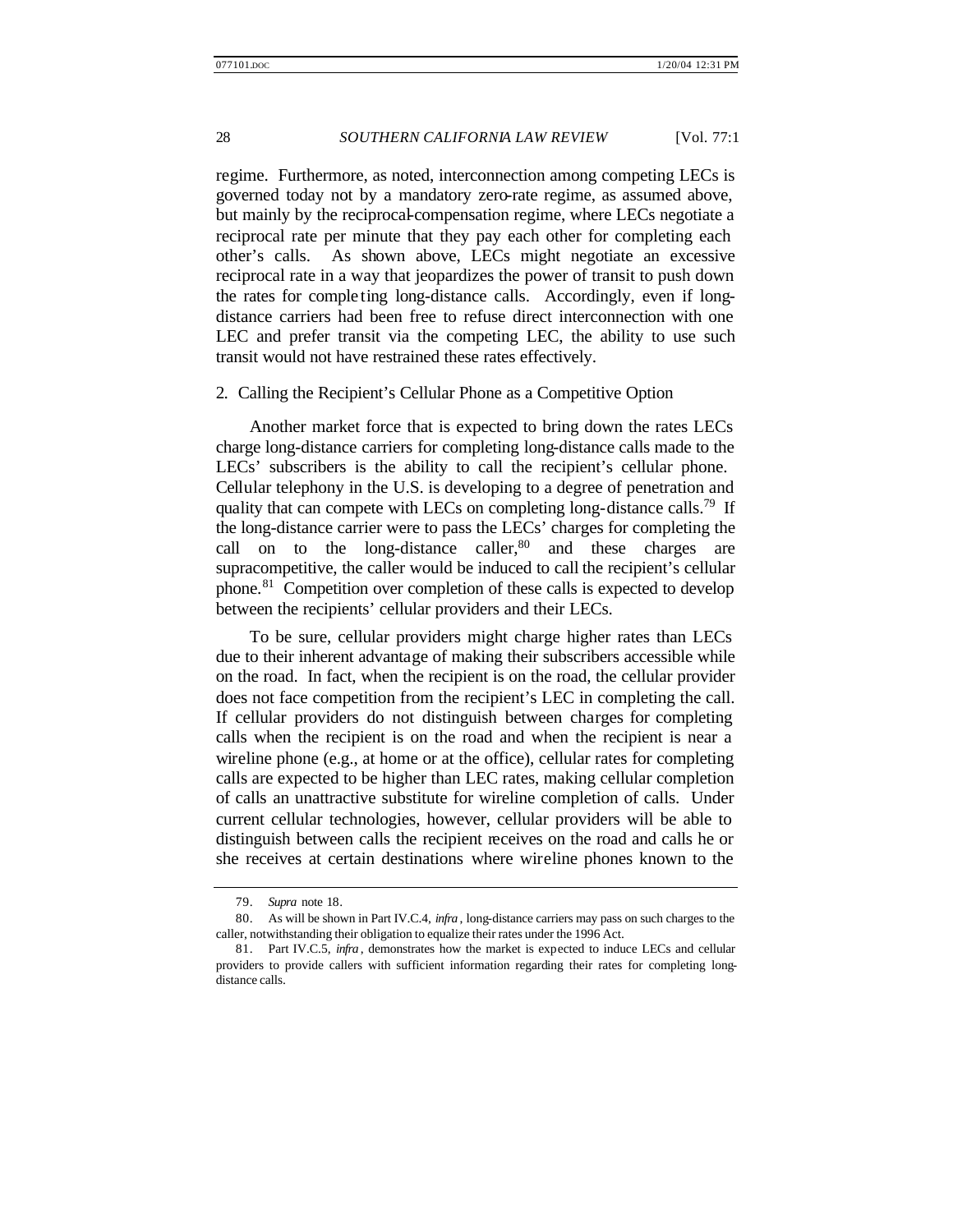regime. Furthermore, as noted, interconnection among competing LECs is governed today not by a mandatory zero-rate regime, as assumed above, but mainly by the reciprocal-compensation regime, where LECs negotiate a reciprocal rate per minute that they pay each other for completing each other's calls. As shown above, LECs might negotiate an excessive reciprocal rate in a way that jeopardizes the power of transit to push down the rates for comple ting long-distance calls. Accordingly, even if longdistance carriers had been free to refuse direct interconnection with one LEC and prefer transit via the competing LEC, the ability to use such transit would not have restrained these rates effectively.

#### 2. Calling the Recipient's Cellular Phone as a Competitive Option

Another market force that is expected to bring down the rates LECs charge long-distance carriers for completing long-distance calls made to the LECs' subscribers is the ability to call the recipient's cellular phone. Cellular telephony in the U.S. is developing to a degree of penetration and quality that can compete with LECs on completing long-distance calls.<sup>79</sup> If the long-distance carrier were to pass the LECs' charges for completing the call on to the long-distance caller, $80$  and these charges are supracompetitive, the caller would be induced to call the recipient's cellular phone.<sup>81</sup> Competition over completion of these calls is expected to develop between the recipients' cellular providers and their LECs.

To be sure, cellular providers might charge higher rates than LECs due to their inherent advantage of making their subscribers accessible while on the road. In fact, when the recipient is on the road, the cellular provider does not face competition from the recipient's LEC in completing the call. If cellular providers do not distinguish between charges for completing calls when the recipient is on the road and when the recipient is near a wireline phone (e.g., at home or at the office), cellular rates for completing calls are expected to be higher than LEC rates, making cellular completion of calls an unattractive substitute for wireline completion of calls. Under current cellular technologies, however, cellular providers will be able to distinguish between calls the recipient receives on the road and calls he or she receives at certain destinations where wireline phones known to the

<sup>79.</sup> *Supra* note 18.

<sup>80.</sup> As will be shown in Part IV.C.4, *infra* , long-distance carriers may pass on such charges to the caller, notwithstanding their obligation to equalize their rates under the 1996 Act.

<sup>81.</sup> Part IV.C.5, *infra* , demonstrates how the market is expected to induce LECs and cellular providers to provide callers with sufficient information regarding their rates for completing longdistance calls.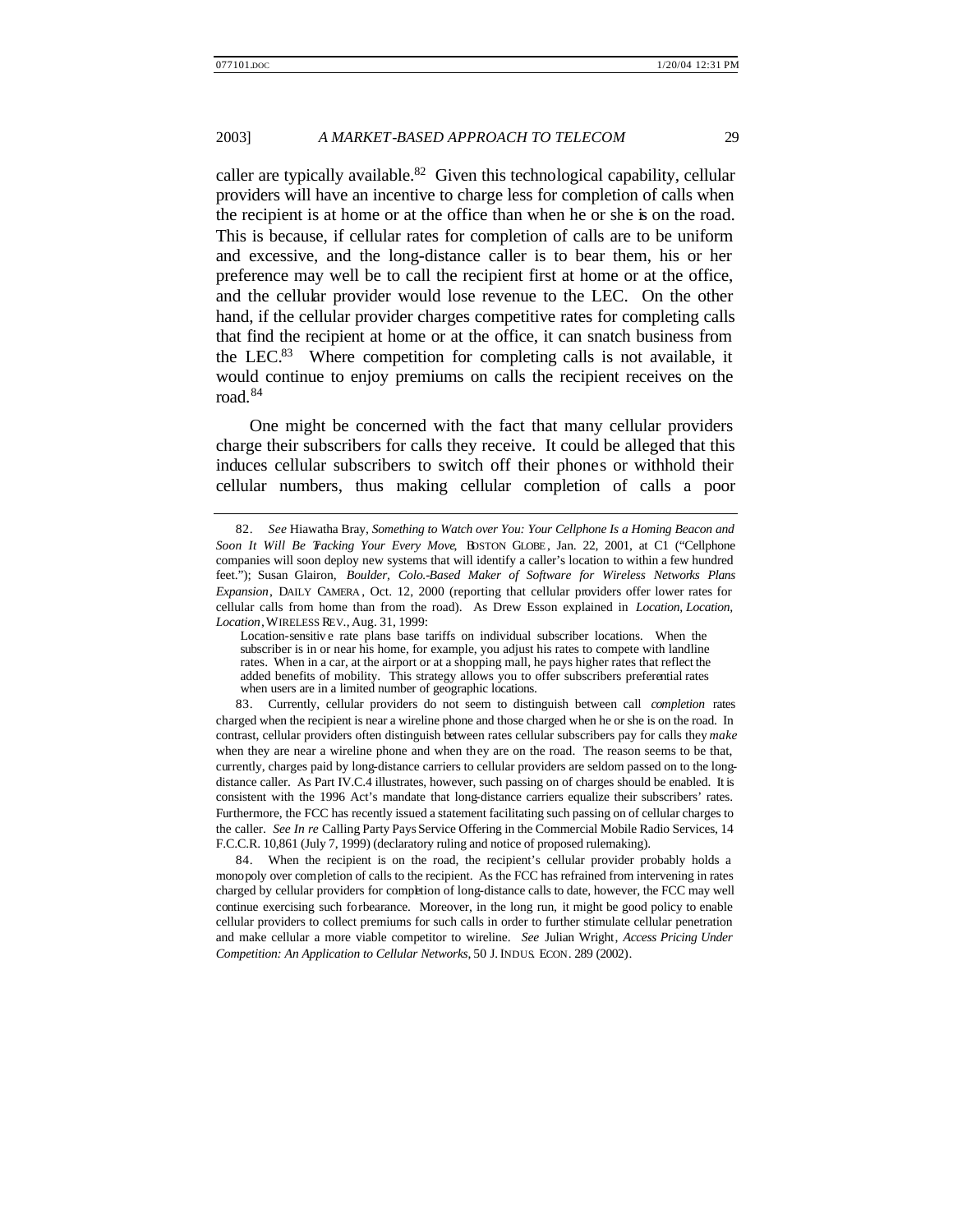caller are typically available.<sup>82</sup> Given this technological capability, cellular providers will have an incentive to charge less for completion of calls when the recipient is at home or at the office than when he or she is on the road. This is because, if cellular rates for completion of calls are to be uniform and excessive, and the long-distance caller is to bear them, his or her preference may well be to call the recipient first at home or at the office, and the cellular provider would lose revenue to the LEC. On the other hand, if the cellular provider charges competitive rates for completing calls that find the recipient at home or at the office, it can snatch business from the LEC. $83$  Where competition for completing calls is not available, it would continue to enjoy premiums on calls the recipient receives on the road.<sup>84</sup>

One might be concerned with the fact that many cellular providers charge their subscribers for calls they receive. It could be alleged that this induces cellular subscribers to switch off their phones or withhold their cellular numbers, thus making cellular completion of calls a poor

<sup>82.</sup> *See* Hiawatha Bray, *Something to Watch over You: Your Cellphone Is a Homing Beacon and Soon It Will Be Tracking Your Every Move*, BOSTON GLOBE , Jan. 22, 2001, at C1 ("Cellphone companies will soon deploy new systems that will identify a caller's location to within a few hundred feet."); Susan Glairon, *Boulder, Colo.-Based Maker of Software for Wireless Networks Plans Expansion*, DAILY CAMERA , Oct. 12, 2000 (reporting that cellular providers offer lower rates for cellular calls from home than from the road). As Drew Esson explained in *Location, Location, Location*, WIRELESS REV., Aug. 31, 1999:

Location-sensitiv e rate plans base tariffs on individual subscriber locations. When the subscriber is in or near his home, for example, you adjust his rates to compete with landline rates. When in a car, at the airport or at a shopping mall, he pays higher rates that reflect the added benefits of mobility. This strategy allows you to offer subscribers preferential rates when users are in a limited number of geographic locations.

<sup>83.</sup> Currently, cellular providers do not seem to distinguish between call *completion* rates charged when the recipient is near a wireline phone and those charged when he or she is on the road. In contrast, cellular providers often distinguish between rates cellular subscribers pay for calls they *make* when they are near a wireline phone and when they are on the road. The reason seems to be that, currently, charges paid by long-distance carriers to cellular providers are seldom passed on to the longdistance caller. As Part IV.C.4 illustrates, however, such passing on of charges should be enabled. It is consistent with the 1996 Act's mandate that long-distance carriers equalize their subscribers' rates. Furthermore, the FCC has recently issued a statement facilitating such passing on of cellular charges to the caller. *See In re* Calling Party Pays Service Offering in the Commercial Mobile Radio Services, 14 F.C.C.R. 10,861 (July 7, 1999) (declaratory ruling and notice of proposed rulemaking).

<sup>84.</sup> When the recipient is on the road, the recipient's cellular provider probably holds a monopoly over completion of calls to the recipient. As the FCC has refrained from intervening in rates charged by cellular providers for completion of long-distance calls to date, however, the FCC may well continue exercising such forbearance. Moreover, in the long run, it might be good policy to enable cellular providers to collect premiums for such calls in order to further stimulate cellular penetration and make cellular a more viable competitor to wireline. *See* Julian Wright, *Access Pricing Under Competition: An Application to Cellular Networks*, 50 J. INDUS. ECON. 289 (2002).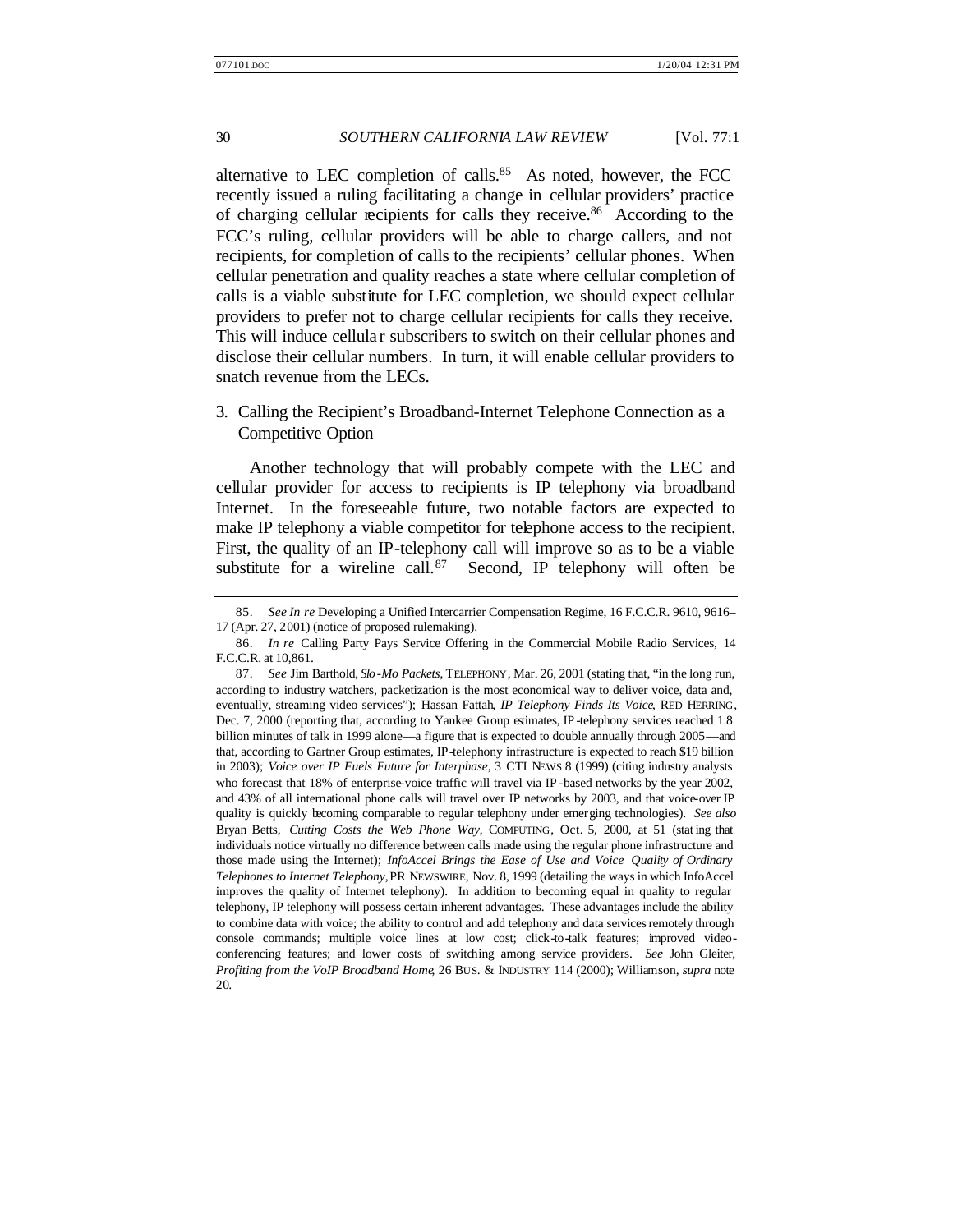alternative to LEC completion of calls.<sup>85</sup> As noted, however, the FCC recently issued a ruling facilitating a change in cellular providers' practice of charging cellular recipients for calls they receive.<sup>86</sup> According to the FCC's ruling, cellular providers will be able to charge callers, and not recipients, for completion of calls to the recipients' cellular phones. When cellular penetration and quality reaches a state where cellular completion of calls is a viable substitute for LEC completion, we should expect cellular providers to prefer not to charge cellular recipients for calls they receive. This will induce cellular subscribers to switch on their cellular phones and disclose their cellular numbers. In turn, it will enable cellular providers to snatch revenue from the LECs.

3. Calling the Recipient's Broadband-Internet Telephone Connection as a Competitive Option

Another technology that will probably compete with the LEC and cellular provider for access to recipients is IP telephony via broadband Internet. In the foreseeable future, two notable factors are expected to make IP telephony a viable competitor for telephone access to the recipient. First, the quality of an IP-telephony call will improve so as to be a viable substitute for a wireline call.  $87$  Second, IP telephony will often be

<sup>85.</sup> *See In re* Developing a Unified Intercarrier Compensation Regime, 16 F.C.C.R. 9610, 9616– 17 (Apr. 27, 2001) (notice of proposed rulemaking).

<sup>86.</sup> *In re* Calling Party Pays Service Offering in the Commercial Mobile Radio Services, 14 F.C.C.R. at 10,861.

<sup>87.</sup> *See* Jim Barthold, *Slo-Mo Packets*, TELEPHONY, Mar. 26, 2001 (stating that, "in the long run, according to industry watchers, packetization is the most economical way to deliver voice, data and, eventually, streaming video services"); Hassan Fattah, *IP Telephony Finds Its Voice*, RED HERRING, Dec. 7, 2000 (reporting that, according to Yankee Group estimates, IP -telephony services reached 1.8 billion minutes of talk in 1999 alone—a figure that is expected to double annually through 2005—and that, according to Gartner Group estimates, IP-telephony infrastructure is expected to reach \$19 billion in 2003); *Voice over IP Fuels Future for Interphase*, 3 CTI NEWS 8 (1999) (citing industry analysts who forecast that 18% of enterprise-voice traffic will travel via IP -based networks by the year 2002, and 43% of all international phone calls will travel over IP networks by 2003, and that voice-over IP quality is quickly becoming comparable to regular telephony under emerging technologies). *See also* Bryan Betts, *Cutting Costs the Web Phone Way*, COMPUTING, Oct. 5, 2000, at 51 (stat ing that individuals notice virtually no difference between calls made using the regular phone infrastructure and those made using the Internet); *InfoAccel Brings the Ease of Use and Voice Quality of Ordinary Telephones to Internet Telephony*, PR NEWSWIRE, Nov. 8, 1999 (detailing the ways in which InfoAccel improves the quality of Internet telephony). In addition to becoming equal in quality to regular telephony, IP telephony will possess certain inherent advantages. These advantages include the ability to combine data with voice; the ability to control and add telephony and data services remotely through console commands; multiple voice lines at low cost; click-to-talk features; improved videoconferencing features; and lower costs of switching among service providers. *See* John Gleiter, *Profiting from the VoIP Broadband Home*, 26 BUS. & INDUSTRY 114 (2000); Williamson, *supra* note 20.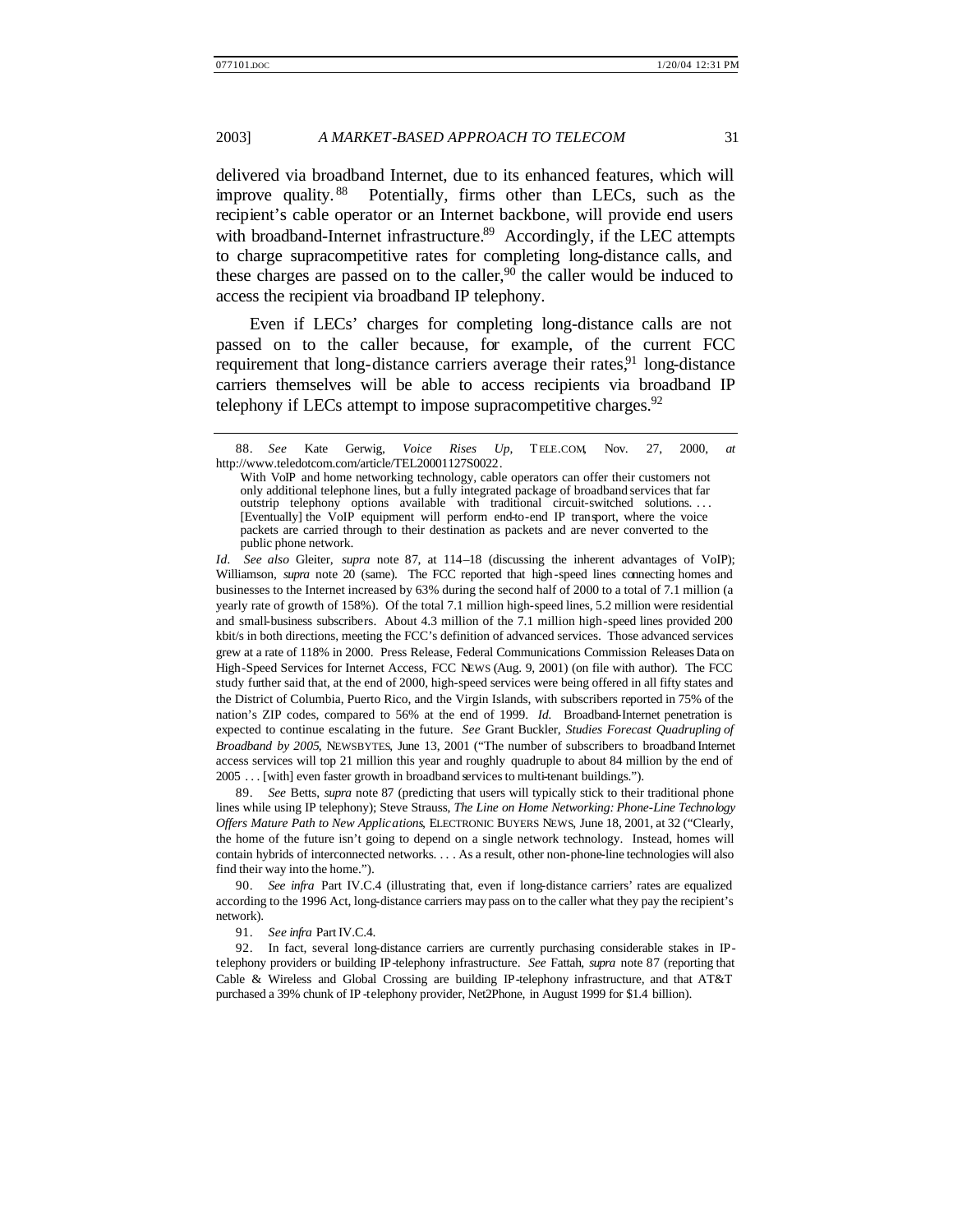delivered via broadband Internet, due to its enhanced features, which will improve quality. <sup>88</sup> Potentially, firms other than LECs, such as the recipient's cable operator or an Internet backbone, will provide end users with broadband-Internet infrastructure.<sup>89</sup> Accordingly, if the LEC attempts to charge supracompetitive rates for completing long-distance calls, and these charges are passed on to the caller,<sup>90</sup> the caller would be induced to access the recipient via broadband IP telephony.

Even if LECs' charges for completing long-distance calls are not passed on to the caller because, for example, of the current FCC requirement that long-distance carriers average their rates,  $91 \text{ long-distance}$ carriers themselves will be able to access recipients via broadband IP telephony if LECs attempt to impose supracompetitive charges.<sup>92</sup>

*Id. See also* Gleiter, *supra* note 87, at 114–18 (discussing the inherent advantages of VoIP); Williamson, *supra* note 20 (same). The FCC reported that high-speed lines connecting homes and businesses to the Internet increased by 63% during the second half of 2000 to a total of 7.1 million (a yearly rate of growth of 158%). Of the total 7.1 million high-speed lines, 5.2 million were residential and small-business subscribers. About 4.3 million of the 7.1 million high-speed lines provided 200 kbit/s in both directions, meeting the FCC's definition of advanced services. Those advanced services grew at a rate of 118% in 2000.Press Release, Federal Communications Commission Releases Data on High-Speed Services for Internet Access, FCC NEWS (Aug. 9, 2001) (on file with author). The FCC study further said that, at the end of 2000, high-speed services were being offered in all fifty states and the District of Columbia, Puerto Rico, and the Virgin Islands, with subscribers reported in 75% of the nation's ZIP codes, compared to 56% at the end of 1999. *Id.* Broadband-Internet penetration is expected to continue escalating in the future. *See* Grant Buckler, *Studies Forecast Quadrupling of Broadband by 2005*, NEWSBYTES, June 13, 2001 ("The number of subscribers to broadband Internet access services will top 21 million this year and roughly quadruple to about 84 million by the end of 2005 . . . [with] even faster growth in broadband services to multi-tenant buildings.").

89. *See* Betts, *supra* note 87 (predicting that users will typically stick to their traditional phone lines while using IP telephony); Steve Strauss, *The Line on Home Networking: Phone-Line Technology Offers Mature Path to New Applications*, ELECTRONIC BUYERS NEWS, June 18, 2001, at 32 ("Clearly, the home of the future isn't going to depend on a single network technology. Instead, homes will contain hybrids of interconnected networks. . . . As a result, other non-phone-line technologies will also find their way into the home.").

90. *See infra* Part IV.C.4 (illustrating that, even if long-distance carriers' rates are equalized according to the 1996 Act, long-distance carriers may pass on to the caller what they pay the recipient's network).

91. *See infra* Part IV.C.4.

92. In fact, several long-distance carriers are currently purchasing considerable stakes in IPtelephony providers or building IP-telephony infrastructure. *See* Fattah, *supra* note 87 (reporting that Cable & Wireless and Global Crossing are building IP-telephony infrastructure, and that AT&T purchased a 39% chunk of IP -telephony provider, Net2Phone, in August 1999 for \$1.4 billion).

<sup>88.</sup> *See* Kate Gerwig, *Voice Rises Up*, TELE.COM, Nov. 27, 2000, *at*  http://www.teledotcom.com/article/TEL20001127S0022.

With VoIP and home networking technology, cable operators can offer their customers not only additional telephone lines, but a fully integrated package of broadband services that far outstrip telephony options available with traditional circuit-switched solutions. . . . [Eventually] the VoIP equipment will perform end-to-end IP transport, where the voice packets are carried through to their destination as packets and are never converted to the public phone network.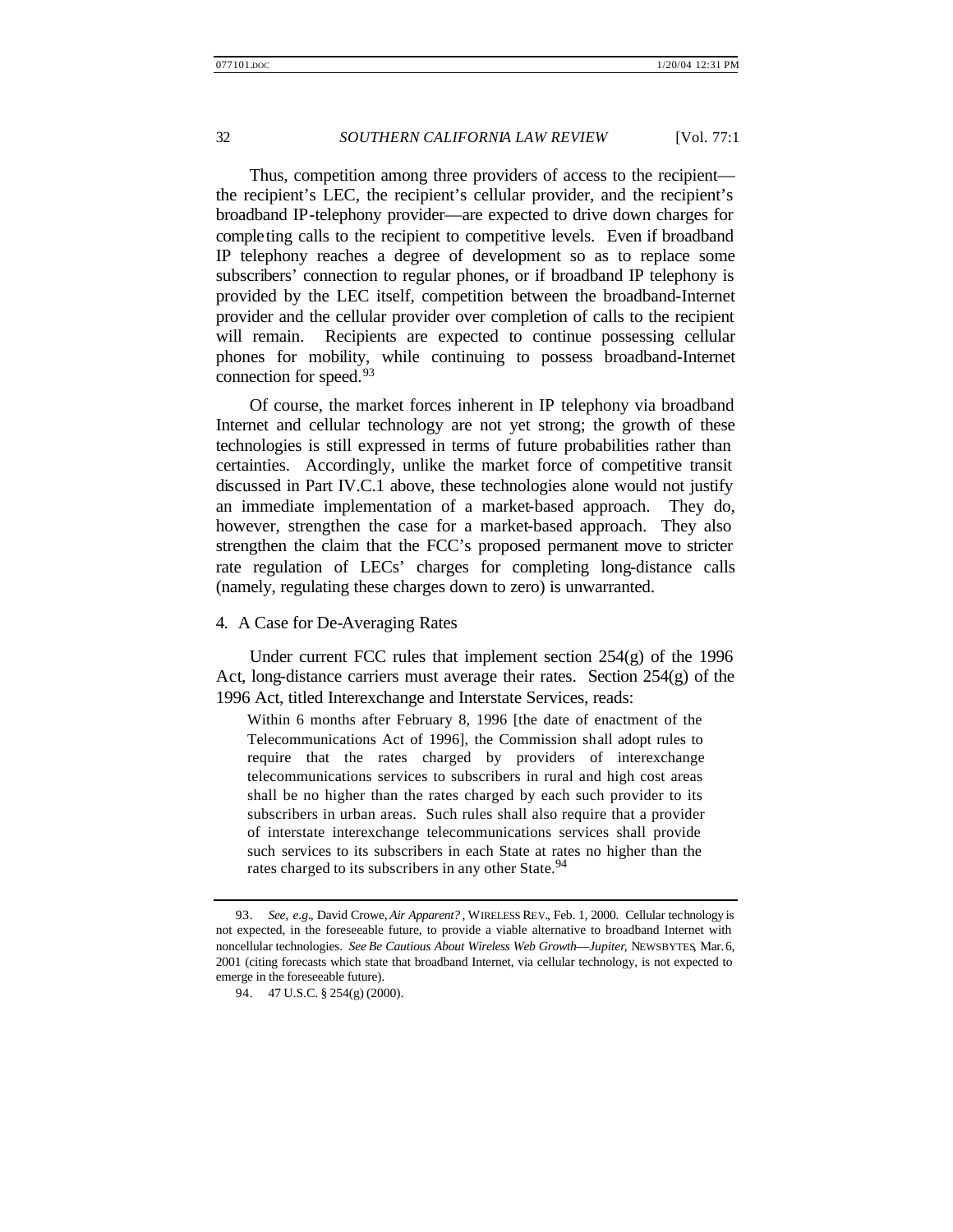Thus, competition among three providers of access to the recipient the recipient's LEC, the recipient's cellular provider, and the recipient's broadband IP-telephony provider—are expected to drive down charges for completing calls to the recipient to competitive levels. Even if broadband IP telephony reaches a degree of development so as to replace some subscribers' connection to regular phones, or if broadband IP telephony is provided by the LEC itself, competition between the broadband-Internet provider and the cellular provider over completion of calls to the recipient will remain. Recipients are expected to continue possessing cellular phones for mobility, while continuing to possess broadband-Internet connection for speed.<sup>93</sup>

Of course, the market forces inherent in IP telephony via broadband Internet and cellular technology are not yet strong; the growth of these technologies is still expressed in terms of future probabilities rather than certainties. Accordingly, unlike the market force of competitive transit discussed in Part IV.C.1 above, these technologies alone would not justify an immediate implementation of a market-based approach. They do, however, strengthen the case for a market-based approach. They also strengthen the claim that the FCC's proposed permanent move to stricter rate regulation of LECs' charges for completing long-distance calls (namely, regulating these charges down to zero) is unwarranted.

#### 4. A Case for De-Averaging Rates

Under current FCC rules that implement section 254(g) of the 1996 Act, long-distance carriers must average their rates. Section  $254(g)$  of the 1996 Act, titled Interexchange and Interstate Services, reads:

Within 6 months after February 8, 1996 [the date of enactment of the Telecommunications Act of 1996], the Commission shall adopt rules to require that the rates charged by providers of interexchange telecommunications services to subscribers in rural and high cost areas shall be no higher than the rates charged by each such provider to its subscribers in urban areas. Such rules shall also require that a provider of interstate interexchange telecommunications services shall provide such services to its subscribers in each State at rates no higher than the rates charged to its subscribers in any other State.<sup>94</sup>

<sup>93.</sup> *See, e.g.*, David Crowe, *Air Apparent?* , WIRELESS REV., Feb. 1, 2000. Cellular technology is not expected, in the foreseeable future, to provide a viable alternative to broadband Internet with noncellular technologies. *See Be Cautious About Wireless Web Growth*—*Jupiter*, NEWSBYTES, Mar. 6, 2001 (citing forecasts which state that broadband Internet, via cellular technology, is not expected to emerge in the foreseeable future).

<sup>94.</sup> 47 U.S.C. § 254(g) (2000).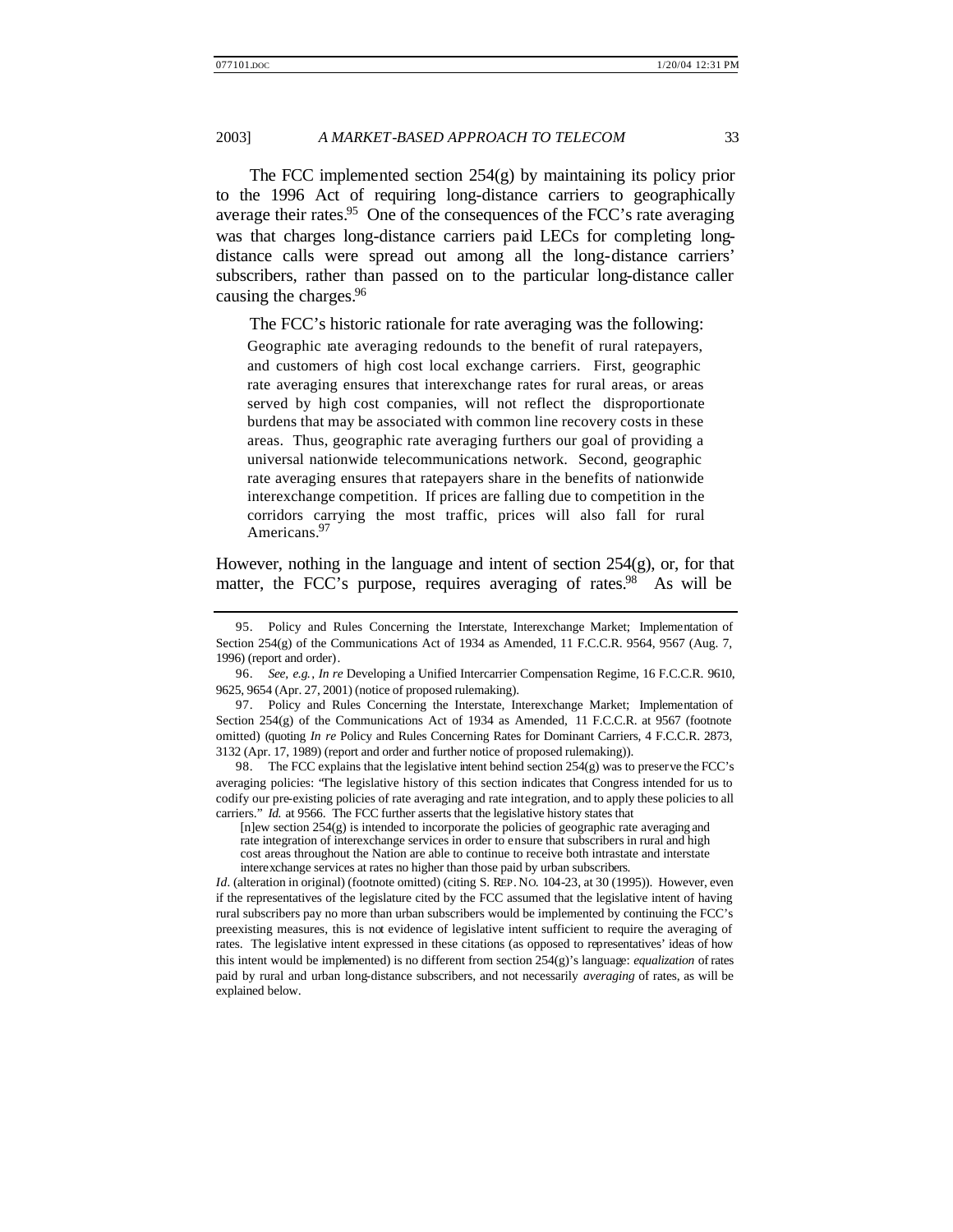The FCC implemented section 254(g) by maintaining its policy prior to the 1996 Act of requiring long-distance carriers to geographically average their rates.<sup>95</sup> One of the consequences of the FCC's rate averaging was that charges long-distance carriers paid LECs for completing longdistance calls were spread out among all the long-distance carriers' subscribers, rather than passed on to the particular long-distance caller causing the charges.<sup>96</sup>

The FCC's historic rationale for rate averaging was the following:

Geographic rate averaging redounds to the benefit of rural ratepayers, and customers of high cost local exchange carriers. First, geographic rate averaging ensures that interexchange rates for rural areas, or areas served by high cost companies, will not reflect the disproportionate burdens that may be associated with common line recovery costs in these areas. Thus, geographic rate averaging furthers our goal of providing a universal nationwide telecommunications network. Second, geographic rate averaging ensures that ratepayers share in the benefits of nationwide interexchange competition. If prices are falling due to competition in the corridors carrying the most traffic, prices will also fall for rural Americans.<sup>97</sup>

However, nothing in the language and intent of section 254(g), or, for that matter, the FCC's purpose, requires averaging of rates.<sup>98</sup> As will be

98. The FCC explains that the legislative intent behind section 254(g) was to preserve the FCC's averaging policies: "The legislative history of this section indicates that Congress intended for us to codify our pre-existing policies of rate averaging and rate integration, and to apply these policies to all carriers." *Id.* at 9566. The FCC further asserts that the legislative history states that

*Id.* (alteration in original) (footnote omitted) (citing S. REP. NO. 104-23, at 30 (1995)). However, even if the representatives of the legislature cited by the FCC assumed that the legislative intent of having rural subscribers pay no more than urban subscribers would be implemented by continuing the FCC's preexisting measures, this is not evidence of legislative intent sufficient to require the averaging of rates. The legislative intent expressed in these citations (as opposed to representatives' ideas of how this intent would be implemented) is no different from section 254(g)'s language: *equalization* of rates paid by rural and urban long-distance subscribers, and not necessarily *averaging* of rates, as will be explained below.

<sup>95.</sup> Policy and Rules Concerning the Interstate, Interexchange Market; Implementation of Section 254(g) of the Communications Act of 1934 as Amended, 11 F.C.C.R. 9564, 9567 (Aug. 7, 1996) (report and order).

<sup>96.</sup> *See, e.g.*, *In re* Developing a Unified Intercarrier Compensation Regime, 16 F.C.C.R. 9610, 9625, 9654 (Apr. 27, 2001) (notice of proposed rulemaking).

<sup>97.</sup> Policy and Rules Concerning the Interstate, Interexchange Market; Implementation of Section 254(g) of the Communications Act of 1934 as Amended, 11 F.C.C.R. at 9567 (footnote omitted) (quoting *In re* Policy and Rules Concerning Rates for Dominant Carriers, 4 F.C.C.R. 2873, 3132 (Apr. 17, 1989) (report and order and further notice of proposed rulemaking)).

<sup>[</sup>n]ew section 254(g) is intended to incorporate the policies of geographic rate averaging and rate integration of interexchange services in order to ensure that subscribers in rural and high cost areas throughout the Nation are able to continue to receive both intrastate and interstate interexchange services at rates no higher than those paid by urban subscribers.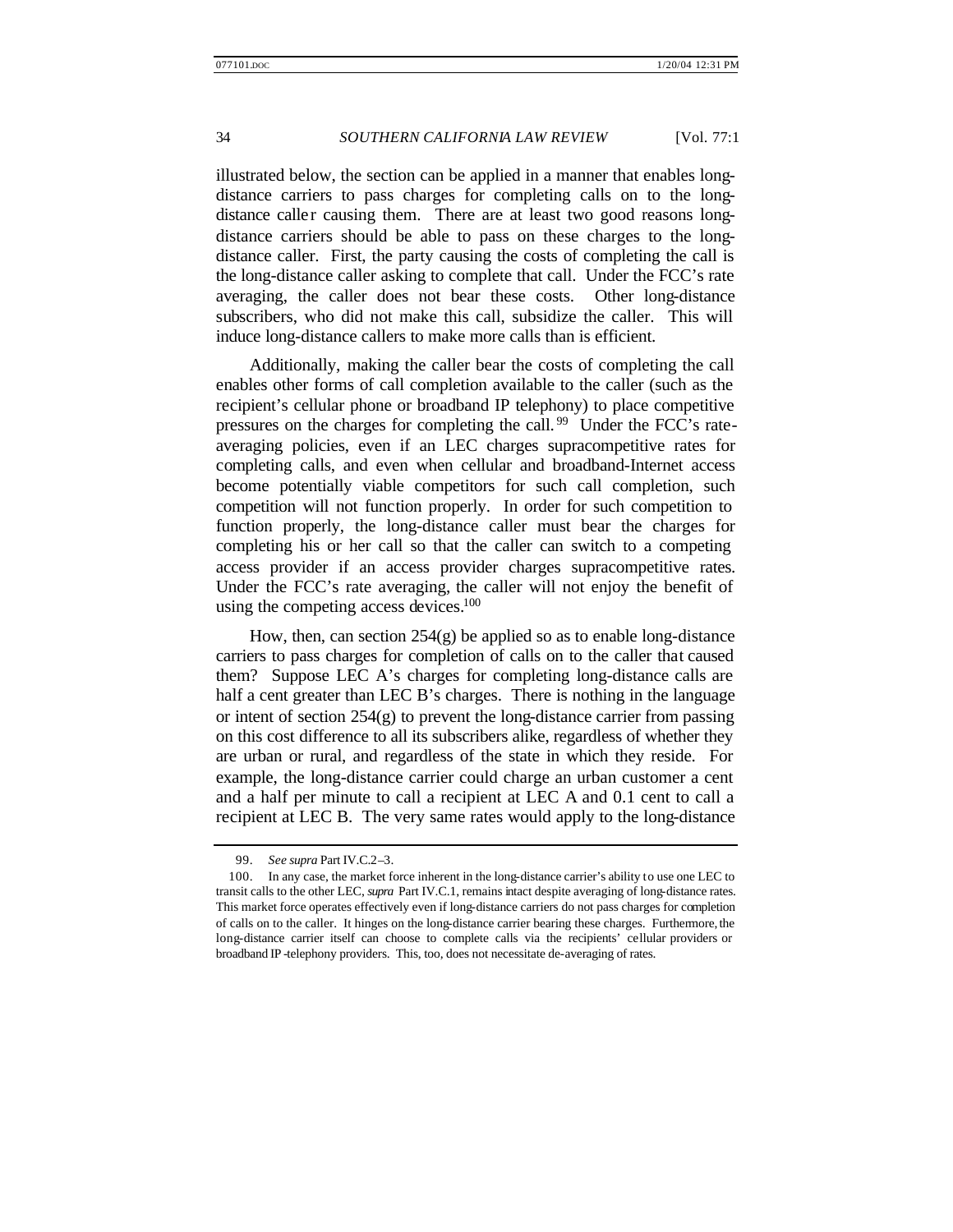illustrated below, the section can be applied in a manner that enables longdistance carriers to pass charges for completing calls on to the longdistance caller causing them. There are at least two good reasons longdistance carriers should be able to pass on these charges to the longdistance caller. First, the party causing the costs of completing the call is the long-distance caller asking to complete that call. Under the FCC's rate averaging, the caller does not bear these costs. Other long-distance subscribers, who did not make this call, subsidize the caller. This will induce long-distance callers to make more calls than is efficient.

Additionally, making the caller bear the costs of completing the call enables other forms of call completion available to the caller (such as the recipient's cellular phone or broadband IP telephony) to place competitive pressures on the charges for completing the call.<sup>99</sup> Under the FCC's rateaveraging policies, even if an LEC charges supracompetitive rates for completing calls, and even when cellular and broadband-Internet access become potentially viable competitors for such call completion, such competition will not function properly. In order for such competition to function properly, the long-distance caller must bear the charges for completing his or her call so that the caller can switch to a competing access provider if an access provider charges supracompetitive rates. Under the FCC's rate averaging, the caller will not enjoy the benefit of using the competing access devices.<sup>100</sup>

How, then, can section  $254(g)$  be applied so as to enable long-distance carriers to pass charges for completion of calls on to the caller that caused them? Suppose LEC A's charges for completing long-distance calls are half a cent greater than LEC B's charges. There is nothing in the language or intent of section 254(g) to prevent the long-distance carrier from passing on this cost difference to all its subscribers alike, regardless of whether they are urban or rural, and regardless of the state in which they reside. For example, the long-distance carrier could charge an urban customer a cent and a half per minute to call a recipient at LEC A and 0.1 cent to call a recipient at LEC B. The very same rates would apply to the long-distance

<sup>99.</sup> *See supra* Part IV.C.2–3.

<sup>100.</sup> In any case, the market force inherent in the long-distance carrier's ability to use one LEC to transit calls to the other LEC, *supra* Part IV.C.1, remains intact despite averaging of long-distance rates. This market force operates effectively even if long-distance carriers do not pass charges for completion of calls on to the caller. It hinges on the long-distance carrier bearing these charges. Furthermore, the long-distance carrier itself can choose to complete calls via the recipients' cellular providers or broadband IP -telephony providers. This, too, does not necessitate de-averaging of rates.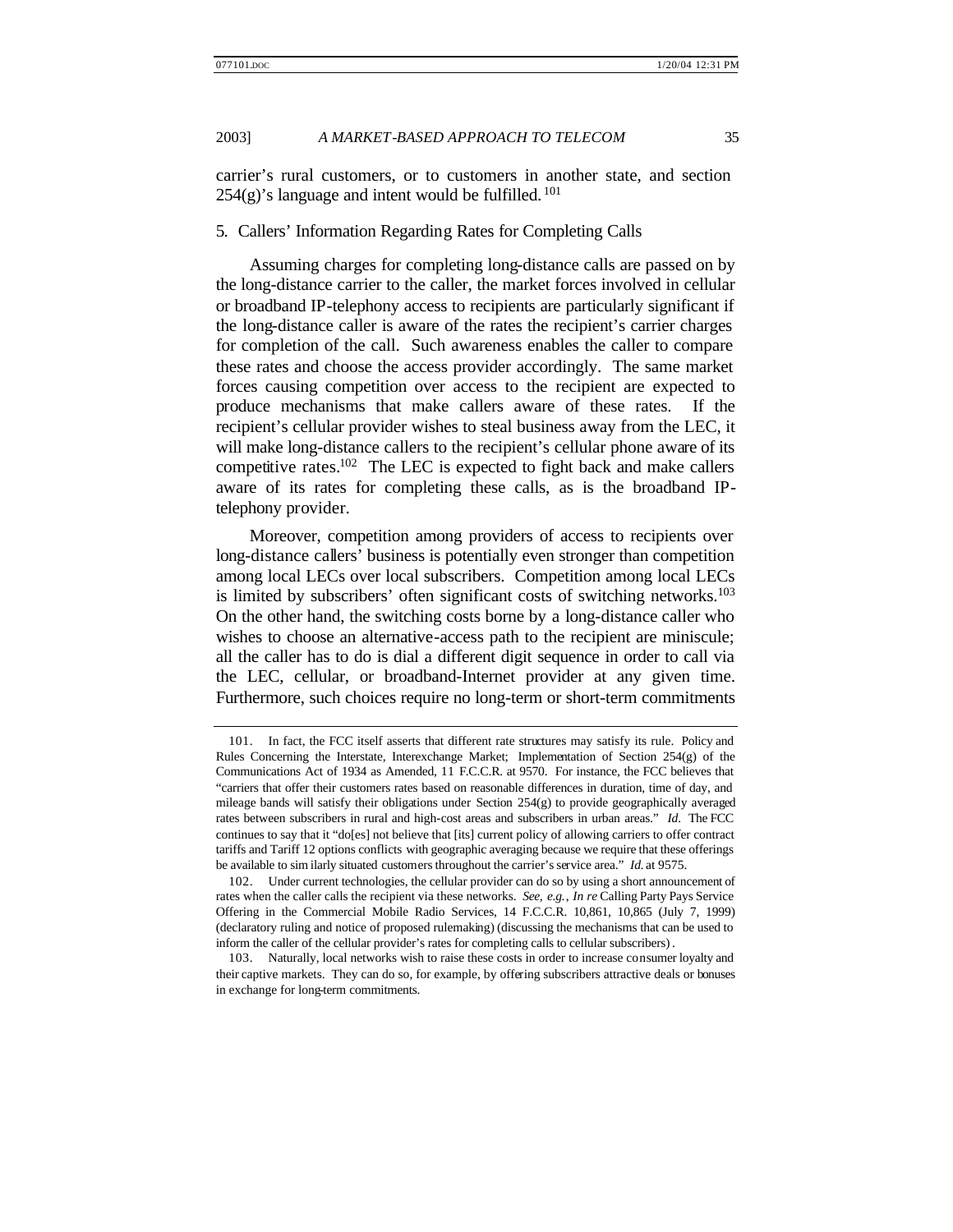carrier's rural customers, or to customers in another state, and section  $254(g)$ 's language and intent would be fulfilled.<sup>101</sup>

#### 5. Callers' Information Regarding Rates for Completing Calls

Assuming charges for completing long-distance calls are passed on by the long-distance carrier to the caller, the market forces involved in cellular or broadband IP-telephony access to recipients are particularly significant if the long-distance caller is aware of the rates the recipient's carrier charges for completion of the call. Such awareness enables the caller to compare these rates and choose the access provider accordingly. The same market forces causing competition over access to the recipient are expected to produce mechanisms that make callers aware of these rates. If the recipient's cellular provider wishes to steal business away from the LEC, it will make long-distance callers to the recipient's cellular phone aware of its competitive rates.<sup>102</sup> The LEC is expected to fight back and make callers aware of its rates for completing these calls, as is the broadband IPtelephony provider.

Moreover, competition among providers of access to recipients over long-distance callers' business is potentially even stronger than competition among local LECs over local subscribers. Competition among local LECs is limited by subscribers' often significant costs of switching networks.<sup>103</sup> On the other hand, the switching costs borne by a long-distance caller who wishes to choose an alternative-access path to the recipient are miniscule; all the caller has to do is dial a different digit sequence in order to call via the LEC, cellular, or broadband-Internet provider at any given time. Furthermore, such choices require no long-term or short-term commitments

<sup>101.</sup> In fact, the FCC itself asserts that different rate structures may satisfy its rule. Policy and Rules Concerning the Interstate, Interexchange Market; Implementation of Section 254(g) of the Communications Act of 1934 as Amended, 11 F.C.C.R. at 9570. For instance, the FCC believes that "carriers that offer their customers rates based on reasonable differences in duration, time of day, and mileage bands will satisfy their obligations under Section 254(g) to provide geographically averaged rates between subscribers in rural and high-cost areas and subscribers in urban areas." *Id.* The FCC continues to say that it "do[es] not believe that [its] current policy of allowing carriers to offer contract tariffs and Tariff 12 options conflicts with geographic averaging because we require that these offerings be available to sim ilarly situated customers throughout the carrier's service area." *Id.* at 9575.

<sup>102.</sup> Under current technologies, the cellular provider can do so by using a short announcement of rates when the caller calls the recipient via these networks. *See, e.g.*, *In re* Calling Party Pays Service Offering in the Commercial Mobile Radio Services, 14 F.C.C.R. 10,861, 10,865 (July 7, 1999) (declaratory ruling and notice of proposed rulemaking) (discussing the mechanisms that can be used to inform the caller of the cellular provider's rates for completing calls to cellular subscribers) .

<sup>103.</sup> Naturally, local networks wish to raise these costs in order to increase consumer loyalty and their captive markets. They can do so, for example, by offering subscribers attractive deals or bonuses in exchange for long-term commitments.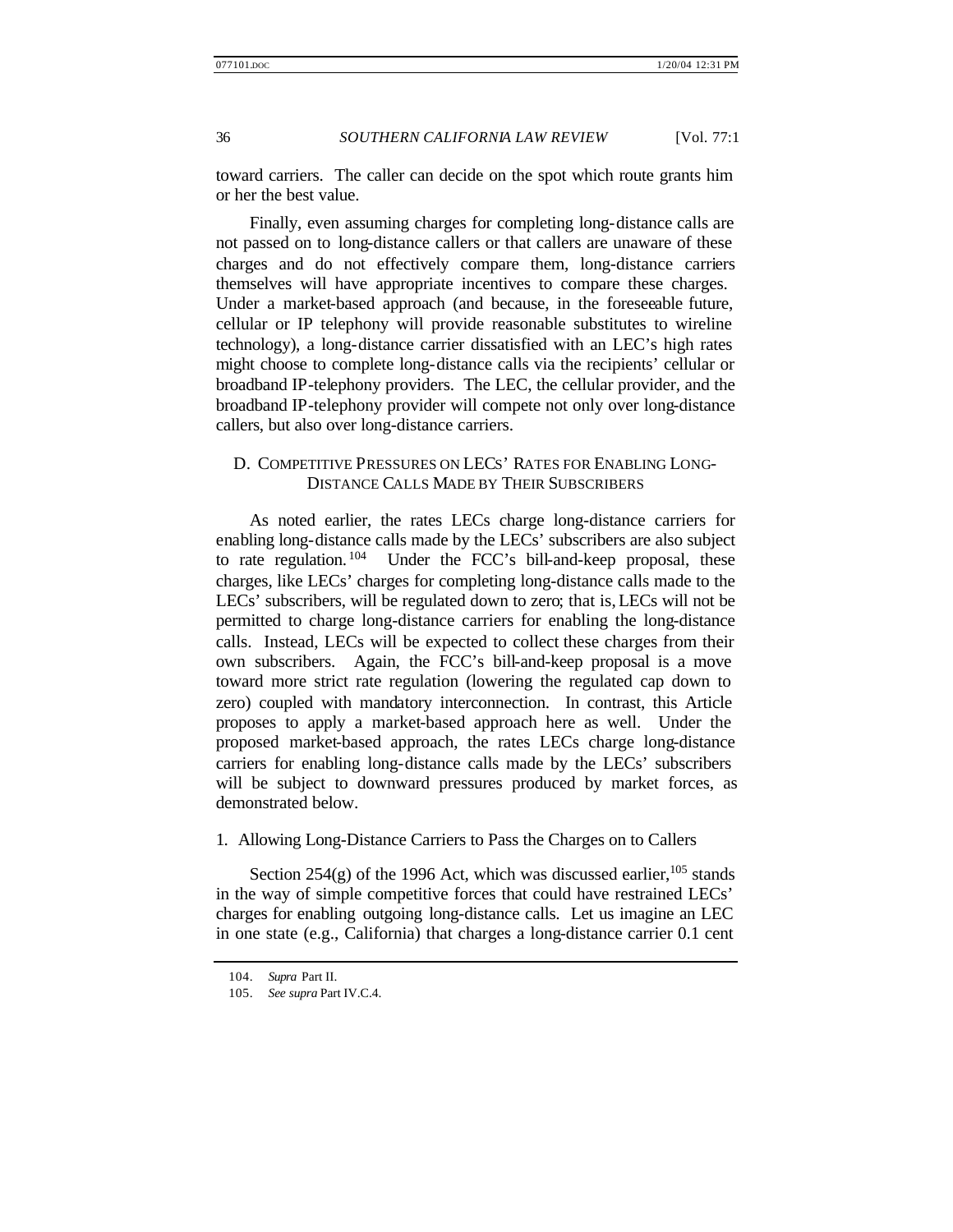toward carriers. The caller can decide on the spot which route grants him or her the best value.

Finally, even assuming charges for completing long-distance calls are not passed on to long-distance callers or that callers are unaware of these charges and do not effectively compare them, long-distance carriers themselves will have appropriate incentives to compare these charges. Under a market-based approach (and because, in the foreseeable future, cellular or IP telephony will provide reasonable substitutes to wireline technology), a long-distance carrier dissatisfied with an LEC's high rates might choose to complete long-distance calls via the recipients' cellular or broadband IP-telephony providers. The LEC, the cellular provider, and the broadband IP-telephony provider will compete not only over long-distance callers, but also over long-distance carriers.

# D. COMPETITIVE PRESSURES ON LECS' RATES FOR ENABLING LONG-DISTANCE CALLS MADE BY THEIR SUBSCRIBERS

As noted earlier, the rates LECs charge long-distance carriers for enabling long-distance calls made by the LECs' subscribers are also subject to rate regulation.<sup>104</sup> Under the FCC's bill-and-keep proposal, these charges, like LECs' charges for completing long-distance calls made to the LECs' subscribers, will be regulated down to zero; that is, LECs will not be permitted to charge long-distance carriers for enabling the long-distance calls. Instead, LECs will be expected to collect these charges from their own subscribers. Again, the FCC's bill-and-keep proposal is a move toward more strict rate regulation (lowering the regulated cap down to zero) coupled with mandatory interconnection. In contrast, this Article proposes to apply a market-based approach here as well. Under the proposed market-based approach, the rates LECs charge long-distance carriers for enabling long-distance calls made by the LECs' subscribers will be subject to downward pressures produced by market forces, as demonstrated below.

1. Allowing Long-Distance Carriers to Pass the Charges on to Callers

Section 254(g) of the 1996 Act, which was discussed earlier,  $^{105}$  stands in the way of simple competitive forces that could have restrained LECs' charges for enabling outgoing long-distance calls. Let us imagine an LEC in one state (e.g., California) that charges a long-distance carrier 0.1 cent

<sup>104.</sup> *Supra* Part II.

<sup>105.</sup> *See supra* Part IV.C.4.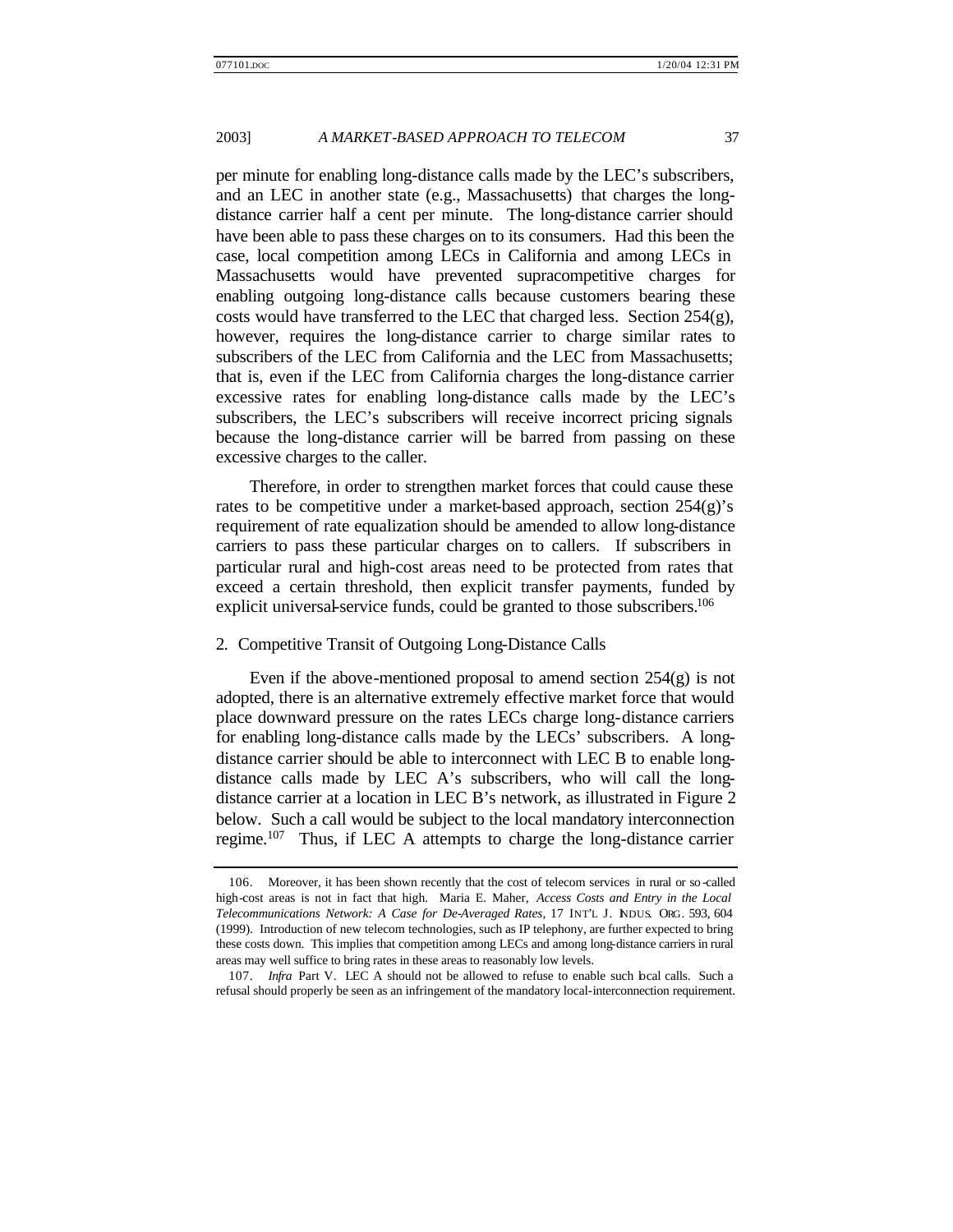per minute for enabling long-distance calls made by the LEC's subscribers, and an LEC in another state (e.g., Massachusetts) that charges the longdistance carrier half a cent per minute. The long-distance carrier should have been able to pass these charges on to its consumers. Had this been the case, local competition among LECs in California and among LECs in Massachusetts would have prevented supracompetitive charges for enabling outgoing long-distance calls because customers bearing these costs would have transferred to the LEC that charged less. Section 254(g), however, requires the long-distance carrier to charge similar rates to subscribers of the LEC from California and the LEC from Massachusetts; that is, even if the LEC from California charges the long-distance carrier excessive rates for enabling long-distance calls made by the LEC's subscribers, the LEC's subscribers will receive incorrect pricing signals because the long-distance carrier will be barred from passing on these excessive charges to the caller.

Therefore, in order to strengthen market forces that could cause these rates to be competitive under a market-based approach, section  $254(g)$ 's requirement of rate equalization should be amended to allow long-distance carriers to pass these particular charges on to callers. If subscribers in particular rural and high-cost areas need to be protected from rates that exceed a certain threshold, then explicit transfer payments, funded by explicit universal-service funds, could be granted to those subscribers.<sup>106</sup>

#### 2. Competitive Transit of Outgoing Long-Distance Calls

Even if the above-mentioned proposal to amend section  $254(g)$  is not adopted, there is an alternative extremely effective market force that would place downward pressure on the rates LECs charge long-distance carriers for enabling long-distance calls made by the LECs' subscribers. A longdistance carrier should be able to interconnect with LEC B to enable longdistance calls made by LEC A's subscribers, who will call the longdistance carrier at a location in LEC B's network, as illustrated in Figure 2 below. Such a call would be subject to the local mandatory interconnection regime.<sup>107</sup> Thus, if LEC A attempts to charge the long-distance carrier

<sup>106.</sup> Moreover, it has been shown recently that the cost of telecom services in rural or so -called high-cost areas is not in fact that high. Maria E. Maher, *Access Costs and Entry in the Local Telecommunications Network: A Case for De-Averaged Rates*, 17 INT'L J. INDUS. ORG. 593, 604 (1999). Introduction of new telecom technologies, such as IP telephony, are further expected to bring these costs down. This implies that competition among LECs and among long-distance carriers in rural areas may well suffice to bring rates in these areas to reasonably low levels.

<sup>107.</sup> *Infra* Part V. LEC A should not be allowed to refuse to enable such bcal calls. Such a refusal should properly be seen as an infringement of the mandatory local-interconnection requirement.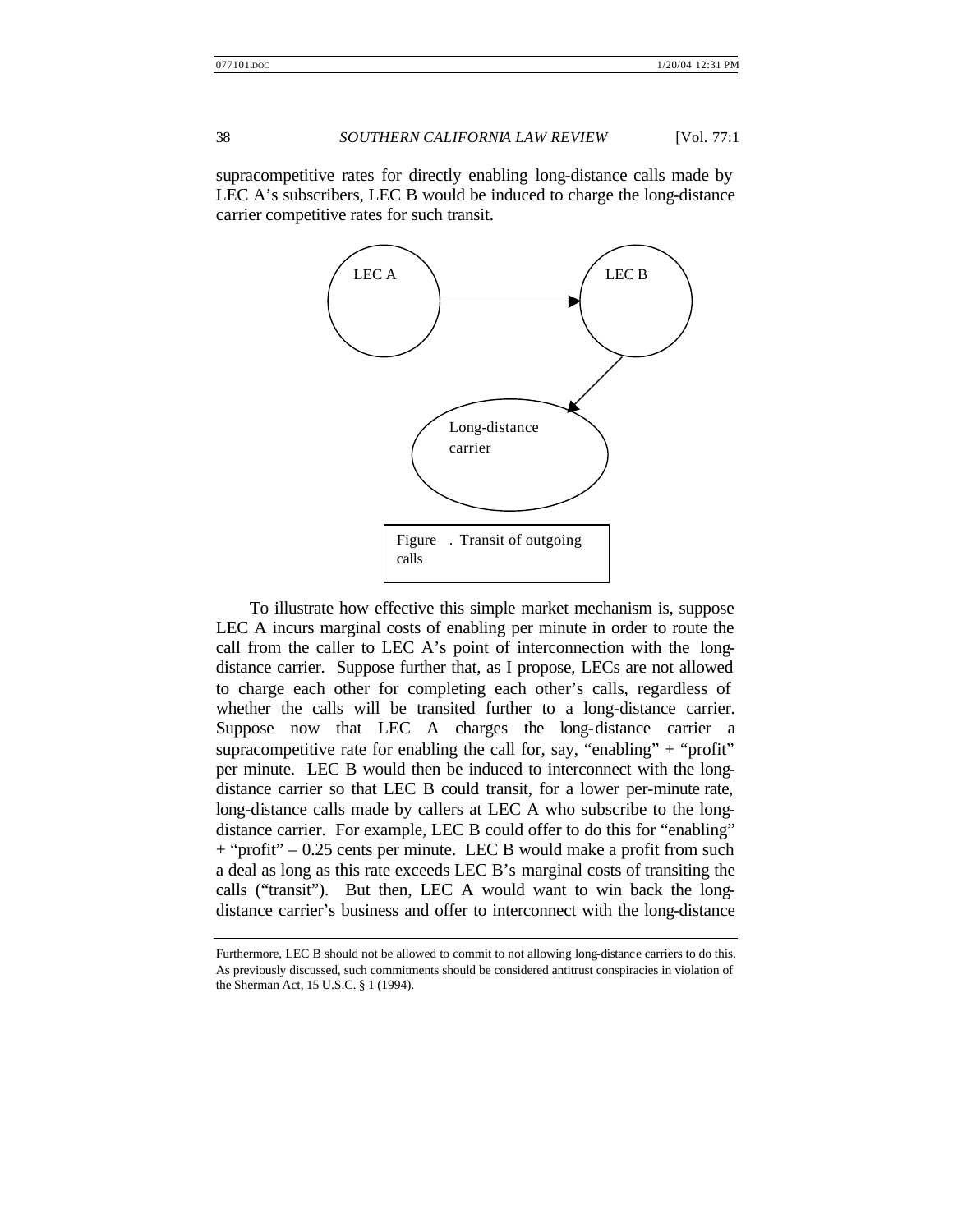supracompetitive rates for directly enabling long-distance calls made by LEC A's subscribers, LEC B would be induced to charge the long-distance carrier competitive rates for such transit.



To illustrate how effective this simple market mechanism is, suppose LEC A incurs marginal costs of enabling per minute in order to route the call from the caller to LEC A's point of interconnection with the longdistance carrier. Suppose further that, as I propose, LECs are not allowed to charge each other for completing each other's calls, regardless of whether the calls will be transited further to a long-distance carrier. Suppose now that LEC A charges the long-distance carrier a supracompetitive rate for enabling the call for, say, "enabling" + "profit" per minute. LEC B would then be induced to interconnect with the longdistance carrier so that LEC B could transit, for a lower per-minute rate, long-distance calls made by callers at LEC A who subscribe to the longdistance carrier. For example, LEC B could offer to do this for "enabling" + "profit" – 0.25 cents per minute. LEC B would make a profit from such a deal as long as this rate exceeds LEC B's marginal costs of transiting the calls ("transit"). But then, LEC A would want to win back the longdistance carrier's business and offer to interconnect with the long-distance

Furthermore, LEC B should not be allowed to commit to not allowing long-distance carriers to do this. As previously discussed, such commitments should be considered antitrust conspiracies in violation of the Sherman Act, 15 U.S.C. § 1 (1994).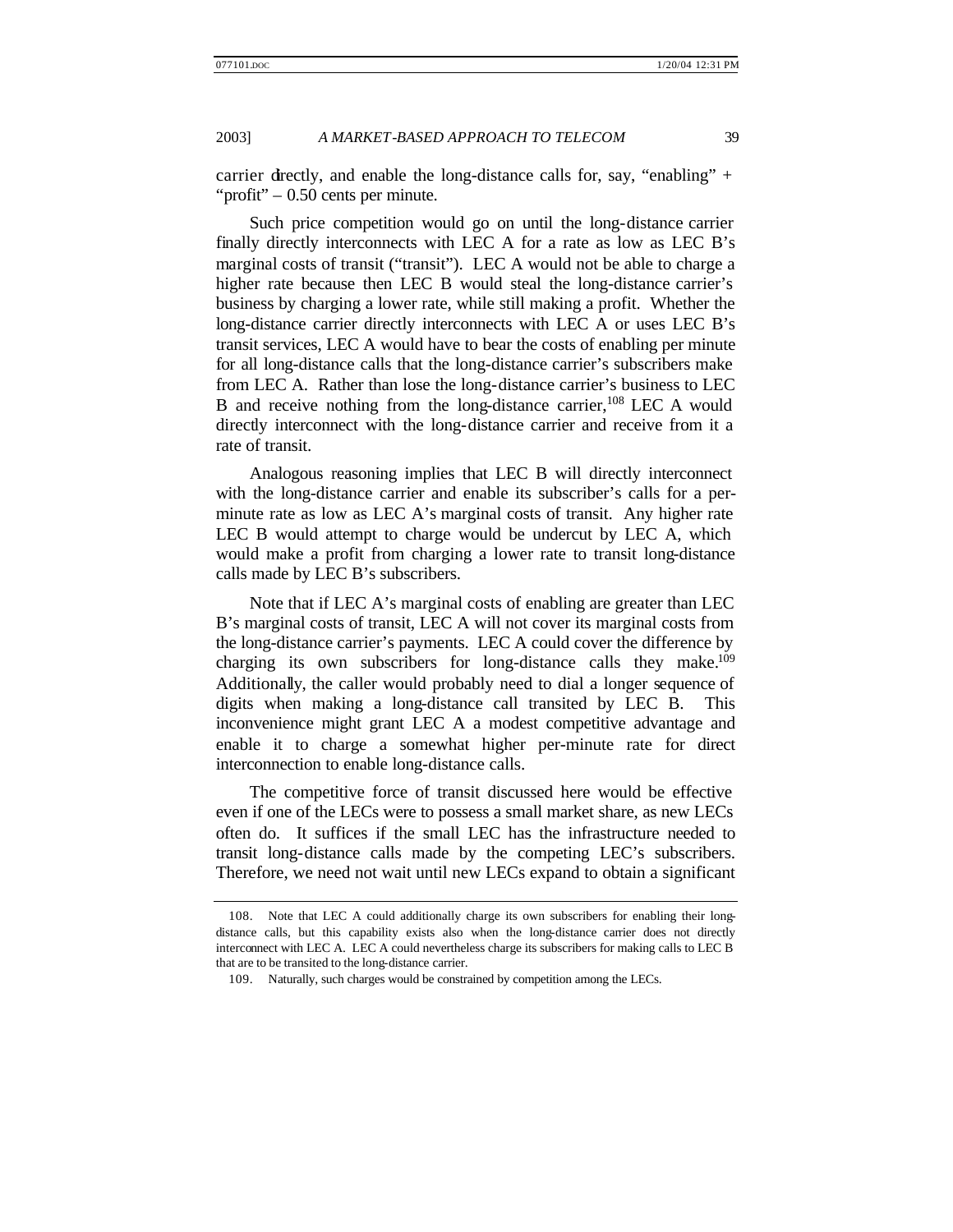carrier directly, and enable the long-distance calls for, say, "enabling" + "profit" – 0.50 cents per minute.

Such price competition would go on until the long-distance carrier finally directly interconnects with LEC A for a rate as low as LEC B's marginal costs of transit ("transit"). LEC A would not be able to charge a higher rate because then LEC B would steal the long-distance carrier's business by charging a lower rate, while still making a profit. Whether the long-distance carrier directly interconnects with LEC A or uses LEC B's transit services, LEC A would have to bear the costs of enabling per minute for all long-distance calls that the long-distance carrier's subscribers make from LEC A. Rather than lose the long-distance carrier's business to LEC B and receive nothing from the long-distance carrier,  $^{108}$  LEC A would directly interconnect with the long-distance carrier and receive from it a rate of transit.

Analogous reasoning implies that LEC B will directly interconnect with the long-distance carrier and enable its subscriber's calls for a perminute rate as low as LEC A's marginal costs of transit. Any higher rate LEC B would attempt to charge would be undercut by LEC A, which would make a profit from charging a lower rate to transit long-distance calls made by LEC B's subscribers.

Note that if LEC A's marginal costs of enabling are greater than LEC B's marginal costs of transit, LEC A will not cover its marginal costs from the long-distance carrier's payments. LEC A could cover the difference by charging its own subscribers for long-distance calls they make.<sup>109</sup> Additionally, the caller would probably need to dial a longer sequence of digits when making a long-distance call transited by LEC B. This inconvenience might grant LEC A a modest competitive advantage and enable it to charge a somewhat higher per-minute rate for direct interconnection to enable long-distance calls.

The competitive force of transit discussed here would be effective even if one of the LECs were to possess a small market share, as new LECs often do. It suffices if the small LEC has the infrastructure needed to transit long-distance calls made by the competing LEC's subscribers. Therefore, we need not wait until new LECs expand to obtain a significant

<sup>108.</sup> Note that LEC A could additionally charge its own subscribers for enabling their longdistance calls, but this capability exists also when the long-distance carrier does not directly interconnect with LEC A. LEC A could nevertheless charge its subscribers for making calls to LEC B that are to be transited to the long-distance carrier.

<sup>109.</sup> Naturally, such charges would be constrained by competition among the LECs.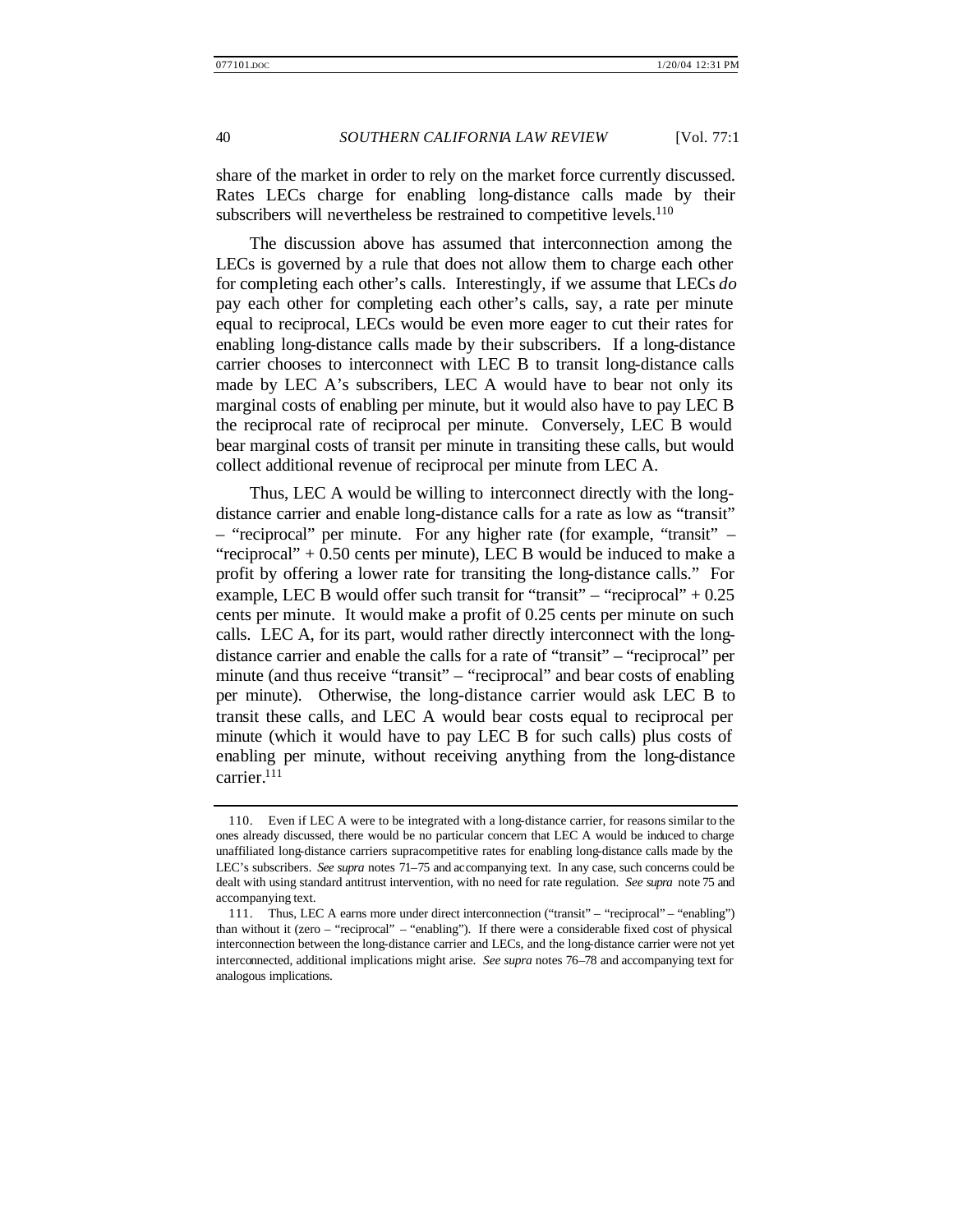share of the market in order to rely on the market force currently discussed. Rates LECs charge for enabling long-distance calls made by their subscribers will nevertheless be restrained to competitive levels.<sup>110</sup>

The discussion above has assumed that interconnection among the LECs is governed by a rule that does not allow them to charge each other for completing each other's calls. Interestingly, if we assume that LECs *do* pay each other for completing each other's calls, say, a rate per minute equal to reciprocal, LECs would be even more eager to cut their rates for enabling long-distance calls made by their subscribers. If a long-distance carrier chooses to interconnect with LEC B to transit long-distance calls made by LEC A's subscribers, LEC A would have to bear not only its marginal costs of enabling per minute, but it would also have to pay LEC B the reciprocal rate of reciprocal per minute. Conversely, LEC B would bear marginal costs of transit per minute in transiting these calls, but would collect additional revenue of reciprocal per minute from LEC A.

Thus, LEC A would be willing to interconnect directly with the longdistance carrier and enable long-distance calls for a rate as low as "transit" – "reciprocal" per minute. For any higher rate (for example, "transit" – "reciprocal"  $+ 0.50$  cents per minute), LEC B would be induced to make a profit by offering a lower rate for transiting the long-distance calls." For example, LEC B would offer such transit for "transit" – "reciprocal"  $+0.25$ cents per minute. It would make a profit of 0.25 cents per minute on such calls. LEC A, for its part, would rather directly interconnect with the longdistance carrier and enable the calls for a rate of "transit" – "reciprocal" per minute (and thus receive "transit" – "reciprocal" and bear costs of enabling per minute). Otherwise, the long-distance carrier would ask LEC B to transit these calls, and LEC A would bear costs equal to reciprocal per minute (which it would have to pay LEC B for such calls) plus costs of enabling per minute, without receiving anything from the long-distance carrier.<sup>111</sup>

<sup>110.</sup> Even if LEC A were to be integrated with a long-distance carrier, for reasons similar to the ones already discussed, there would be no particular concern that LEC A would be induced to charge unaffiliated long-distance carriers supracompetitive rates for enabling long-distance calls made by the LEC's subscribers. *See supra* notes 71–75 and accompanying text. In any case, such concerns could be dealt with using standard antitrust intervention, with no need for rate regulation. *See supra* note 75 and accompanying text.

<sup>111.</sup> Thus, LEC A earns more under direct interconnection ("transit" – "reciprocal" – "enabling") than without it (zero – "reciprocal" – "enabling"). If there were a considerable fixed cost of physical interconnection between the long-distance carrier and LECs, and the long-distance carrier were not yet interconnected, additional implications might arise. *See supra* notes 76–78 and accompanying text for analogous implications.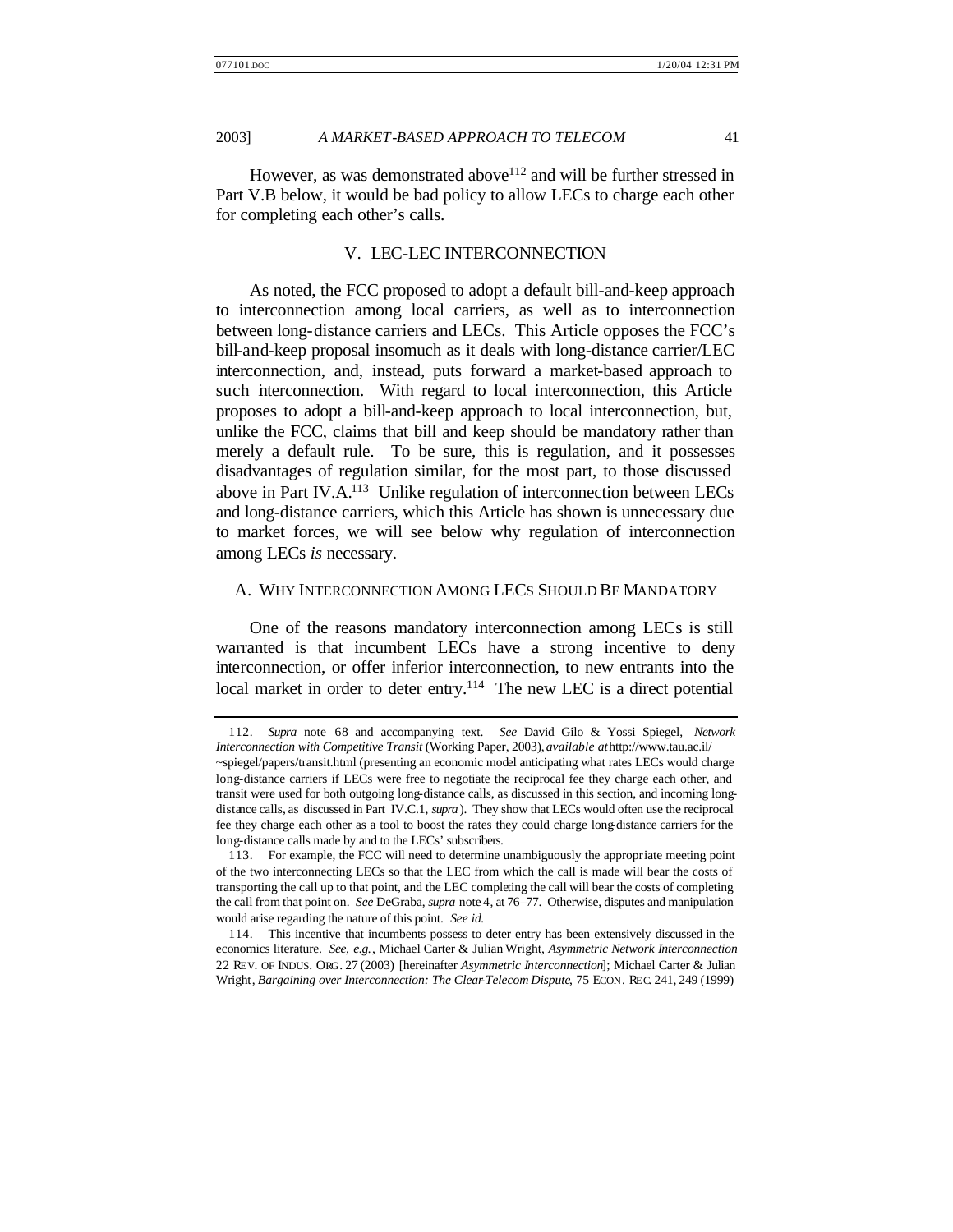However, as was demonstrated above  $112$  and will be further stressed in Part V.B below, it would be bad policy to allow LECs to charge each other for completing each other's calls.

#### V. LEC-LEC INTERCONNECTION

As noted, the FCC proposed to adopt a default bill-and-keep approach to interconnection among local carriers, as well as to interconnection between long-distance carriers and LECs. This Article opposes the FCC's bill-and-keep proposal insomuch as it deals with long-distance carrier/LEC interconnection, and, instead, puts forward a market-based approach to such interconnection. With regard to local interconnection, this Article proposes to adopt a bill-and-keep approach to local interconnection, but, unlike the FCC, claims that bill and keep should be mandatory rather than merely a default rule. To be sure, this is regulation, and it possesses disadvantages of regulation similar, for the most part, to those discussed above in Part IV.A.<sup>113</sup> Unlike regulation of interconnection between LECs and long-distance carriers, which this Article has shown is unnecessary due to market forces, we will see below why regulation of interconnection among LECs *is* necessary.

#### A. WHY INTERCONNECTION AMONG LECS SHOULD BE MANDATORY

One of the reasons mandatory interconnection among LECs is still warranted is that incumbent LECs have a strong incentive to deny interconnection, or offer inferior interconnection, to new entrants into the local market in order to deter entry.<sup>114</sup> The new LEC is a direct potential

<sup>112.</sup> *Supra* note 68 and accompanying text. *See* David Gilo & Yossi Spiegel, *Network Interconnection with Competitive Transit* (Working Paper, 2003), *available at* http://www.tau.ac.il/ ~spiegel/papers/transit.html (presenting an economic model anticipating what rates LECs would charge long-distance carriers if LECs were free to negotiate the reciprocal fee they charge each other, and transit were used for both outgoing long-distance calls, as discussed in this section, and incoming longdistance calls, as discussed in Part IV.C.1, *supra* ). They show that LECs would often use the reciprocal fee they charge each other as a tool to boost the rates they could charge long-distance carriers for the long-distance calls made by and to the LECs' subscribers.

<sup>113.</sup> For example, the FCC will need to determine unambiguously the appropriate meeting point of the two interconnecting LECs so that the LEC from which the call is made will bear the costs of transporting the call up to that point, and the LEC completing the call will bear the costs of completing the call from that point on. *See* DeGraba, *supra* note 4, at 76–77. Otherwise, disputes and manipulation would arise regarding the nature of this point. *See id.*

<sup>114.</sup> This incentive that incumbents possess to deter entry has been extensively discussed in the economics literature. *See, e.g.*, Michael Carter & Julian Wright, *Asymmetric Network Interconnection* 22 REV. OF INDUS. ORG. 27 (2003) [hereinafter *Asymmetric Interconnection*]; Michael Carter & Julian Wright, *Bargaining over Interconnection: The Clear-Telecom Dispute*, 75 ECON. REC. 241, 249 (1999)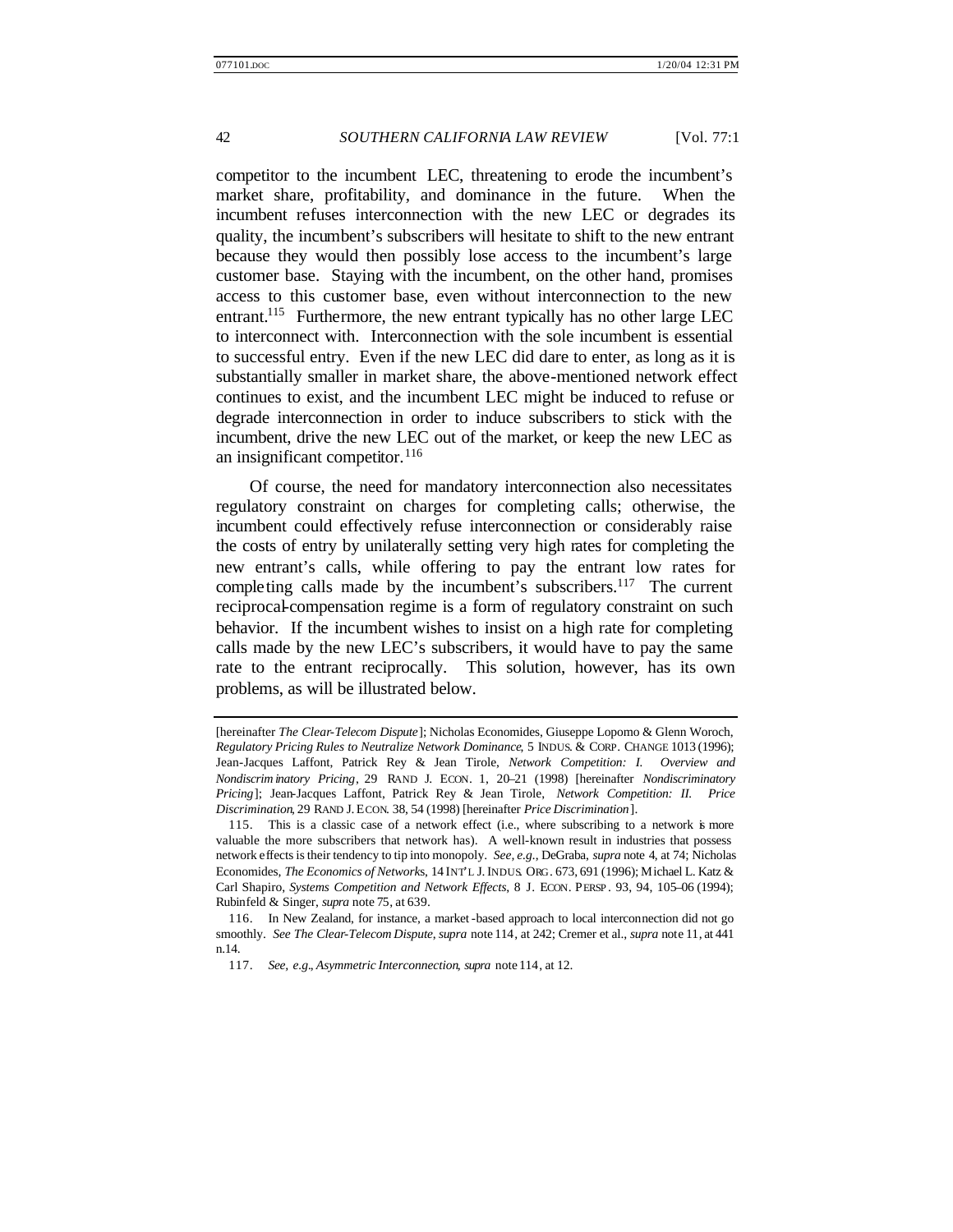competitor to the incumbent LEC, threatening to erode the incumbent's market share, profitability, and dominance in the future. When the incumbent refuses interconnection with the new LEC or degrades its quality, the incumbent's subscribers will hesitate to shift to the new entrant because they would then possibly lose access to the incumbent's large customer base. Staying with the incumbent, on the other hand, promises access to this customer base, even without interconnection to the new entrant.<sup>115</sup> Furthermore, the new entrant typically has no other large LEC to interconnect with. Interconnection with the sole incumbent is essential to successful entry. Even if the new LEC did dare to enter, as long as it is substantially smaller in market share, the above-mentioned network effect continues to exist, and the incumbent LEC might be induced to refuse or degrade interconnection in order to induce subscribers to stick with the incumbent, drive the new LEC out of the market, or keep the new LEC as an insignificant competitor.<sup>116</sup>

Of course, the need for mandatory interconnection also necessitates regulatory constraint on charges for completing calls; otherwise, the incumbent could effectively refuse interconnection or considerably raise the costs of entry by unilaterally setting very high rates for completing the new entrant's calls, while offering to pay the entrant low rates for completing calls made by the incumbent's subscribers.<sup>117</sup> The current reciprocal-compensation regime is a form of regulatory constraint on such behavior. If the incumbent wishes to insist on a high rate for completing calls made by the new LEC's subscribers, it would have to pay the same rate to the entrant reciprocally. This solution, however, has its own problems, as will be illustrated below.

<sup>[</sup>hereinafter *The Clear-Telecom Dispute*]; Nicholas Economides, Giuseppe Lopomo & Glenn Woroch, *Regulatory Pricing Rules to Neutralize Network Dominance*, 5 INDUS. & CORP. CHANGE 1013 (1996); Jean-Jacques Laffont, Patrick Rey & Jean Tirole, *Network Competition: I. Overview and Nondiscrim inatory Pricing*, 29 RAND J. ECON. 1, 20–21 (1998) [hereinafter *Nondiscriminatory Pricing*]; Jean-Jacques Laffont, Patrick Rey & Jean Tirole, *Network Competition: II. Price Discrimination*, 29 RAND J. ECON. 38, 54 (1998) [hereinafter *Price Discrimination*].

<sup>115.</sup> This is a classic case of a network effect (i.e., where subscribing to a network is more valuable the more subscribers that network has). A well-known result in industries that possess network effects is their tendency to tip into monopoly. *See, e.g.*, DeGraba, *supra* note 4, at 74; Nicholas Economides, *The Economics of Network*s, 14 INT'L J. INDUS. ORG. 673, 691 (1996); Michael L. Katz & Carl Shapiro, *Systems Competition and Network Effects*, 8 J. ECON. PERSP . 93, 94, 105–06 (1994); Rubinfeld & Singer, *supra* note 75, at 639.

<sup>116.</sup> In New Zealand, for instance, a market -based approach to local interconnection did not go smoothly. *See The Clear-Telecom Dispute*, *supra* note 114, at 242; Cremer et al., *supra* note 11, at 441 n.14.

<sup>117.</sup> *See, e.g.*, *Asymmetric Interconnection*, *supra* note 114, at 12.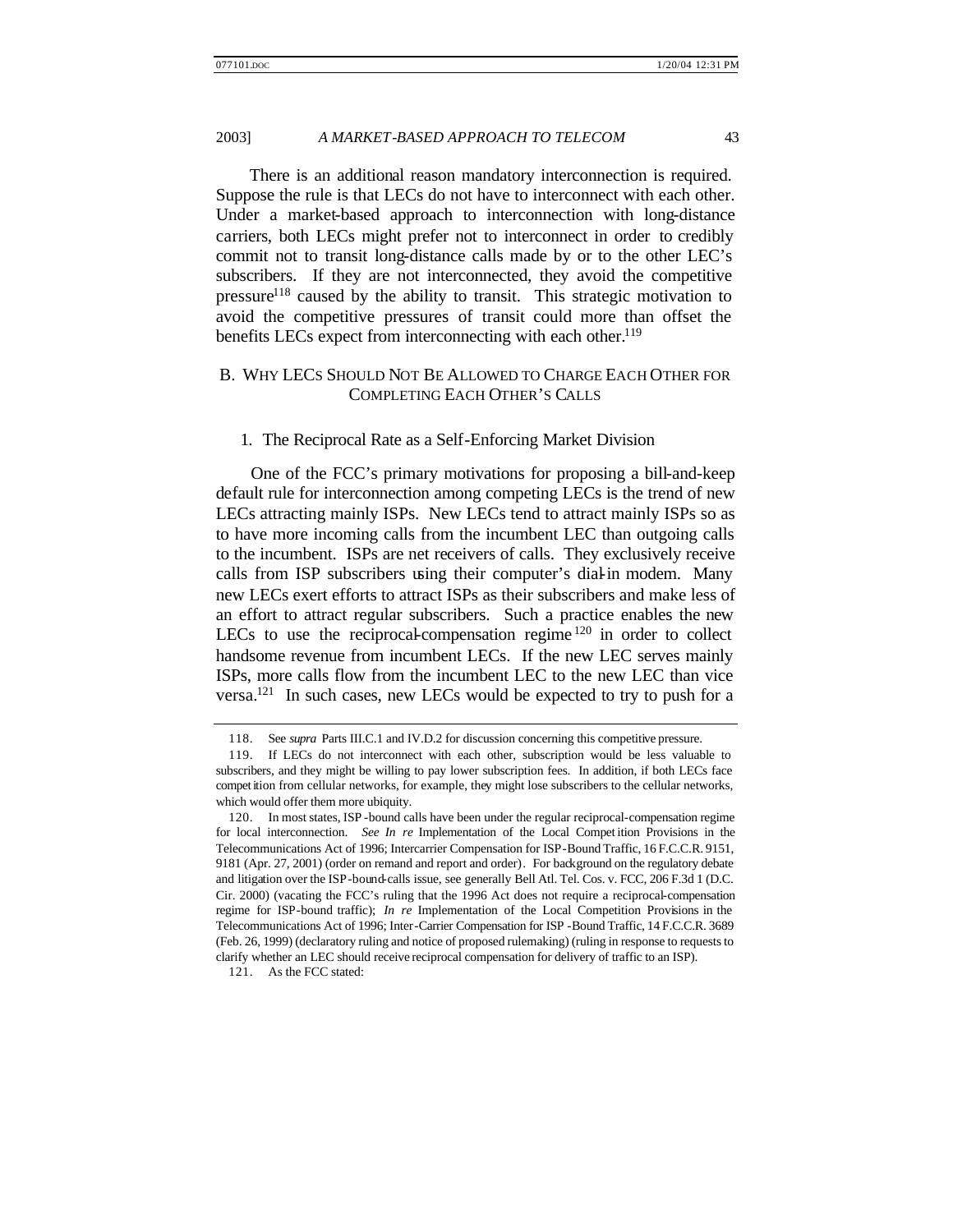There is an additional reason mandatory interconnection is required. Suppose the rule is that LECs do not have to interconnect with each other. Under a market-based approach to interconnection with long-distance carriers, both LECs might prefer not to interconnect in order to credibly commit not to transit long-distance calls made by or to the other LEC's subscribers. If they are not interconnected, they avoid the competitive pressure<sup>118</sup> caused by the ability to transit. This strategic motivation to avoid the competitive pressures of transit could more than offset the benefits LECs expect from interconnecting with each other.<sup>119</sup>

# B. WHY LECS SHOULD NOT BE ALLOWED TO CHARGE EACH OTHER FOR COMPLETING EACH OTHER'S CALLS

#### 1. The Reciprocal Rate as a Self-Enforcing Market Division

One of the FCC's primary motivations for proposing a bill-and-keep default rule for interconnection among competing LECs is the trend of new LECs attracting mainly ISPs. New LECs tend to attract mainly ISPs so as to have more incoming calls from the incumbent LEC than outgoing calls to the incumbent. ISPs are net receivers of calls. They exclusively receive calls from ISP subscribers using their computer's dial-in modem. Many new LECs exert efforts to attract ISPs as their subscribers and make less of an effort to attract regular subscribers. Such a practice enables the new LECs to use the reciprocal-compensation regime  $120$  in order to collect handsome revenue from incumbent LECs. If the new LEC serves mainly ISPs, more calls flow from the incumbent LEC to the new LEC than vice versa.<sup>121</sup> In such cases, new LECs would be expected to try to push for a

<sup>118.</sup> See *supra* Parts III.C.1 and IV.D.2 for discussion concerning this competitive pressure.

<sup>119.</sup> If LECs do not interconnect with each other, subscription would be less valuable to subscribers, and they might be willing to pay lower subscription fees. In addition, if both LECs face compet ition from cellular networks, for example, they might lose subscribers to the cellular networks, which would offer them more ubiquity.

<sup>120.</sup> In most states, ISP -bound calls have been under the regular reciprocal-compensation regime for local interconnection. *See In re* Implementation of the Local Compet ition Provisions in the Telecommunications Act of 1996; Intercarrier Compensation for ISP-Bound Traffic, 16 F.C.C.R. 9151, 9181 (Apr. 27, 2001) (order on remand and report and order). For background on the regulatory debate and litigation over the ISP-bound-calls issue, see generally Bell Atl. Tel. Cos. v. FCC, 206 F.3d 1 (D.C. Cir. 2000) (vacating the FCC's ruling that the 1996 Act does not require a reciprocal-compensation regime for ISP-bound traffic); *In re* Implementation of the Local Competition Provisions in the Telecommunications Act of 1996; Inter-Carrier Compensation for ISP -Bound Traffic, 14 F.C.C.R. 3689 (Feb. 26, 1999) (declaratory ruling and notice of proposed rulemaking) (ruling in response to requests to clarify whether an LEC should receive reciprocal compensation for delivery of traffic to an ISP).

<sup>121.</sup> As the FCC stated: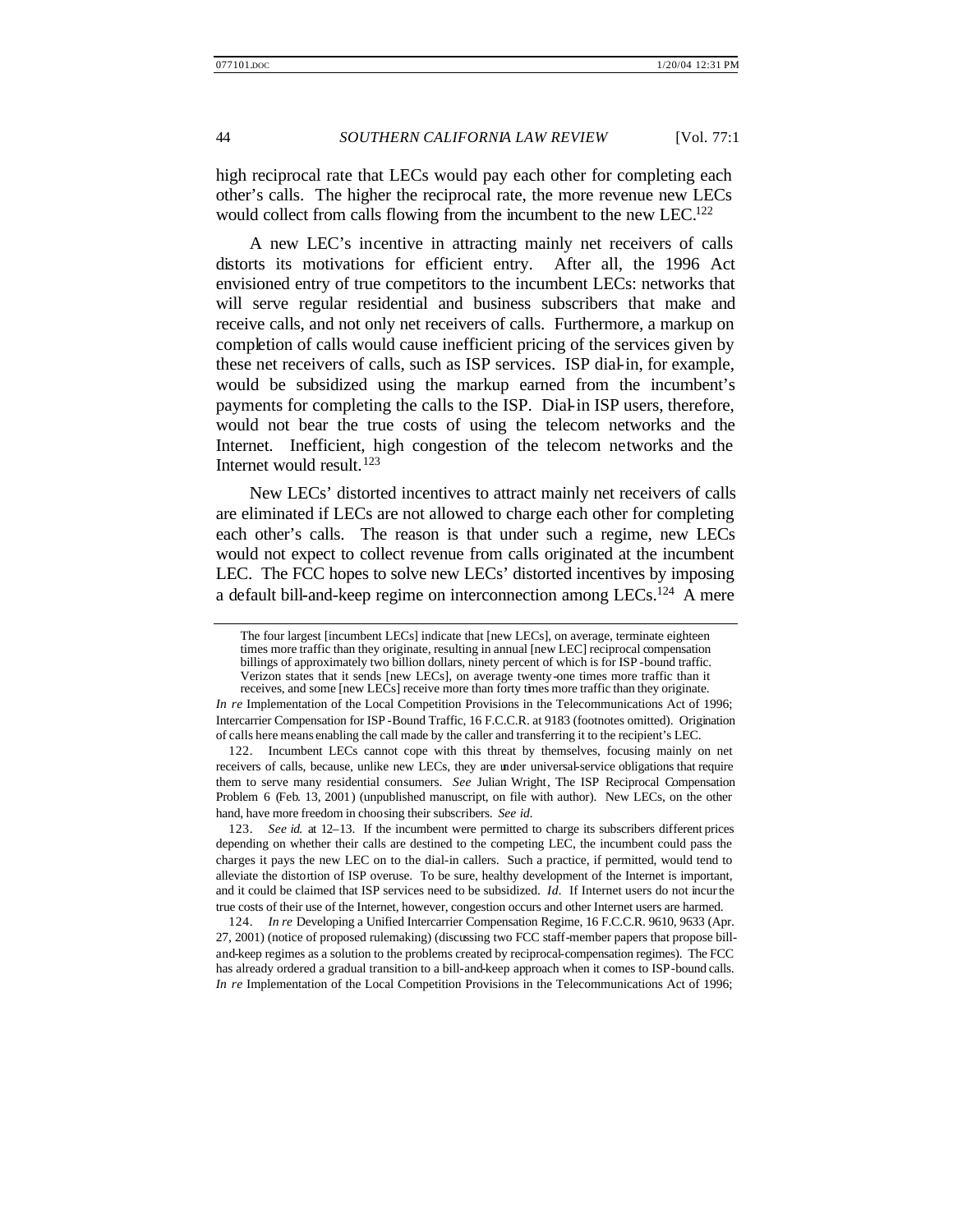high reciprocal rate that LECs would pay each other for completing each other's calls. The higher the reciprocal rate, the more revenue new LECs would collect from calls flowing from the incumbent to the new LEC.<sup>122</sup>

A new LEC's incentive in attracting mainly net receivers of calls distorts its motivations for efficient entry. After all, the 1996 Act envisioned entry of true competitors to the incumbent LECs: networks that will serve regular residential and business subscribers that make and receive calls, and not only net receivers of calls. Furthermore, a markup on completion of calls would cause inefficient pricing of the services given by these net receivers of calls, such as ISP services. ISP dial-in, for example, would be subsidized using the markup earned from the incumbent's payments for completing the calls to the ISP. Dial-in ISP users, therefore, would not bear the true costs of using the telecom networks and the Internet. Inefficient, high congestion of the telecom networks and the Internet would result.<sup>123</sup>

New LECs' distorted incentives to attract mainly net receivers of calls are eliminated if LECs are not allowed to charge each other for completing each other's calls. The reason is that under such a regime, new LECs would not expect to collect revenue from calls originated at the incumbent LEC. The FCC hopes to solve new LECs' distorted incentives by imposing a default bill-and-keep regime on interconnection among LECs.<sup>124</sup> A mere

The four largest [incumbent LECs] indicate that [new LECs], on average, terminate eighteen times more traffic than they originate, resulting in annual [new LEC] reciprocal compensation billings of approximately two billion dollars, ninety percent of which is for ISP -bound traffic. Verizon states that it sends [new LECs], on average twenty-one times more traffic than it receives, and some [new LECs] receive more than forty times more traffic than they originate.

*In re* Implementation of the Local Competition Provisions in the Telecommunications Act of 1996; Intercarrier Compensation for ISP -Bound Traffic, 16 F.C.C.R. at 9183 (footnotes omitted). Origination of calls here means enabling the call made by the caller and transferring it to the recipient's LEC.

<sup>122.</sup> Incumbent LECs cannot cope with this threat by themselves, focusing mainly on net receivers of calls, because, unlike new LECs, they are under universal-service obligations that require them to serve many residential consumers. *See* Julian Wright, The ISP Reciprocal Compensation Problem 6 (Feb. 13, 2001) (unpublished manuscript, on file with author). New LECs, on the other hand, have more freedom in choosing their subscribers. *See id.*

<sup>123.</sup> *See id.* at 12–13. If the incumbent were permitted to charge its subscribers different prices depending on whether their calls are destined to the competing LEC, the incumbent could pass the charges it pays the new LEC on to the dial-in callers. Such a practice, if permitted, would tend to alleviate the distortion of ISP overuse. To be sure, healthy development of the Internet is important, and it could be claimed that ISP services need to be subsidized. *Id.* If Internet users do not incur the true costs of their use of the Internet, however, congestion occurs and other Internet users are harmed.

<sup>124.</sup> *In re* Developing a Unified Intercarrier Compensation Regime, 16 F.C.C.R. 9610, 9633 (Apr. 27, 2001) (notice of proposed rulemaking) (discussing two FCC staff-member papers that propose billand-keep regimes as a solution to the problems created by reciprocal-compensation regimes). The FCC has already ordered a gradual transition to a bill-and-keep approach when it comes to ISP-bound calls. *In re* Implementation of the Local Competition Provisions in the Telecommunications Act of 1996;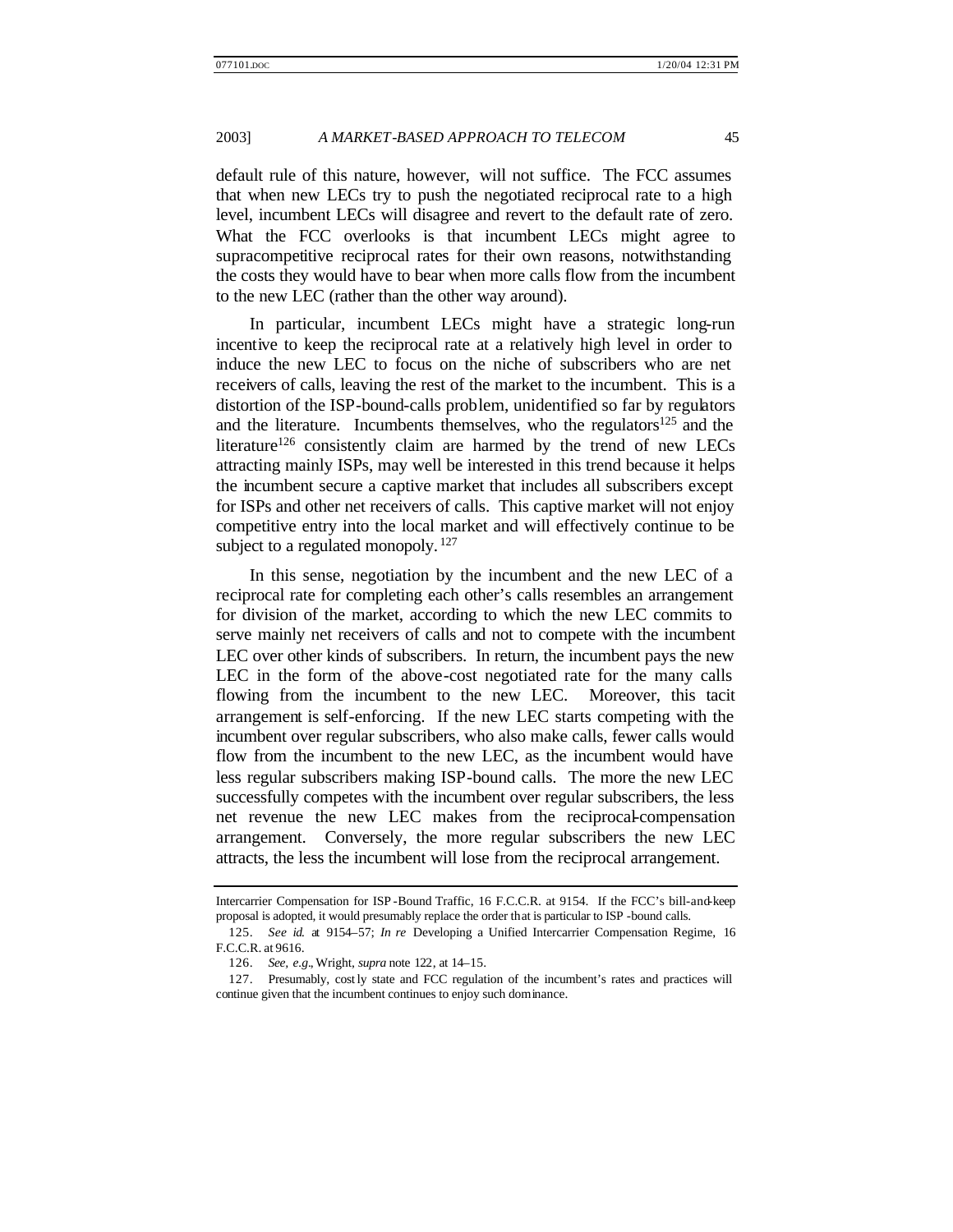default rule of this nature, however, will not suffice. The FCC assumes that when new LECs try to push the negotiated reciprocal rate to a high level, incumbent LECs will disagree and revert to the default rate of zero. What the FCC overlooks is that incumbent LECs might agree to supracompetitive reciprocal rates for their own reasons, notwithstanding the costs they would have to bear when more calls flow from the incumbent to the new LEC (rather than the other way around).

In particular, incumbent LECs might have a strategic long-run incentive to keep the reciprocal rate at a relatively high level in order to induce the new LEC to focus on the niche of subscribers who are net receivers of calls, leaving the rest of the market to the incumbent. This is a distortion of the ISP-bound-calls problem, unidentified so far by regulators and the literature. Incumbents themselves, who the regulators<sup>125</sup> and the literature<sup>126</sup> consistently claim are harmed by the trend of new LECs attracting mainly ISPs, may well be interested in this trend because it helps the incumbent secure a captive market that includes all subscribers except for ISPs and other net receivers of calls. This captive market will not enjoy competitive entry into the local market and will effectively continue to be subject to a regulated monopoly.  $127$ 

In this sense, negotiation by the incumbent and the new LEC of a reciprocal rate for completing each other's calls resembles an arrangement for division of the market, according to which the new LEC commits to serve mainly net receivers of calls and not to compete with the incumbent LEC over other kinds of subscribers. In return, the incumbent pays the new LEC in the form of the above-cost negotiated rate for the many calls flowing from the incumbent to the new LEC. Moreover, this tacit arrangement is self-enforcing. If the new LEC starts competing with the incumbent over regular subscribers, who also make calls, fewer calls would flow from the incumbent to the new LEC, as the incumbent would have less regular subscribers making ISP-bound calls. The more the new LEC successfully competes with the incumbent over regular subscribers, the less net revenue the new LEC makes from the reciprocal-compensation arrangement. Conversely, the more regular subscribers the new LEC attracts, the less the incumbent will lose from the reciprocal arrangement.

Intercarrier Compensation for ISP -Bound Traffic, 16 F.C.C.R. at 9154. If the FCC's bill-and-keep proposal is adopted, it would presumably replace the order that is particular to ISP -bound calls.

<sup>125.</sup> *See id.* at 9154–57; *In re* Developing a Unified Intercarrier Compensation Regime, 16 F.C.C.R. at 9616.

<sup>126.</sup> *See, e.g.*, Wright, *supra* note 122, at 14–15.

<sup>127.</sup> Presumably, cost ly state and FCC regulation of the incumbent's rates and practices will continue given that the incumbent continues to enjoy such dominance.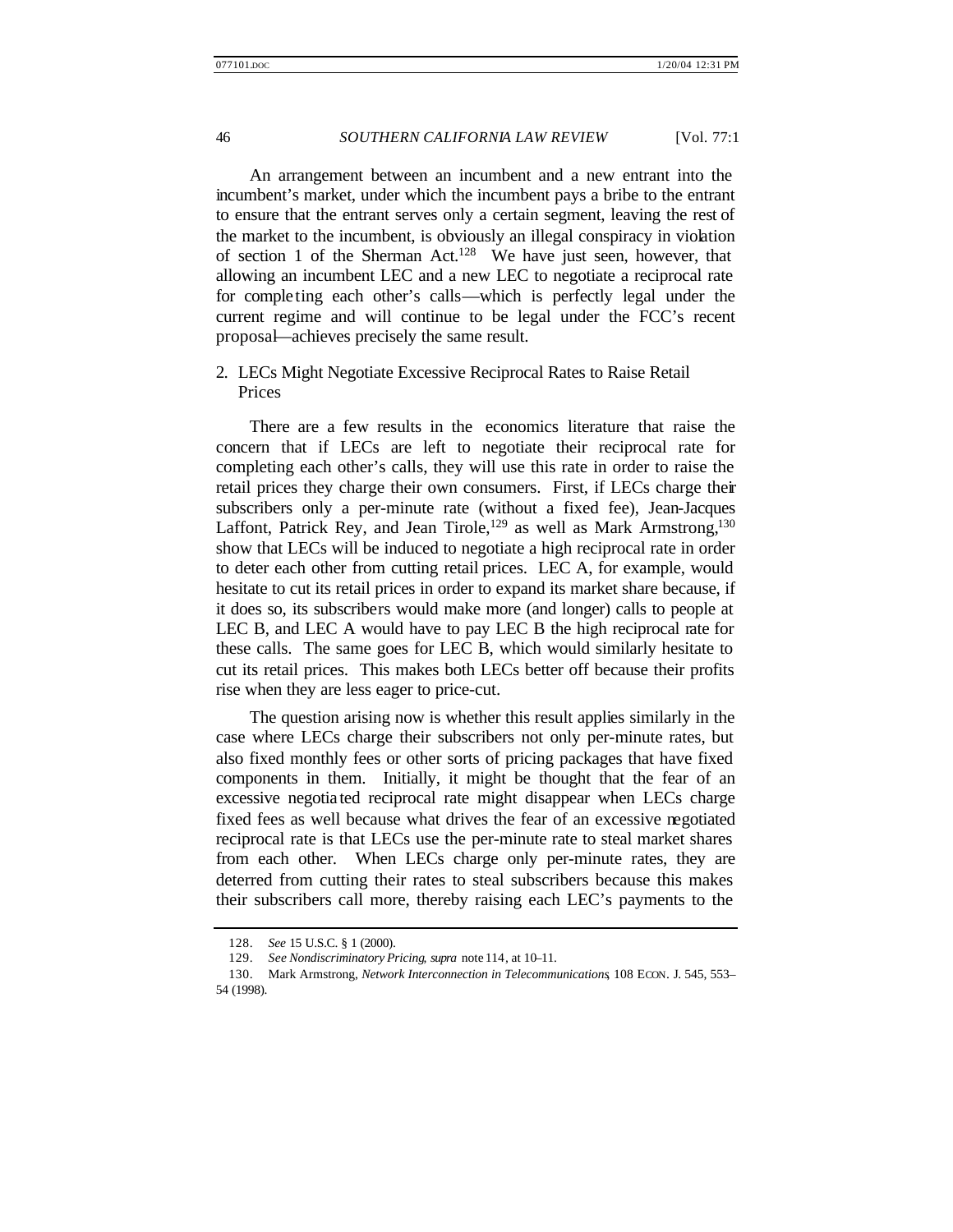An arrangement between an incumbent and a new entrant into the incumbent's market, under which the incumbent pays a bribe to the entrant to ensure that the entrant serves only a certain segment, leaving the rest of the market to the incumbent, is obviously an illegal conspiracy in violation of section 1 of the Sherman Act.<sup>128</sup> We have just seen, however, that allowing an incumbent LEC and a new LEC to negotiate a reciprocal rate for completing each other's calls—which is perfectly legal under the current regime and will continue to be legal under the FCC's recent proposal—achieves precisely the same result.

# 2. LECs Might Negotiate Excessive Reciprocal Rates to Raise Retail Prices

There are a few results in the economics literature that raise the concern that if LECs are left to negotiate their reciprocal rate for completing each other's calls, they will use this rate in order to raise the retail prices they charge their own consumers. First, if LECs charge their subscribers only a per-minute rate (without a fixed fee), Jean-Jacques Laffont, Patrick Rey, and Jean Tirole,<sup>129</sup> as well as Mark Armstrong,<sup>130</sup> show that LECs will be induced to negotiate a high reciprocal rate in order to deter each other from cutting retail prices. LEC A, for example, would hesitate to cut its retail prices in order to expand its market share because, if it does so, its subscribers would make more (and longer) calls to people at LEC B, and LEC A would have to pay LEC B the high reciprocal rate for these calls. The same goes for LEC B, which would similarly hesitate to cut its retail prices. This makes both LECs better off because their profits rise when they are less eager to price-cut.

The question arising now is whether this result applies similarly in the case where LECs charge their subscribers not only per-minute rates, but also fixed monthly fees or other sorts of pricing packages that have fixed components in them. Initially, it might be thought that the fear of an excessive negotia ted reciprocal rate might disappear when LECs charge fixed fees as well because what drives the fear of an excessive negotiated reciprocal rate is that LECs use the per-minute rate to steal market shares from each other. When LECs charge only per-minute rates, they are deterred from cutting their rates to steal subscribers because this makes their subscribers call more, thereby raising each LEC's payments to the

<sup>128.</sup> *See* 15 U.S.C. § 1 (2000).

<sup>129.</sup> *See Nondiscriminatory Pricing*, *supra* note 114, at 10–11.

<sup>130.</sup> Mark Armstrong, *Network Interconnection in Telecommunications*, 108 ECON. J. 545, 553– 54 (1998).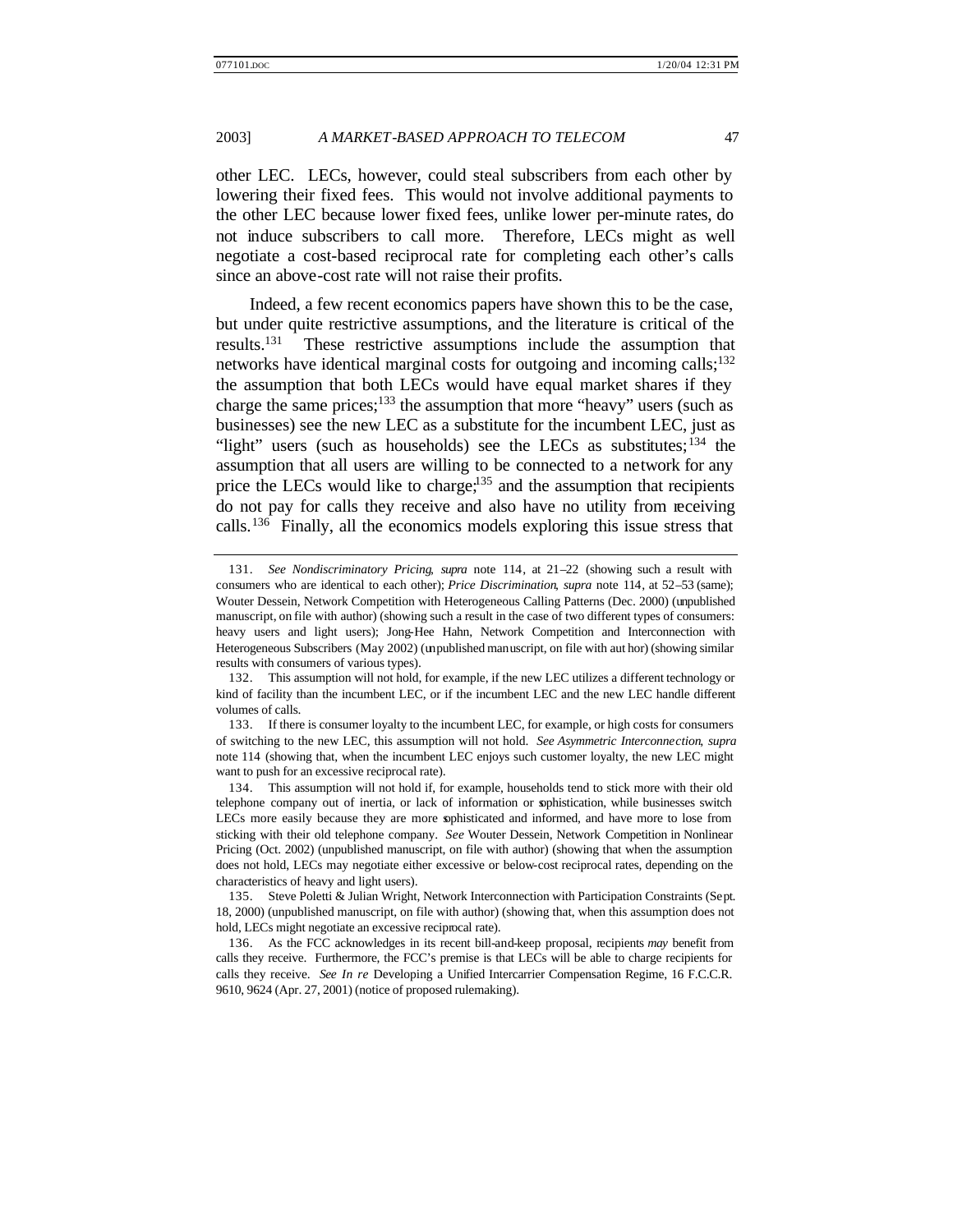other LEC. LECs, however, could steal subscribers from each other by lowering their fixed fees. This would not involve additional payments to the other LEC because lower fixed fees, unlike lower per-minute rates, do not induce subscribers to call more. Therefore, LECs might as well negotiate a cost-based reciprocal rate for completing each other's calls since an above-cost rate will not raise their profits.

Indeed, a few recent economics papers have shown this to be the case, but under quite restrictive assumptions, and the literature is critical of the results.<sup>131</sup> These restrictive assumptions include the assumption that networks have identical marginal costs for outgoing and incoming calls;<sup>132</sup> the assumption that both LECs would have equal market shares if they charge the same prices;<sup>133</sup> the assumption that more "heavy" users (such as businesses) see the new LEC as a substitute for the incumbent LEC, just as "light" users (such as households) see the LECs as substitutes;  $134$  the assumption that all users are willing to be connected to a network for any price the LECs would like to charge;<sup>135</sup> and the assumption that recipients do not pay for calls they receive and also have no utility from receiving calls.<sup>136</sup> Finally, all the economics models exploring this issue stress that

133. If there is consumer loyalty to the incumbent LEC, for example, or high costs for consumers of switching to the new LEC, this assumption will not hold. *See Asymmetric Interconnection*, *supra* note 114 (showing that, when the incumbent LEC enjoys such customer loyalty, the new LEC might want to push for an excessive reciprocal rate).

134. This assumption will not hold if, for example, households tend to stick more with their old telephone company out of inertia, or lack of information or sophistication, while businesses switch LECs more easily because they are more sophisticated and informed, and have more to lose from sticking with their old telephone company. *See* Wouter Dessein, Network Competition in Nonlinear Pricing (Oct. 2002) (unpublished manuscript, on file with author) (showing that when the assumption does not hold, LECs may negotiate either excessive or below-cost reciprocal rates, depending on the characteristics of heavy and light users).

<sup>131.</sup> *See Nondiscriminatory Pricing*, *supra* note 114, at 21–22 (showing such a result with consumers who are identical to each other); *Price Discrimination*, *supra* note 114, at 52–53 (same); Wouter Dessein, Network Competition with Heterogeneous Calling Patterns (Dec. 2000) (unpublished manuscript, on file with author) (showing such a result in the case of two different types of consumers: heavy users and light users); Jong-Hee Hahn, Network Competition and Interconnection with Heterogeneous Subscribers (May 2002) (unpublished manuscript, on file with aut hor) (showing similar results with consumers of various types).

<sup>132.</sup> This assumption will not hold, for example, if the new LEC utilizes a different technology or kind of facility than the incumbent LEC, or if the incumbent LEC and the new LEC handle different volumes of calls.

<sup>135.</sup> Steve Poletti & Julian Wright, Network Interconnection with Participation Constraints (Sept. 18, 2000) (unpublished manuscript, on file with author) (showing that, when this assumption does not hold, LECs might negotiate an excessive reciprocal rate).

<sup>136.</sup> As the FCC acknowledges in its recent bill-and-keep proposal, recipients *may* benefit from calls they receive. Furthermore, the FCC's premise is that LECs will be able to charge recipients for calls they receive. *See In re* Developing a Unified Intercarrier Compensation Regime, 16 F.C.C.R. 9610, 9624 (Apr. 27, 2001) (notice of proposed rulemaking).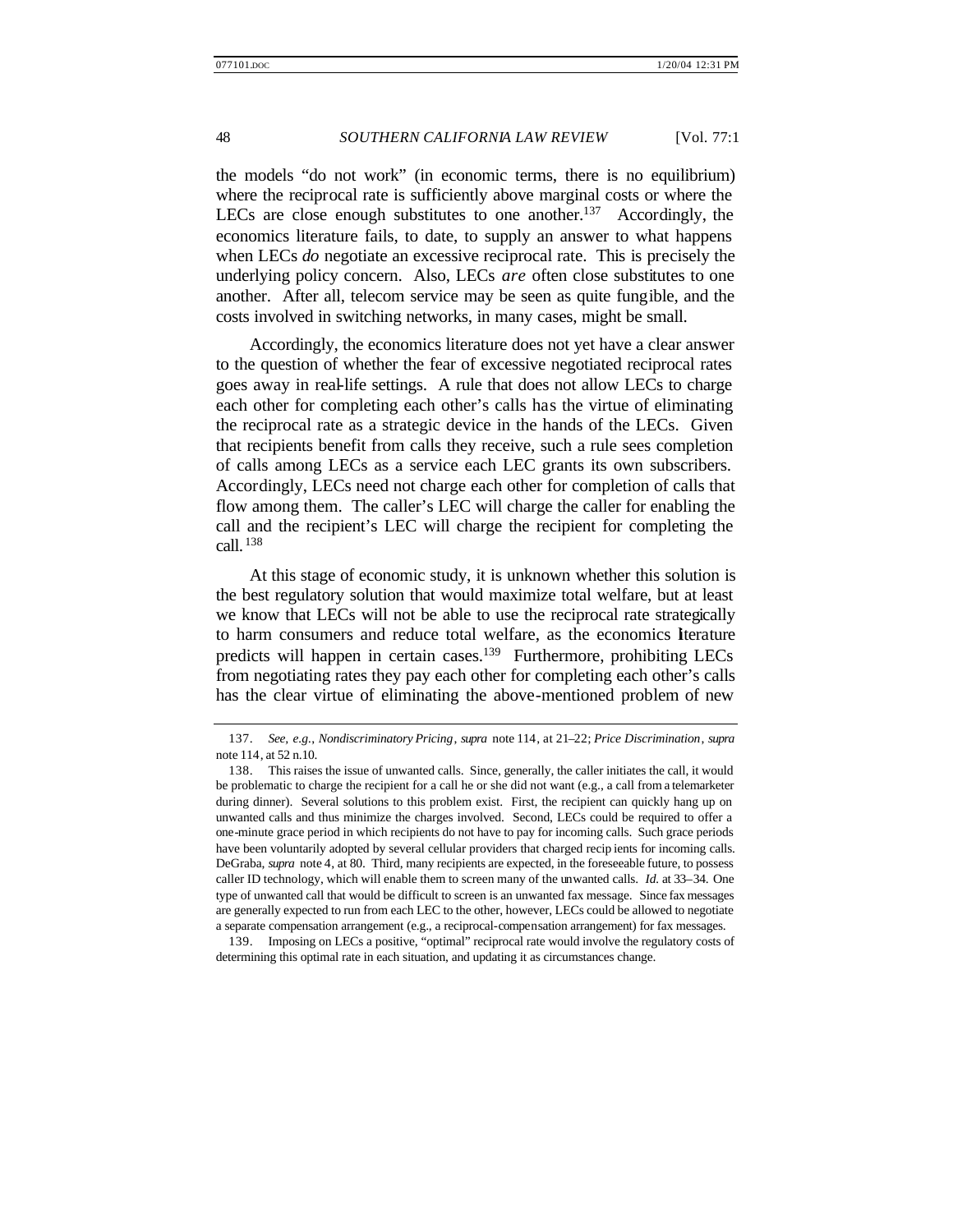the models "do not work" (in economic terms, there is no equilibrium) where the reciprocal rate is sufficiently above marginal costs or where the LECs are close enough substitutes to one another.<sup>137</sup> Accordingly, the economics literature fails, to date, to supply an answer to what happens when LECs *do* negotiate an excessive reciprocal rate. This is precisely the underlying policy concern. Also, LECs *are* often close substitutes to one another. After all, telecom service may be seen as quite fungible, and the costs involved in switching networks, in many cases, might be small.

Accordingly, the economics literature does not yet have a clear answer to the question of whether the fear of excessive negotiated reciprocal rates goes away in real-life settings. A rule that does not allow LECs to charge each other for completing each other's calls has the virtue of eliminating the reciprocal rate as a strategic device in the hands of the LECs. Given that recipients benefit from calls they receive, such a rule sees completion of calls among LECs as a service each LEC grants its own subscribers. Accordingly, LECs need not charge each other for completion of calls that flow among them. The caller's LEC will charge the caller for enabling the call and the recipient's LEC will charge the recipient for completing the call. <sup>138</sup>

At this stage of economic study, it is unknown whether this solution is the best regulatory solution that would maximize total welfare, but at least we know that LECs will not be able to use the reciprocal rate strategically to harm consumers and reduce total welfare, as the economics literature predicts will happen in certain cases.<sup>139</sup> Furthermore, prohibiting LECs from negotiating rates they pay each other for completing each other's calls has the clear virtue of eliminating the above-mentioned problem of new

<sup>137.</sup> *See, e.g.*, *Nondiscriminatory Pricing*, *supra* note 114, at 21–22; *Price Discrimination*, *supra* note 114, at 52 n.10.

<sup>138.</sup> This raises the issue of unwanted calls. Since, generally, the caller initiates the call, it would be problematic to charge the recipient for a call he or she did not want (e.g., a call from a telemarketer during dinner). Several solutions to this problem exist. First, the recipient can quickly hang up on unwanted calls and thus minimize the charges involved. Second, LECs could be required to offer a one-minute grace period in which recipients do not have to pay for incoming calls. Such grace periods have been voluntarily adopted by several cellular providers that charged recip ients for incoming calls. DeGraba, *supra* note 4, at 80. Third, many recipients are expected, in the foreseeable future, to possess caller ID technology, which will enable them to screen many of the unwanted calls. *Id.* at 33–34. One type of unwanted call that would be difficult to screen is an unwanted fax message. Since fax messages are generally expected to run from each LEC to the other, however, LECs could be allowed to negotiate a separate compensation arrangement (e.g., a reciprocal-compensation arrangement) for fax messages.

<sup>139.</sup> Imposing on LECs a positive, "optimal" reciprocal rate would involve the regulatory costs of determining this optimal rate in each situation, and updating it as circumstances change.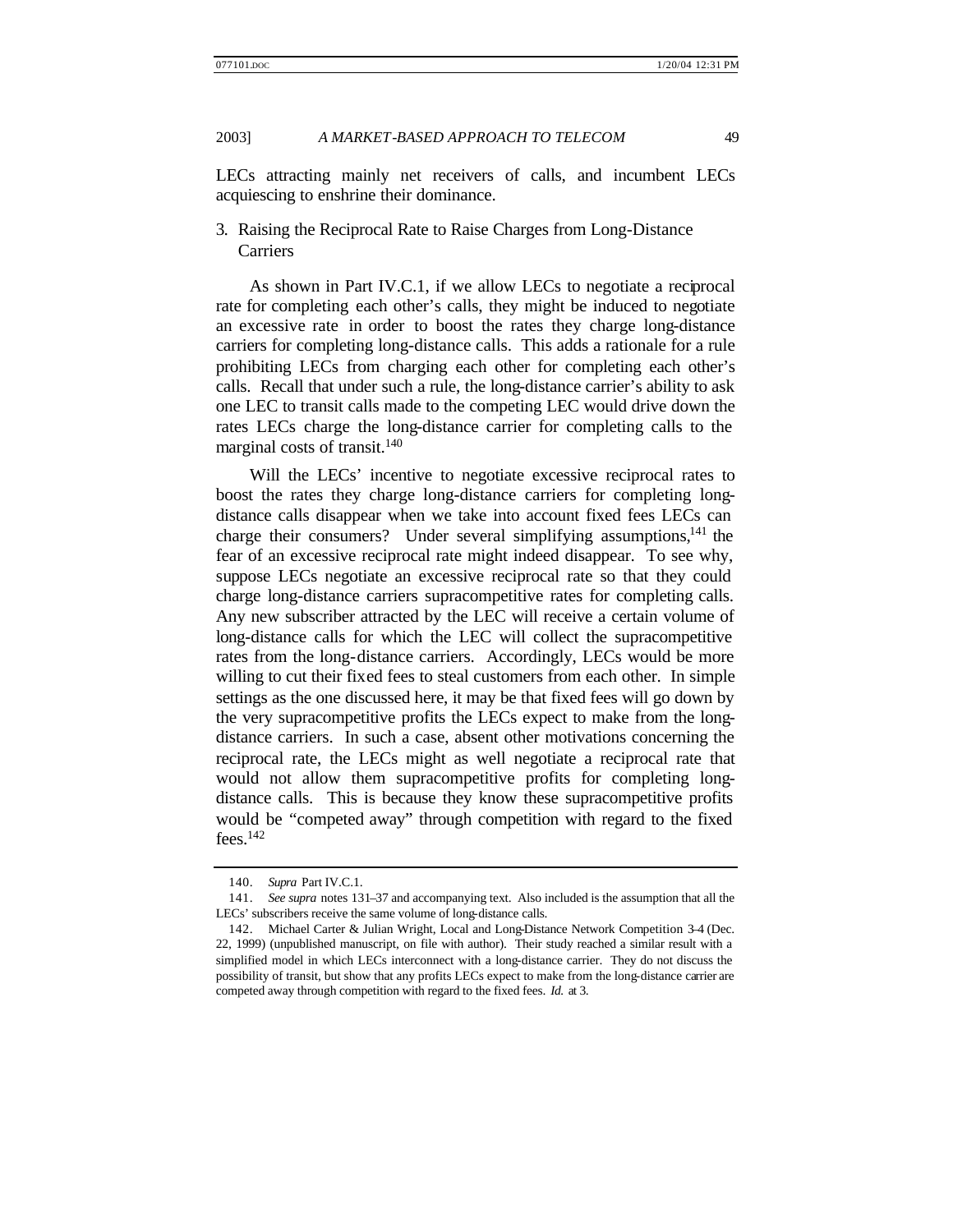LECs attracting mainly net receivers of calls, and incumbent LECs acquiescing to enshrine their dominance.

# 3. Raising the Reciprocal Rate to Raise Charges from Long-Distance Carriers

As shown in Part IV.C.1, if we allow LECs to negotiate a reciprocal rate for completing each other's calls, they might be induced to negotiate an excessive rate in order to boost the rates they charge long-distance carriers for completing long-distance calls. This adds a rationale for a rule prohibiting LECs from charging each other for completing each other's calls. Recall that under such a rule, the long-distance carrier's ability to ask one LEC to transit calls made to the competing LEC would drive down the rates LECs charge the long-distance carrier for completing calls to the marginal costs of transit.<sup>140</sup>

Will the LECs' incentive to negotiate excessive reciprocal rates to boost the rates they charge long-distance carriers for completing longdistance calls disappear when we take into account fixed fees LECs can charge their consumers? Under several simplifying assumptions,  $^{141}$  the fear of an excessive reciprocal rate might indeed disappear. To see why, suppose LECs negotiate an excessive reciprocal rate so that they could charge long-distance carriers supracompetitive rates for completing calls. Any new subscriber attracted by the LEC will receive a certain volume of long-distance calls for which the LEC will collect the supracompetitive rates from the long-distance carriers. Accordingly, LECs would be more willing to cut their fixed fees to steal customers from each other. In simple settings as the one discussed here, it may be that fixed fees will go down by the very supracompetitive profits the LECs expect to make from the longdistance carriers. In such a case, absent other motivations concerning the reciprocal rate, the LECs might as well negotiate a reciprocal rate that would not allow them supracompetitive profits for completing longdistance calls. This is because they know these supracompetitive profits would be "competed away" through competition with regard to the fixed  $fees.$ <sup>142</sup>

<sup>140.</sup> *Supra* Part IV.C.1.

<sup>141.</sup> *See supra* notes 131–37 and accompanying text. Also included is the assumption that all the LECs' subscribers receive the same volume of long-distance calls.

<sup>142.</sup> Michael Carter & Julian Wright, Local and Long-Distance Network Competition 3–4 (Dec. 22, 1999) (unpublished manuscript, on file with author). Their study reached a similar result with a simplified model in which LECs interconnect with a long-distance carrier. They do not discuss the possibility of transit, but show that any profits LECs expect to make from the long-distance carrier are competed away through competition with regard to the fixed fees. *Id.* at 3.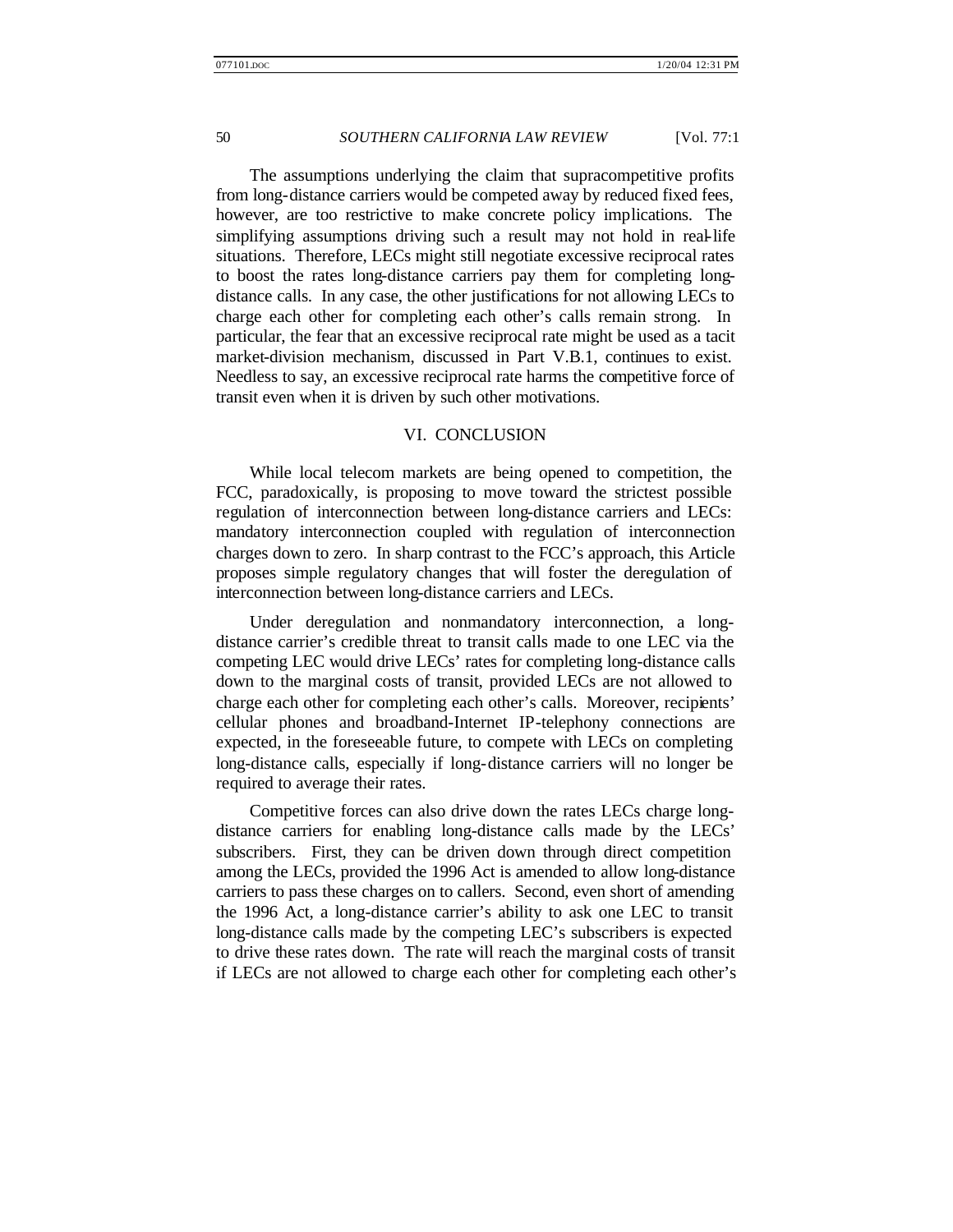The assumptions underlying the claim that supracompetitive profits from long-distance carriers would be competed away by reduced fixed fees, however, are too restrictive to make concrete policy implications. The simplifying assumptions driving such a result may not hold in real-life situations. Therefore, LECs might still negotiate excessive reciprocal rates to boost the rates long-distance carriers pay them for completing longdistance calls. In any case, the other justifications for not allowing LECs to charge each other for completing each other's calls remain strong. In particular, the fear that an excessive reciprocal rate might be used as a tacit market-division mechanism, discussed in Part V.B.1, continues to exist. Needless to say, an excessive reciprocal rate harms the competitive force of transit even when it is driven by such other motivations.

## VI. CONCLUSION

While local telecom markets are being opened to competition, the FCC, paradoxically, is proposing to move toward the strictest possible regulation of interconnection between long-distance carriers and LECs: mandatory interconnection coupled with regulation of interconnection charges down to zero. In sharp contrast to the FCC's approach, this Article proposes simple regulatory changes that will foster the deregulation of interconnection between long-distance carriers and LECs.

Under deregulation and nonmandatory interconnection, a longdistance carrier's credible threat to transit calls made to one LEC via the competing LEC would drive LECs' rates for completing long-distance calls down to the marginal costs of transit, provided LECs are not allowed to charge each other for completing each other's calls. Moreover, recipients' cellular phones and broadband-Internet IP-telephony connections are expected, in the foreseeable future, to compete with LECs on completing long-distance calls, especially if long-distance carriers will no longer be required to average their rates.

Competitive forces can also drive down the rates LECs charge longdistance carriers for enabling long-distance calls made by the LECs' subscribers. First, they can be driven down through direct competition among the LECs, provided the 1996 Act is amended to allow long-distance carriers to pass these charges on to callers. Second, even short of amending the 1996 Act, a long-distance carrier's ability to ask one LEC to transit long-distance calls made by the competing LEC's subscribers is expected to drive these rates down. The rate will reach the marginal costs of transit if LECs are not allowed to charge each other for completing each other's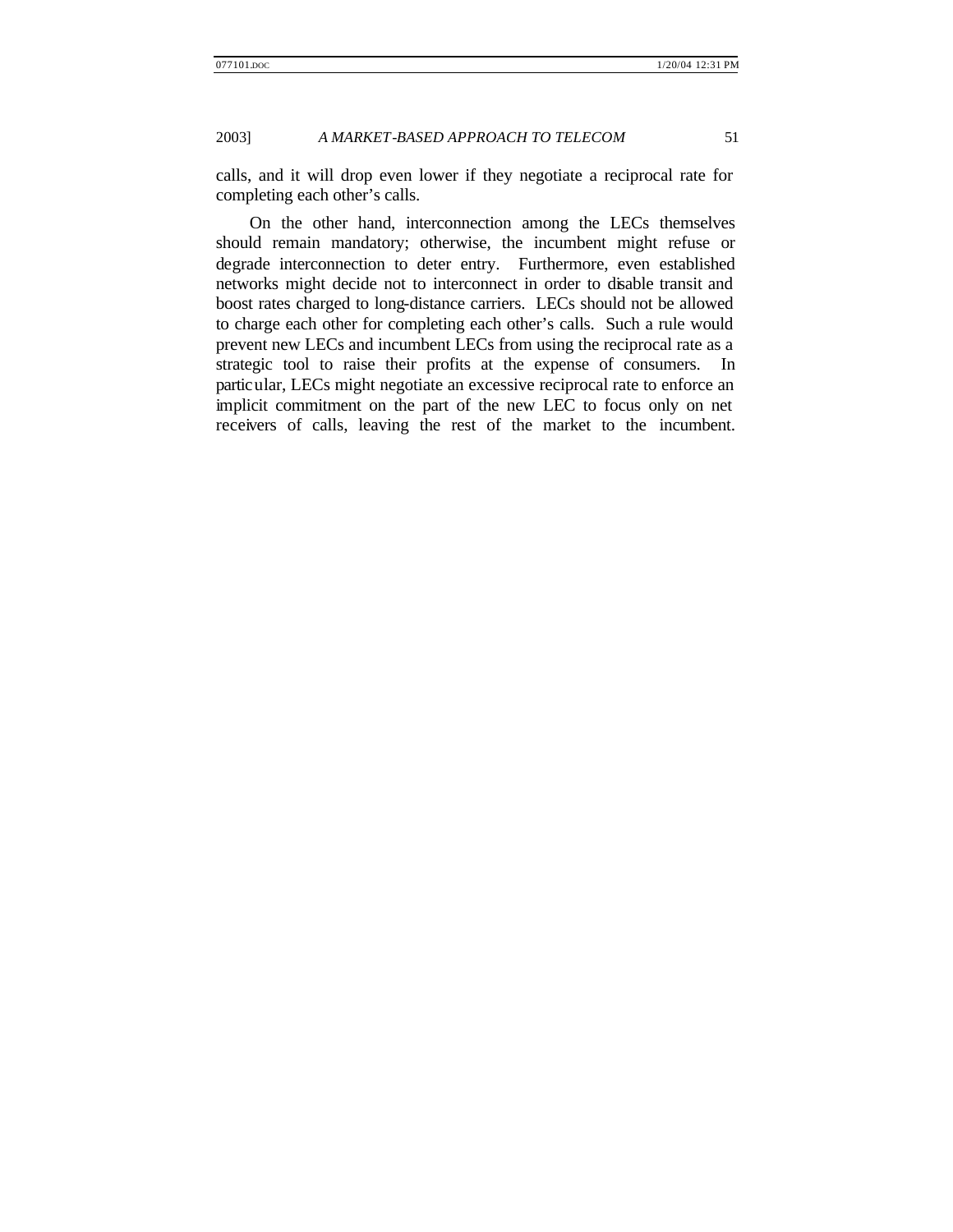calls, and it will drop even lower if they negotiate a reciprocal rate for completing each other's calls.

On the other hand, interconnection among the LECs themselves should remain mandatory; otherwise, the incumbent might refuse or degrade interconnection to deter entry. Furthermore, even established networks might decide not to interconnect in order to disable transit and boost rates charged to long-distance carriers. LECs should not be allowed to charge each other for completing each other's calls. Such a rule would prevent new LECs and incumbent LECs from using the reciprocal rate as a strategic tool to raise their profits at the expense of consumers. In particular, LECs might negotiate an excessive reciprocal rate to enforce an implicit commitment on the part of the new LEC to focus only on net receivers of calls, leaving the rest of the market to the incumbent.